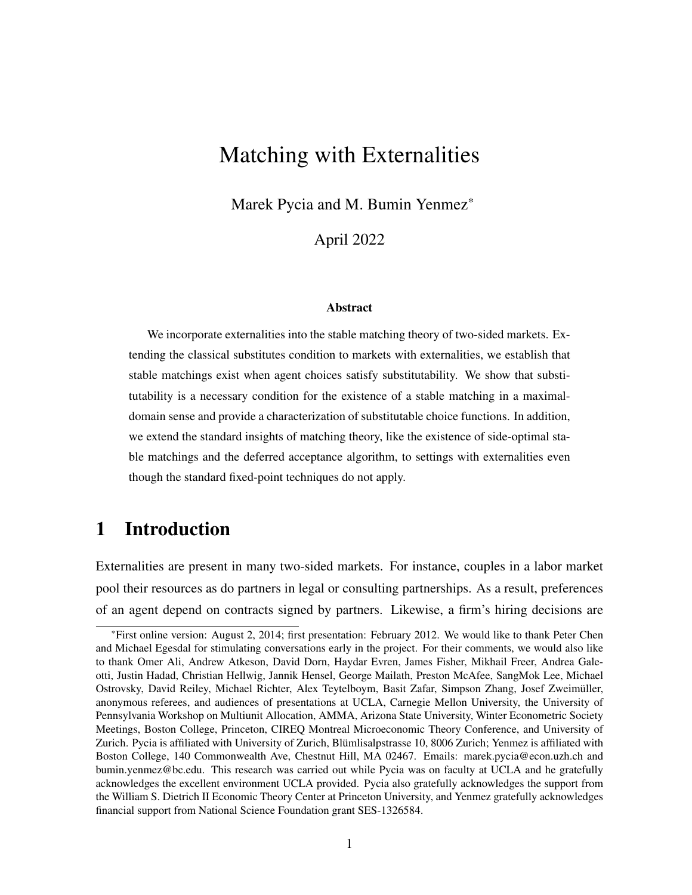## Matching with Externalities

Marek Pycia and M. Bumin Yenmez<sup>\*</sup>

April 2022

#### Abstract

We incorporate externalities into the stable matching theory of two-sided markets. Extending the classical substitutes condition to markets with externalities, we establish that stable matchings exist when agent choices satisfy substitutability. We show that substitutability is a necessary condition for the existence of a stable matching in a maximaldomain sense and provide a characterization of substitutable choice functions. In addition, we extend the standard insights of matching theory, like the existence of side-optimal stable matchings and the deferred acceptance algorithm, to settings with externalities even though the standard fixed-point techniques do not apply.

## <span id="page-0-0"></span>1 Introduction

Externalities are present in many two-sided markets. For instance, couples in a labor market pool their resources as do partners in legal or consulting partnerships. As a result, preferences of an agent depend on contracts signed by partners. Likewise, a firm's hiring decisions are

<sup>\*</sup>First online version: August 2, 2014; first presentation: February 2012. We would like to thank Peter Chen and Michael Egesdal for stimulating conversations early in the project. For their comments, we would also like to thank Omer Ali, Andrew Atkeson, David Dorn, Haydar Evren, James Fisher, Mikhail Freer, Andrea Galeotti, Justin Hadad, Christian Hellwig, Jannik Hensel, George Mailath, Preston McAfee, SangMok Lee, Michael Ostrovsky, David Reiley, Michael Richter, Alex Teytelboym, Basit Zafar, Simpson Zhang, Josef Zweimüller, anonymous referees, and audiences of presentations at UCLA, Carnegie Mellon University, the University of Pennsylvania Workshop on Multiunit Allocation, AMMA, Arizona State University, Winter Econometric Society Meetings, Boston College, Princeton, CIREQ Montreal Microeconomic Theory Conference, and University of Zurich. Pycia is affiliated with University of Zurich, Blümlisalpstrasse 10, 8006 Zurich; Yenmez is affiliated with Boston College, 140 Commonwealth Ave, Chestnut Hill, MA 02467. Emails: marek.pycia@econ.uzh.ch and bumin.yenmez@bc.edu. This research was carried out while Pycia was on faculty at UCLA and he gratefully acknowledges the excellent environment UCLA provided. Pycia also gratefully acknowledges the support from the William S. Dietrich II Economic Theory Center at Princeton University, and Yenmez gratefully acknowledges financial support from National Science Foundation grant SES-1326584.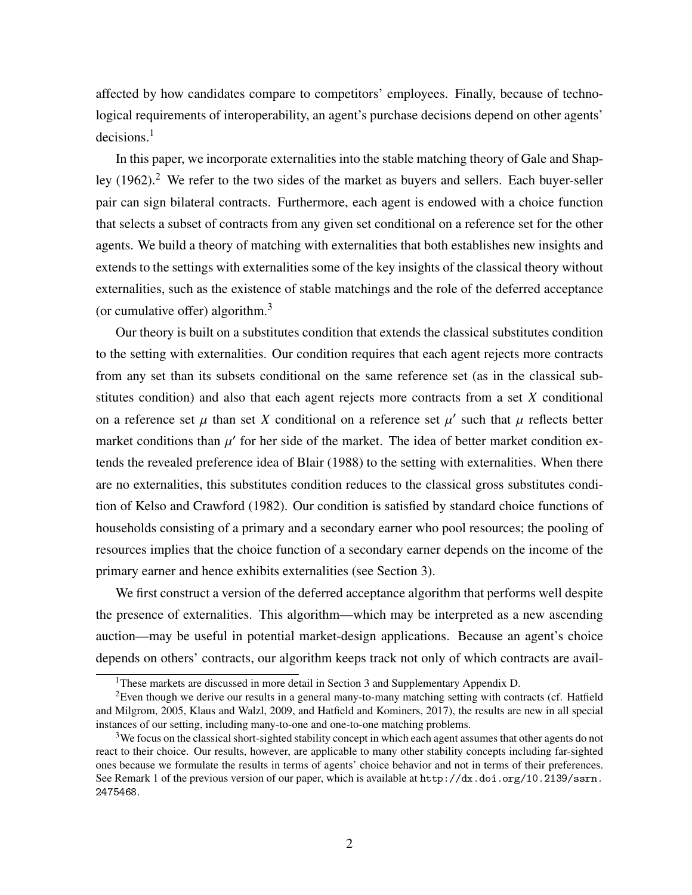affected by how candidates compare to competitors' employees. Finally, because of technological requirements of interoperability, an agent's purchase decisions depend on other agents'  $decisions.<sup>1</sup>$ 

In this paper, we incorporate externalities into the stable matching theory of [Gale and Shap](#page-37-0)[ley](#page-37-0) [\(1962\)](#page-37-0).<sup>2</sup> We refer to the two sides of the market as buyers and sellers. Each buyer-seller pair can sign bilateral contracts. Furthermore, each agent is endowed with a choice function that selects a subset of contracts from any given set conditional on a reference set for the other agents. We build a theory of matching with externalities that both establishes new insights and extends to the settings with externalities some of the key insights of the classical theory without externalities, such as the existence of stable matchings and the role of the deferred acceptance (or cumulative offer) algorithm. $3$ 

Our theory is built on a substitutes condition that extends the classical substitutes condition to the setting with externalities. Our condition requires that each agent rejects more contracts from any set than its subsets conditional on the same reference set (as in the classical substitutes condition) and also that each agent rejects more contracts from a set  $X$  conditional on a reference set  $\mu$  than set X conditional on a reference set  $\mu'$  such that  $\mu$  reflects better market conditions than  $\mu'$  for her side of the market. The idea of better market condition extends the revealed preference idea of [Blair](#page-35-0) [\(1988\)](#page-35-0) to the setting with externalities. When there are no externalities, this substitutes condition reduces to the classical gross substitutes condition of [Kelso and Crawford](#page-38-0) [\(1982\)](#page-38-0). Our condition is satisfied by standard choice functions of households consisting of a primary and a secondary earner who pool resources; the pooling of resources implies that the choice function of a secondary earner depends on the income of the primary earner and hence exhibits externalities (see Section [3\)](#page-10-0).

We first construct a version of the deferred acceptance algorithm that performs well despite the presence of externalities. This algorithm—which may be interpreted as a new ascending auction—may be useful in potential market-design applications. Because an agent's choice depends on others' contracts, our algorithm keeps track not only of which contracts are avail-

<sup>&</sup>lt;sup>1</sup>These markets are discussed in more detail in Section [3](#page-10-0) and Supplementary Appendix D.

 ${}^{2}$ Even though we derive our results in a general many-to-many matching setting with contracts (cf. [Hatfield](#page-38-1) [and Milgrom, 2005,](#page-38-1) [Klaus and Walzl, 2009,](#page-38-2) and [Hatfield and Kominers, 2017\)](#page-38-3), the results are new in all special instances of our setting, including many-to-one and one-to-one matching problems.

<sup>&</sup>lt;sup>3</sup>We focus on the classical short-sighted stability concept in which each agent assumes that other agents do not react to their choice. Our results, however, are applicable to many other stability concepts including far-sighted ones because we formulate the results in terms of agents' choice behavior and not in terms of their preferences. See Remark 1 of the previous version of our paper, which is available at [http://dx.doi.org/10.2139/ssrn.](http://dx.doi.org/10.2139/ssrn.2475468) [2475468](http://dx.doi.org/10.2139/ssrn.2475468).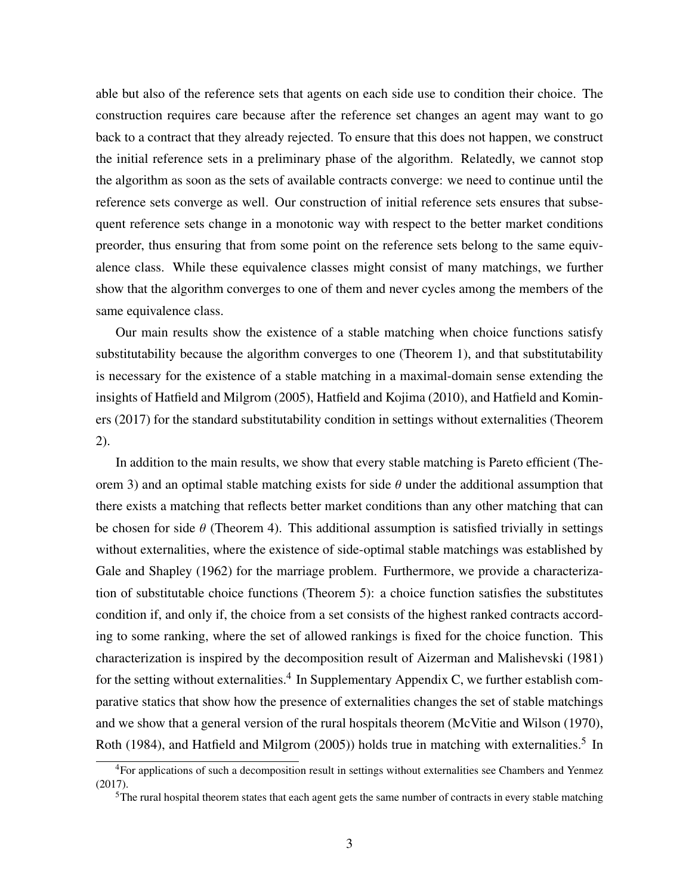able but also of the reference sets that agents on each side use to condition their choice. The construction requires care because after the reference set changes an agent may want to go back to a contract that they already rejected. To ensure that this does not happen, we construct the initial reference sets in a preliminary phase of the algorithm. Relatedly, we cannot stop the algorithm as soon as the sets of available contracts converge: we need to continue until the reference sets converge as well. Our construction of initial reference sets ensures that subsequent reference sets change in a monotonic way with respect to the better market conditions preorder, thus ensuring that from some point on the reference sets belong to the same equivalence class. While these equivalence classes might consist of many matchings, we further show that the algorithm converges to one of them and never cycles among the members of the same equivalence class.

Our main results show the existence of a stable matching when choice functions satisfy substitutability because the algorithm converges to one (Theorem [1\)](#page-14-0), and that substitutability is necessary for the existence of a stable matching in a maximal-domain sense extending the insights of [Hatfield and Milgrom](#page-38-1) [\(2005\)](#page-38-1), [Hatfield and Kojima](#page-38-4) [\(2010\)](#page-38-4), and [Hatfield and Komin](#page-38-3)[ers](#page-38-3) [\(2017\)](#page-38-3) for the standard substitutability condition in settings without externalities (Theorem [2\)](#page-16-0).

In addition to the main results, we show that every stable matching is Pareto efficient (The-orem [3\)](#page-21-0) and an optimal stable matching exists for side  $\theta$  under the additional assumption that there exists a matching that reflects better market conditions than any other matching that can be chosen for side  $\theta$  (Theorem [4\)](#page-21-1). This additional assumption is satisfied trivially in settings without externalities, where the existence of side-optimal stable matchings was established by [Gale and Shapley](#page-37-0) [\(1962\)](#page-37-0) for the marriage problem. Furthermore, we provide a characterization of substitutable choice functions (Theorem [5\)](#page-24-0): a choice function satisfies the substitutes condition if, and only if, the choice from a set consists of the highest ranked contracts according to some ranking, where the set of allowed rankings is fixed for the choice function. This characterization is inspired by the decomposition result of [Aizerman and Malishevski](#page-34-0) [\(1981\)](#page-34-0) for the setting without externalities.<sup>4</sup> In Supplementary Appendix C, we further establish comparative statics that show how the presence of externalities changes the set of stable matchings and we show that a general version of the rural hospitals theorem [\(McVitie and Wilson](#page-39-0) [\(1970\)](#page-39-0), [Roth](#page-40-0) [\(1984\)](#page-40-0), and [Hatfield and Milgrom](#page-38-1) [\(2005\)](#page-38-1)) holds true in matching with externalities.<sup>5</sup> In

<sup>&</sup>lt;sup>4</sup>For applications of such a decomposition result in settings without externalities see [Chambers and Yenmez](#page-36-0) [\(2017\)](#page-36-0).

 $5<sup>5</sup>$ The rural hospital theorem states that each agent gets the same number of contracts in every stable matching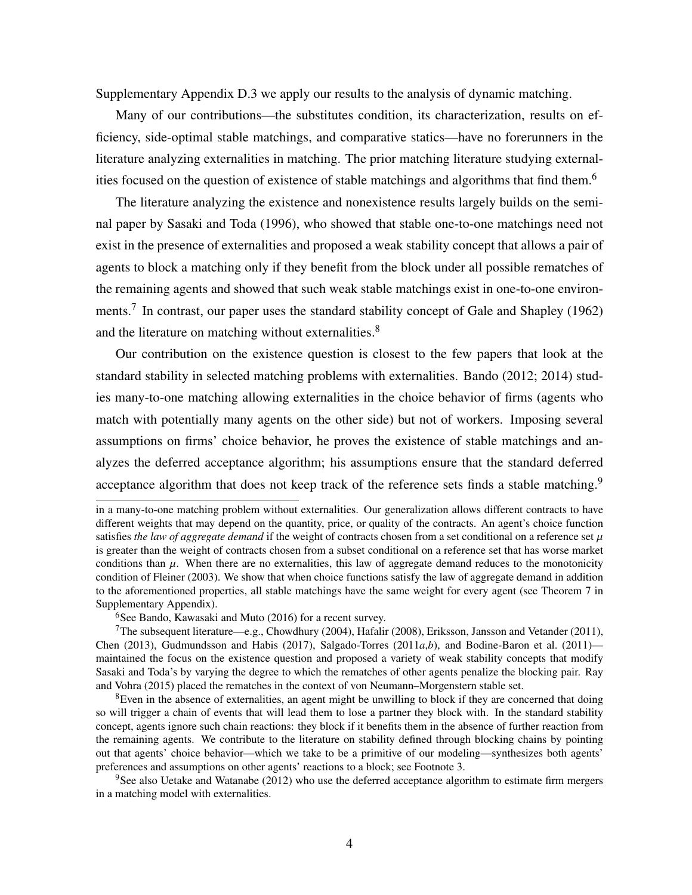Supplementary Appendix D.3 we apply our results to the analysis of dynamic matching.

Many of our contributions—the substitutes condition, its characterization, results on efficiency, side-optimal stable matchings, and comparative statics—have no forerunners in the literature analyzing externalities in matching. The prior matching literature studying externalities focused on the question of existence of stable matchings and algorithms that find them.<sup>6</sup>

The literature analyzing the existence and nonexistence results largely builds on the seminal paper by [Sasaki and Toda](#page-40-1) [\(1996\)](#page-40-1), who showed that stable one-to-one matchings need not exist in the presence of externalities and proposed a weak stability concept that allows a pair of agents to block a matching only if they benefit from the block under all possible rematches of the remaining agents and showed that such weak stable matchings exist in one-to-one environ-ments.<sup>7</sup> In contrast, our paper uses the standard stability concept of [Gale and Shapley](#page-37-0) [\(1962\)](#page-37-0) and the literature on matching without externalities.<sup>8</sup>

Our contribution on the existence question is closest to the few papers that look at the standard stability in selected matching problems with externalities. Bando [\(2012;](#page-35-1) [2014\)](#page-35-2) studies many-to-one matching allowing externalities in the choice behavior of firms (agents who match with potentially many agents on the other side) but not of workers. Imposing several assumptions on firms' choice behavior, he proves the existence of stable matchings and analyzes the deferred acceptance algorithm; his assumptions ensure that the standard deferred acceptance algorithm that does not keep track of the reference sets finds a stable matching.<sup>9</sup>

 $6$ See [Bando, Kawasaki and Muto](#page-35-3) [\(2016\)](#page-35-3) for a recent survey.

in a many-to-one matching problem without externalities. Our generalization allows different contracts to have different weights that may depend on the quantity, price, or quality of the contracts. An agent's choice function satisfies *the law of aggregate demand* if the weight of contracts chosen from a set conditional on a reference set  $\mu$ is greater than the weight of contracts chosen from a subset conditional on a reference set that has worse market conditions than  $\mu$ . When there are no externalities, this law of aggregate demand reduces to the monotonicity condition of [Fleiner](#page-37-1) [\(2003\)](#page-37-1). We show that when choice functions satisfy the law of aggregate demand in addition to the aforementioned properties, all stable matchings have the same weight for every agent (see Theorem 7 in Supplementary Appendix).

<sup>&</sup>lt;sup>7</sup>The subsequent literature—e.g., [Chowdhury](#page-36-1) [\(2004\)](#page-36-1), [Hafalir](#page-38-5) [\(2008\)](#page-38-5), [Eriksson, Jansson and Vetander](#page-37-2) [\(2011\)](#page-37-2), [Chen](#page-36-2) [\(2013\)](#page-36-2), [Gudmundsson and Habis](#page-37-3) [\(2017\)](#page-37-3), [Salgado-Torres](#page-40-2) [\(2011](#page-40-2)*a*,*[b](#page-40-3)*), and [Bodine-Baron et al.](#page-35-4) [\(2011\)](#page-35-4) maintained the focus on the existence question and proposed a variety of weak stability concepts that modify Sasaki and Toda's by varying the degree to which the rematches of other agents penalize the blocking pair. [Ray](#page-40-4) [and Vohra](#page-40-4) [\(2015\)](#page-40-4) placed the rematches in the context of von Neumann–Morgenstern stable set.

 ${}^{8}$ Even in the absence of externalities, an agent might be unwilling to block if they are concerned that doing so will trigger a chain of events that will lead them to lose a partner they block with. In the standard stability concept, agents ignore such chain reactions: they block if it benefits them in the absence of further reaction from the remaining agents. We contribute to the literature on stability defined through blocking chains by pointing out that agents' choice behavior—which we take to be a primitive of our modeling—synthesizes both agents' preferences and assumptions on other agents' reactions to a block; see Footnote [3.](#page-0-0)

 $9$ See also [Uetake and Watanabe](#page-40-5) [\(2012\)](#page-40-5) who use the deferred acceptance algorithm to estimate firm mergers in a matching model with externalities.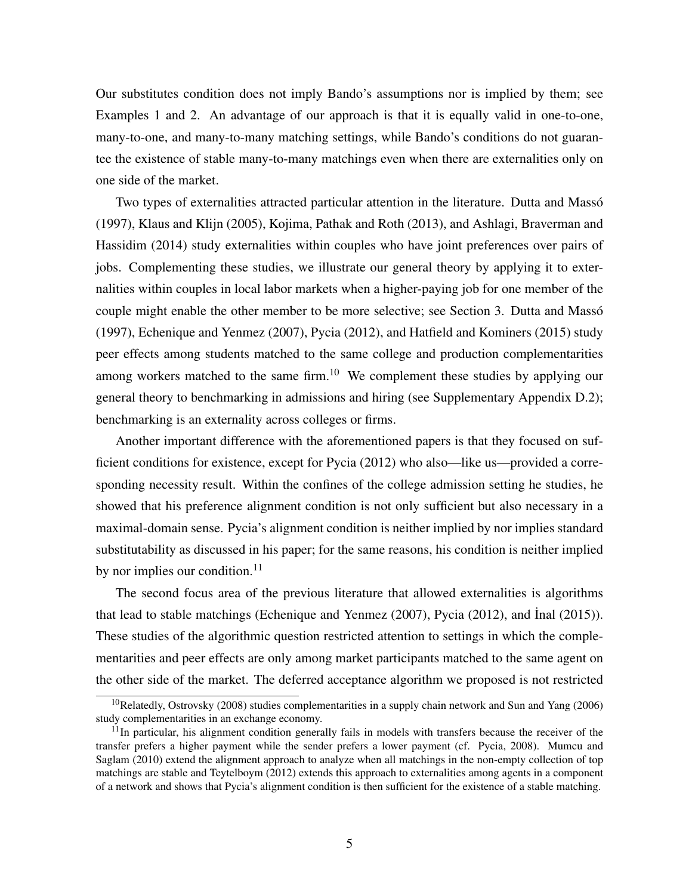Our substitutes condition does not imply Bando's assumptions nor is implied by them; see Examples [1](#page-17-0) and [2.](#page-19-0) An advantage of our approach is that it is equally valid in one-to-one, many-to-one, and many-to-many matching settings, while Bando's conditions do not guarantee the existence of stable many-to-many matchings even when there are externalities only on one side of the market.

Two types of externalities attracted particular attention in the literature. [Dutta and Massó](#page-37-4) [\(1997\)](#page-37-4), [Klaus and Klijn](#page-38-6) [\(2005\)](#page-38-6), [Kojima, Pathak and Roth](#page-39-1) [\(2013\)](#page-39-1), and [Ashlagi, Braverman and](#page-35-5) [Hassidim](#page-35-5) [\(2014\)](#page-35-5) study externalities within couples who have joint preferences over pairs of jobs. Complementing these studies, we illustrate our general theory by applying it to externalities within couples in local labor markets when a higher-paying job for one member of the couple might enable the other member to be more selective; see Section [3.](#page-10-0) [Dutta and Massó](#page-37-4) [\(1997\)](#page-37-4), [Echenique and Yenmez](#page-37-5) [\(2007\)](#page-37-5), [Pycia](#page-39-2) [\(2012\)](#page-39-2), and [Hatfield and Kominers](#page-38-7) [\(2015\)](#page-38-7) study peer effects among students matched to the same college and production complementarities among workers matched to the same firm.<sup>10</sup> We complement these studies by applying our general theory to benchmarking in admissions and hiring (see Supplementary Appendix D.2); benchmarking is an externality across colleges or firms.

Another important difference with the aforementioned papers is that they focused on sufficient conditions for existence, except for [Pycia](#page-39-2) [\(2012\)](#page-39-2) who also—like us—provided a corresponding necessity result. Within the confines of the college admission setting he studies, he showed that his preference alignment condition is not only sufficient but also necessary in a maximal-domain sense. Pycia's alignment condition is neither implied by nor implies standard substitutability as discussed in his paper; for the same reasons, his condition is neither implied by nor implies our condition.<sup>11</sup>

The second focus area of the previous literature that allowed externalities is algorithms that lead to stable matchings [\(Echenique and Yenmez](#page-37-5) [\(2007\)](#page-37-5), [Pycia](#page-39-2) [\(2012\)](#page-39-2), and Inal [\(2015\)](#page-38-8)). These studies of the algorithmic question restricted attention to settings in which the complementarities and peer effects are only among market participants matched to the same agent on the other side of the market. The deferred acceptance algorithm we proposed is not restricted

<sup>&</sup>lt;sup>10</sup>Relatedly, [Ostrovsky](#page-39-3) [\(2008\)](#page-39-3) studies complementarities in a supply chain network and [Sun and Yang](#page-40-6) [\(2006\)](#page-40-6) study complementarities in an exchange economy.

<sup>&</sup>lt;sup>11</sup>In particular, his alignment condition generally fails in models with transfers because the receiver of the transfer prefers a higher payment while the sender prefers a lower payment (cf. [Pycia, 2008\)](#page-39-4). [Mumcu and](#page-39-5) [Saglam](#page-39-5) [\(2010\)](#page-39-5) extend the alignment approach to analyze when all matchings in the non-empty collection of top matchings are stable and [Teytelboym](#page-40-7) [\(2012\)](#page-40-7) extends this approach to externalities among agents in a component of a network and shows that Pycia's alignment condition is then sufficient for the existence of a stable matching.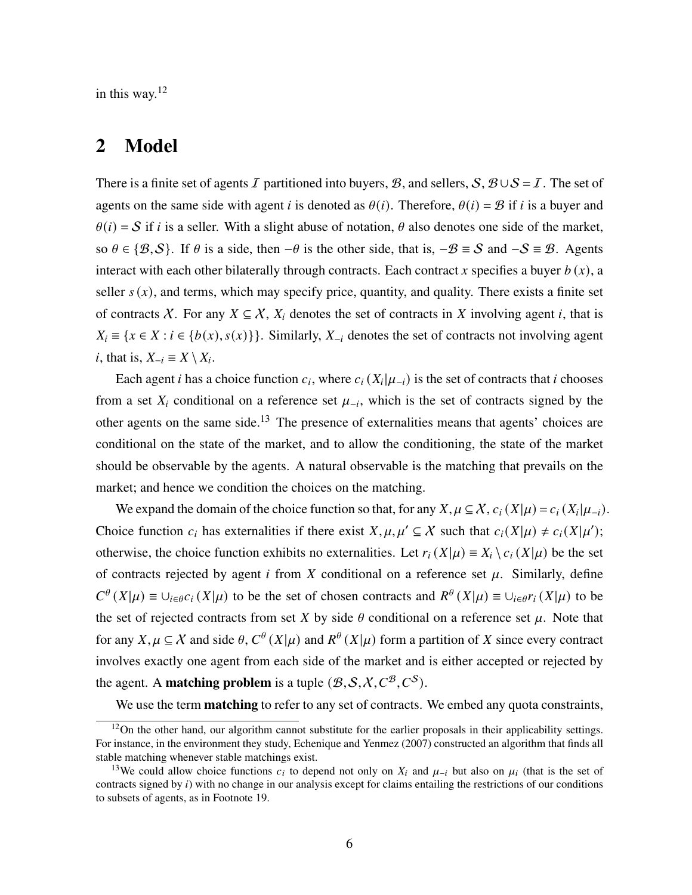in this way.<sup>12</sup>

### 2 Model

There is a finite set of agents I partitioned into buyers, B, and sellers,  $S$ ,  $B \cup S = I$ . The set of agents on the same side with agent *i* is denoted as  $\theta(i)$ . Therefore,  $\theta(i) = \mathcal{B}$  if *i* is a buyer and  $\theta(i) = S$  if *i* is a seller. With a slight abuse of notation,  $\theta$  also denotes one side of the market, so  $\theta \in \{\mathcal{B}, \mathcal{S}\}\$ . If  $\theta$  is a side, then  $-\theta$  is the other side, that is,  $-\mathcal{B} \equiv \mathcal{S}$  and  $-\mathcal{S} \equiv \mathcal{B}$ . Agents interact with each other bilaterally through contracts. Each contract x specifies a buyer  $b(x)$ , a seller  $s(x)$ , and terms, which may specify price, quantity, and quality. There exists a finite set of contracts X. For any  $X \subseteq X$ ,  $X_i$  denotes the set of contracts in X involving agent i, that is  $X_i = \{x \in X : i \in \{b(x), s(x)\}\}\.$  Similarly,  $X_{-i}$  denotes the set of contracts not involving agent *i*, that is,  $X_{-i} \equiv X \setminus X_i$ .

Each agent *i* has a choice function  $c_i$ , where  $c_i(X_i|\mu_{-i})$  is the set of contracts that *i* chooses from a set  $X_i$  conditional on a reference set  $\mu_{-i}$ , which is the set of contracts signed by the other agents on the same side.<sup>13</sup> The presence of externalities means that agents' choices are conditional on the state of the market, and to allow the conditioning, the state of the market should be observable by the agents. A natural observable is the matching that prevails on the market; and hence we condition the choices on the matching.

We expand the domain of the choice function so that, for any  $X, \mu \subseteq X$ ,  $c_i(X|\mu) = c_i(X_i|\mu_{-i})$ . Choice function  $c_i$  has externalities if there exist  $X, \mu, \mu' \subseteq X$  such that  $c_i(X|\mu) \neq c_i(X|\mu')$ ; otherwise, the choice function exhibits no externalities. Let  $r_i(X|\mu) \equiv X_i \setminus c_i(X|\mu)$  be the set of contracts rejected by agent  $i$  from  $X$  conditional on a reference set  $\mu$ . Similarly, define  $C^{\theta}(X|\mu) \equiv \bigcup_{i \in \theta} C_i(X|\mu)$  to be the set of chosen contracts and  $R^{\theta}(X|\mu) \equiv \bigcup_{i \in \theta} r_i(X|\mu)$  to be the set of rejected contracts from set X by side  $\theta$  conditional on a reference set  $\mu$ . Note that for any  $X, \mu \subseteq X$  and side  $\theta, C^{\theta}(X|\mu)$  and  $R^{\theta}(X|\mu)$  form a partition of X since every contract involves exactly one agent from each side of the market and is either accepted or rejected by the agent. A **matching problem** is a tuple  $(B, S, X, C^B, C^S)$ .

We use the term **matching** to refer to any set of contracts. We embed any quota constraints,

<sup>&</sup>lt;sup>12</sup>On the other hand, our algorithm cannot substitute for the earlier proposals in their applicability settings. For instance, in the environment they study, [Echenique and Yenmez](#page-37-5) [\(2007\)](#page-37-5) constructed an algorithm that finds all stable matching whenever stable matchings exist.

<sup>&</sup>lt;sup>13</sup>We could allow choice functions  $c_i$  to depend not only on  $X_i$  and  $\mu_{-i}$  but also on  $\mu_i$  (that is the set of contracts signed by  $i$ ) with no change in our analysis except for claims entailing the restrictions of our conditions to subsets of agents, as in Footnote [19.](#page-9-0)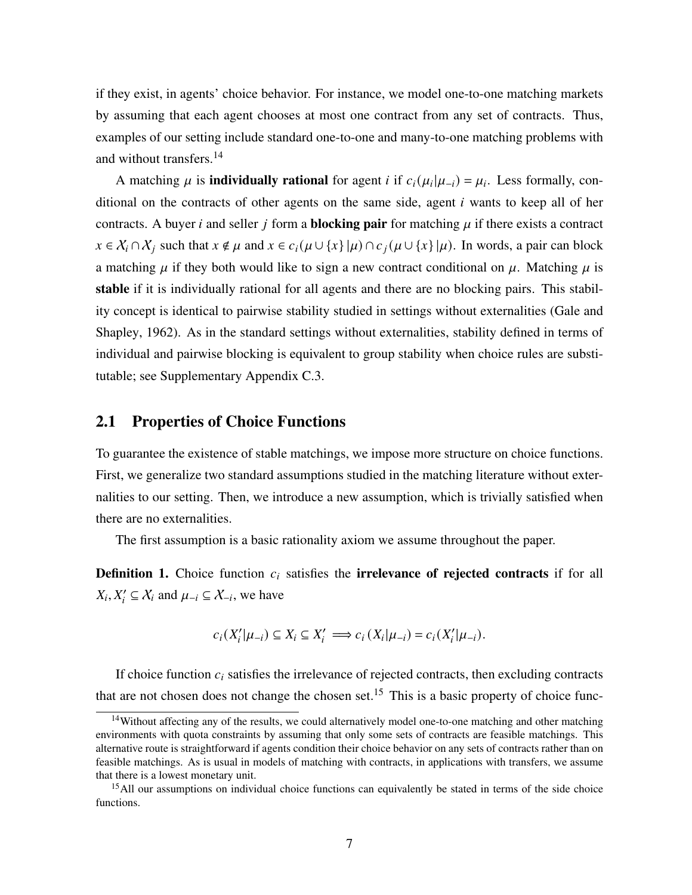if they exist, in agents' choice behavior. For instance, we model one-to-one matching markets by assuming that each agent chooses at most one contract from any set of contracts. Thus, examples of our setting include standard one-to-one and many-to-one matching problems with and without transfers.<sup>14</sup>

A matching  $\mu$  is **individually rational** for agent *i* if  $c_i(\mu_i|\mu_{-i}) = \mu_i$ . Less formally, conditional on the contracts of other agents on the same side, agent  $i$  wants to keep all of her contracts. A buyer *i* and seller *j* form a **blocking pair** for matching  $\mu$  if there exists a contract  $x \in \mathcal{X}_i \cap \mathcal{X}_j$  such that  $x \notin \mu$  and  $x \in c_i(\mu \cup \{x\} | \mu) \cap c_j(\mu \cup \{x\} | \mu)$ . In words, a pair can block a matching  $\mu$  if they both would like to sign a new contract conditional on  $\mu$ . Matching  $\mu$  is stable if it is individually rational for all agents and there are no blocking pairs. This stability concept is identical to pairwise stability studied in settings without externalities [\(Gale and](#page-37-0) [Shapley, 1962\)](#page-37-0). As in the standard settings without externalities, stability defined in terms of individual and pairwise blocking is equivalent to group stability when choice rules are substitutable; see Supplementary Appendix C.3.

#### 2.1 Properties of Choice Functions

To guarantee the existence of stable matchings, we impose more structure on choice functions. First, we generalize two standard assumptions studied in the matching literature without externalities to our setting. Then, we introduce a new assumption, which is trivially satisfied when there are no externalities.

The first assumption is a basic rationality axiom we assume throughout the paper.

**Definition 1.** Choice function  $c_i$  satisfies the **irrelevance of rejected contracts** if for all  $X_i, X'_i \subseteq X_i$  and  $\mu_{-i} \subseteq X_{-i}$ , we have

$$
c_i(X'_i|\mu_{-i}) \subseteq X_i \subseteq X'_i \implies c_i(X_i|\mu_{-i}) = c_i(X'_i|\mu_{-i}).
$$

If choice function  $c_i$  satisfies the irrelevance of rejected contracts, then excluding contracts that are not chosen does not change the chosen set.<sup>15</sup> This is a basic property of choice func-

<sup>14</sup>Without affecting any of the results, we could alternatively model one-to-one matching and other matching environments with quota constraints by assuming that only some sets of contracts are feasible matchings. This alternative route is straightforward if agents condition their choice behavior on any sets of contracts rather than on feasible matchings. As is usual in models of matching with contracts, in applications with transfers, we assume that there is a lowest monetary unit.

<sup>&</sup>lt;sup>15</sup>All our assumptions on individual choice functions can equivalently be stated in terms of the side choice functions.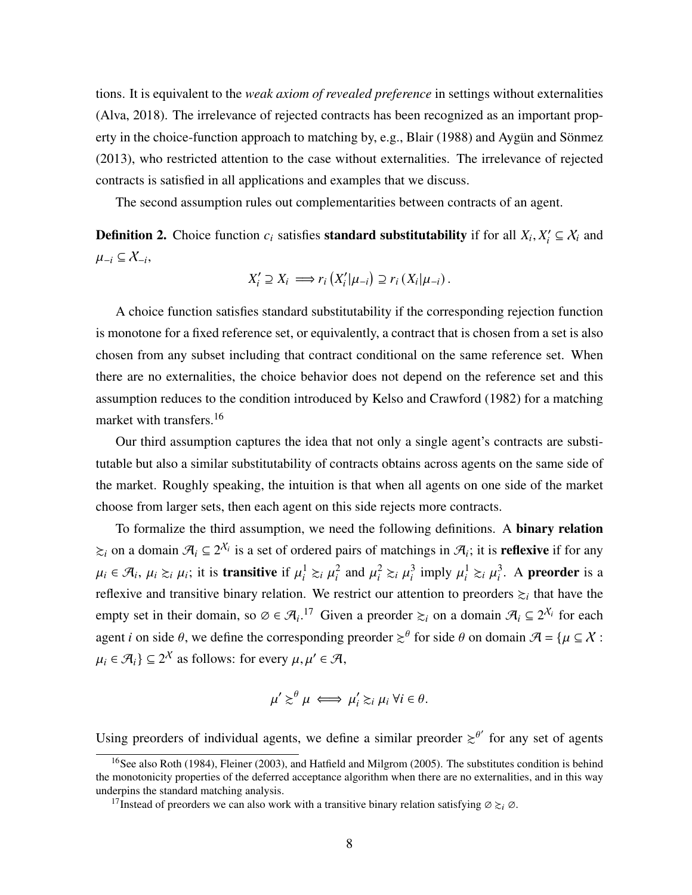tions. It is equivalent to the *weak axiom of revealed preference* in settings without externalities [\(Alva, 2018\)](#page-35-6). The irrelevance of rejected contracts has been recognized as an important property in the choice-function approach to matching by, e.g., [Blair](#page-35-0) [\(1988\)](#page-35-0) and [Aygün and Sönmez](#page-35-7) [\(2013\)](#page-35-7), who restricted attention to the case without externalities. The irrelevance of rejected contracts is satisfied in all applications and examples that we discuss.

The second assumption rules out complementarities between contracts of an agent.

**Definition 2.** Choice function  $c_i$  satisfies **standard substitutability** if for all  $X_i, X'_i \subseteq X_i$  and  $\mu_{-i} \subseteq \chi_{-i}$ 

$$
X'_{i} \supseteq X_{i} \Longrightarrow r_{i} (X'_{i} | \mu_{-i}) \supseteq r_{i} (X_{i} | \mu_{-i}).
$$

A choice function satisfies standard substitutability if the corresponding rejection function is monotone for a fixed reference set, or equivalently, a contract that is chosen from a set is also chosen from any subset including that contract conditional on the same reference set. When there are no externalities, the choice behavior does not depend on the reference set and this assumption reduces to the condition introduced by [Kelso and Crawford](#page-38-0) [\(1982\)](#page-38-0) for a matching market with transfers.<sup>16</sup>

Our third assumption captures the idea that not only a single agent's contracts are substitutable but also a similar substitutability of contracts obtains across agents on the same side of the market. Roughly speaking, the intuition is that when all agents on one side of the market choose from larger sets, then each agent on this side rejects more contracts.

To formalize the third assumption, we need the following definitions. A binary relation  $\gtrsim_i$  on a domain  $\mathcal{A}_i \subseteq 2^{\mathcal{X}_i}$  is a set of ordered pairs of matchings in  $\mathcal{A}_i$ ; it is **reflexive** if for any  $\mu_i \in \mathcal{A}_i$ ,  $\mu_i \gtrsim_i \mu_i$ ; it is **transitive** if  $\mu_i^1 \gtrsim_i \mu_i^2$  and  $\mu_i^2 \gtrsim_i \mu_i^3$  imply  $\mu_i^1 \gtrsim_i \mu_i^3$ . A **preorder** is a reflexive and transitive binary relation. We restrict our attention to preorders  $\geq_i$  that have the empty set in their domain, so  $\emptyset \in \mathcal{A}_i$ .<sup>17</sup> Given a preorder  $\succsim_i$  on a domain  $\mathcal{A}_i \subseteq 2^{\mathcal{X}_i}$  for each agent *i* on side  $\theta$ , we define the corresponding preorder  $\geq^{\theta}$  for side  $\theta$  on domain  $\mathcal{A} = {\mu \subseteq \mathcal{X}}$ :  $\mu_i \in \mathcal{A}_i$   $\subseteq 2^{\mathcal{X}}$  as follows: for every  $\mu, \mu' \in \mathcal{A}$ ,

$$
\mu' \gtrsim^{\theta} \mu \iff \mu'_i \gtrsim_i \mu_i \ \forall i \in \theta.
$$

Using preorders of individual agents, we define a similar preorder  $\geq^{\theta'}$  for any set of agents

<sup>&</sup>lt;sup>16</sup>See also [Roth](#page-40-0) [\(1984\)](#page-40-0), [Fleiner](#page-37-1) [\(2003\)](#page-37-1), and [Hatfield and Milgrom](#page-38-1) [\(2005\)](#page-38-1). The substitutes condition is behind the monotonicity properties of the deferred acceptance algorithm when there are no externalities, and in this way underpins the standard matching analysis.

<sup>&</sup>lt;sup>17</sup>Instead of preorders we can also work with a transitive binary relation satisfying  $\emptyset \gtrsim_i \emptyset$ .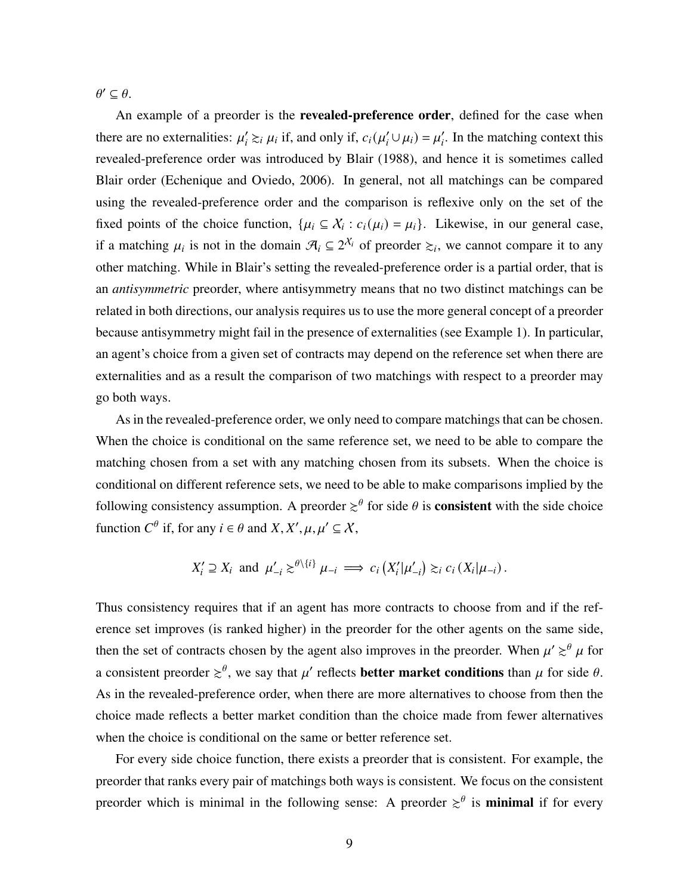$\theta' \subseteq \theta$ .

An example of a preorder is the **revealed-preference order**, defined for the case when there are no externalities:  $\mu'_i \gtrsim_i \mu_i$  if, and only if,  $c_i(\mu'_i \cup \mu_i) = \mu'_i$ . In the matching context this revealed-preference order was introduced by [Blair](#page-35-0) [\(1988\)](#page-35-0), and hence it is sometimes called Blair order [\(Echenique and Oviedo, 2006\)](#page-37-6). In general, not all matchings can be compared using the revealed-preference order and the comparison is reflexive only on the set of the fixed points of the choice function,  $\{\mu_i \subseteq X_i : c_i(\mu_i) = \mu_i\}$ . Likewise, in our general case, if a matching  $\mu_i$  is not in the domain  $\mathcal{A}_i \subseteq 2^{\mathcal{X}_i}$  of preorder  $\succsim_i$ , we cannot compare it to any other matching. While in Blair's setting the revealed-preference order is a partial order, that is an *antisymmetric* preorder, where antisymmetry means that no two distinct matchings can be related in both directions, our analysis requires us to use the more general concept of a preorder because antisymmetry might fail in the presence of externalities (see Example [1\)](#page-17-0). In particular, an agent's choice from a given set of contracts may depend on the reference set when there are externalities and as a result the comparison of two matchings with respect to a preorder may go both ways.

As in the revealed-preference order, we only need to compare matchings that can be chosen. When the choice is conditional on the same reference set, we need to be able to compare the matching chosen from a set with any matching chosen from its subsets. When the choice is conditional on different reference sets, we need to be able to make comparisons implied by the following consistency assumption. A preorder  $\geq^{\theta}$  for side  $\theta$  is **consistent** with the side choice function  $C^{\theta}$  if, for any  $i \in \theta$  and  $X, X', \mu, \mu' \subseteq X$ ,

$$
X'_i \supseteq X_i \text{ and } \mu'_{-i} \gtrsim^{\theta \setminus \{i\}} \mu_{-i} \implies c_i\left(X'_i|\mu'_{-i}\right) \gtrsim_i c_i\left(X_i|\mu_{-i}\right).
$$

Thus consistency requires that if an agent has more contracts to choose from and if the reference set improves (is ranked higher) in the preorder for the other agents on the same side, then the set of contracts chosen by the agent also improves in the preorder. When  $\mu' \gtrsim^{\theta} \mu$  for a consistent preorder  $\gtrsim^{\theta}$ , we say that  $\mu'$  reflects **better market conditions** than  $\mu$  for side  $\theta$ . As in the revealed-preference order, when there are more alternatives to choose from then the choice made reflects a better market condition than the choice made from fewer alternatives when the choice is conditional on the same or better reference set.

For every side choice function, there exists a preorder that is consistent. For example, the preorder that ranks every pair of matchings both ways is consistent. We focus on the consistent preorder which is minimal in the following sense: A preorder  $\geq^{\theta}$  is **minimal** if for every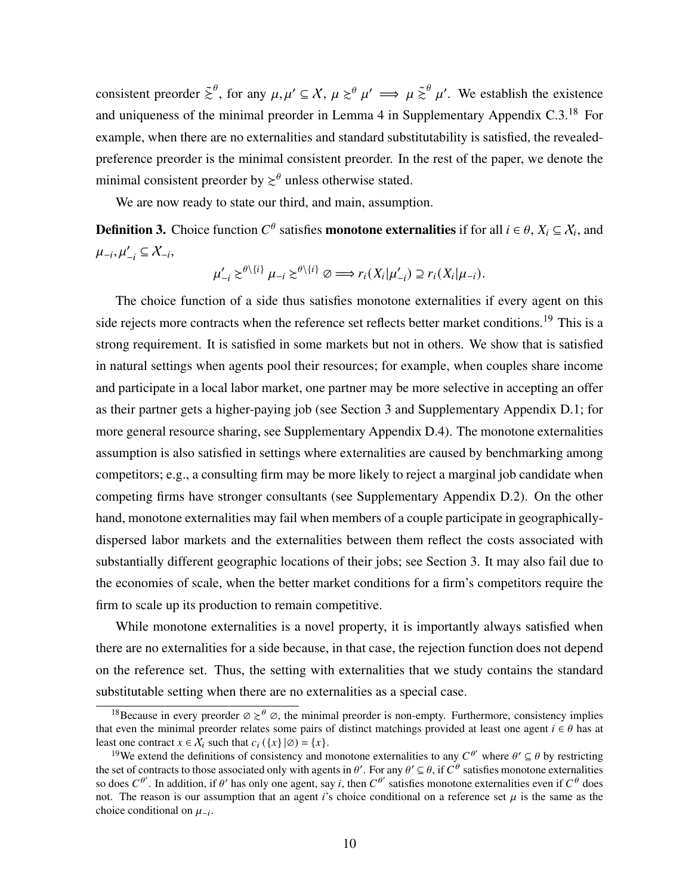consistent preorder  $\tilde{\ge}^{\theta}$ , for any  $\mu, \mu' \subseteq X$ ,  $\mu \geq^{\theta} \mu' \implies \mu \tilde{\ge}^{\theta} \mu'$ . We establish the existence and uniqueness of the minimal preorder in Lemma 4 in Supplementary Appendix C.3.<sup>18</sup> For example, when there are no externalities and standard substitutability is satisfied, the revealedpreference preorder is the minimal consistent preorder. In the rest of the paper, we denote the minimal consistent preorder by  $\geq^{\theta}$  unless otherwise stated.

We are now ready to state our third, and main, assumption.

<span id="page-9-0"></span>**Definition 3.** Choice function  $C^{\theta}$  satisfies **monotone externalities** if for all  $i \in \theta$ ,  $X_i \subseteq X_i$ , and  $\mu_{-i}, \mu'_{-i} \subseteq \mathcal{X}_{-i},$ 

$$
\mu'_{-i} \gtrsim^{\theta \setminus \{i\}} \mu_{-i} \gtrsim^{\theta \setminus \{i\}} \varnothing \Longrightarrow r_i(X_i | \mu'_{-i}) \supseteq r_i(X_i | \mu_{-i}).
$$

The choice function of a side thus satisfies monotone externalities if every agent on this side rejects more contracts when the reference set reflects better market conditions.<sup>19</sup> This is a strong requirement. It is satisfied in some markets but not in others. We show that is satisfied in natural settings when agents pool their resources; for example, when couples share income and participate in a local labor market, one partner may be more selective in accepting an offer as their partner gets a higher-paying job (see Section [3](#page-10-0) and Supplementary Appendix D.1; for more general resource sharing, see Supplementary Appendix D.4). The monotone externalities assumption is also satisfied in settings where externalities are caused by benchmarking among competitors; e.g., a consulting firm may be more likely to reject a marginal job candidate when competing firms have stronger consultants (see Supplementary Appendix D.2). On the other hand, monotone externalities may fail when members of a couple participate in geographicallydispersed labor markets and the externalities between them reflect the costs associated with substantially different geographic locations of their jobs; see Section [3.](#page-10-0) It may also fail due to the economies of scale, when the better market conditions for a firm's competitors require the firm to scale up its production to remain competitive.

While monotone externalities is a novel property, it is importantly always satisfied when there are no externalities for a side because, in that case, the rejection function does not depend on the reference set. Thus, the setting with externalities that we study contains the standard substitutable setting when there are no externalities as a special case.

<sup>&</sup>lt;sup>18</sup>Because in every preorder  $\varnothing \geq^{\theta} \varnothing$ , the minimal preorder is non-empty. Furthermore, consistency implies that even the minimal preorder relates some pairs of distinct matchings provided at least one agent  $i \in \theta$  has at least one contract  $x \in \overline{X}_i$  such that  $c_i (\{x\} | \emptyset) = \{x\}.$ 

<sup>&</sup>lt;sup>19</sup>We extend the definitions of consistency and monotone externalities to any  $C^{\theta'}$  where  $\theta' \subseteq \theta$  by restricting the set of contracts to those associated only with agents in  $\theta'$ . For any  $\theta' \subseteq \theta$ , if  $C^{\theta}$  satisfies monotone externalities so does  $C^{\theta'}$ . In addition, if  $\theta'$  has only one agent, say i, then  $C^{\theta'}$  satisfies monotone externalities even if  $C^{\theta}$  does not. The reason is our assumption that an agent i's choice conditional on a reference set  $\mu$  is the same as the choice conditional on  $\mu_{-i}$ .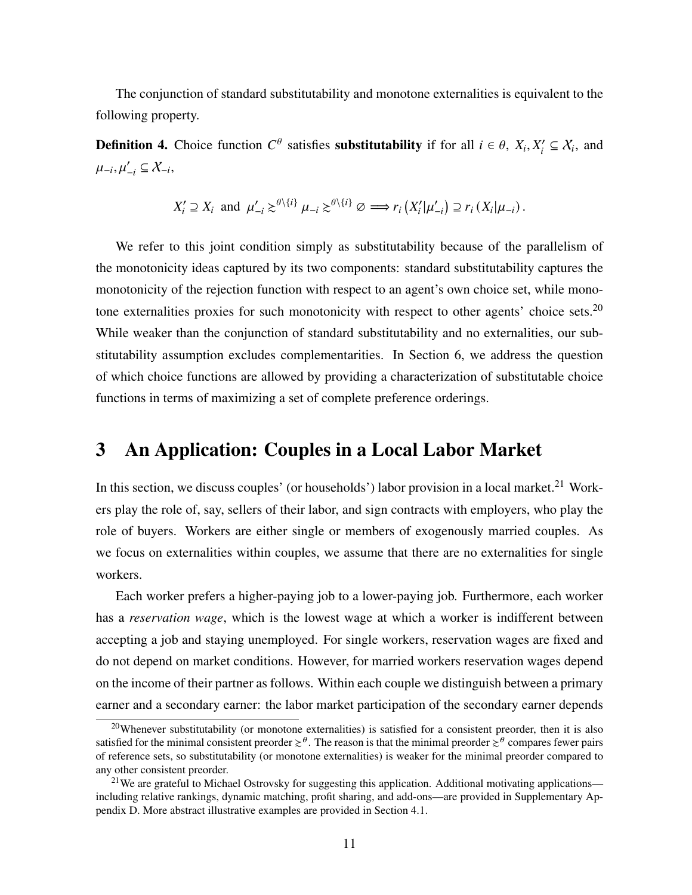The conjunction of standard substitutability and monotone externalities is equivalent to the following property.

**Definition 4.** Choice function  $C^{\theta}$  satisfies **substitutability** if for all  $i \in \theta$ ,  $X_i, X'_i \subseteq X_i$ , and  $\mu_{-i}, \mu'_{-i} \subseteq \mathcal{X}_{-i},$ 

$$
X'_{i} \supseteq X_{i} \text{ and } \mu'_{-i} \gtrsim^{\theta \setminus \{i\}} \mu_{-i} \gtrsim^{\theta \setminus \{i\}} \varnothing \Longrightarrow r_{i} \left(X'_{i} | \mu'_{-i}\right) \supseteq r_{i} \left(X_{i} | \mu_{-i}\right).
$$

We refer to this joint condition simply as substitutability because of the parallelism of the monotonicity ideas captured by its two components: standard substitutability captures the monotonicity of the rejection function with respect to an agent's own choice set, while monotone externalities proxies for such monotonicity with respect to other agents' choice sets.<sup>20</sup> While weaker than the conjunction of standard substitutability and no externalities, our substitutability assumption excludes complementarities. In Section [6,](#page-23-0) we address the question of which choice functions are allowed by providing a characterization of substitutable choice functions in terms of maximizing a set of complete preference orderings.

### <span id="page-10-0"></span>3 An Application: Couples in a Local Labor Market

In this section, we discuss couples' (or households') labor provision in a local market.<sup>21</sup> Workers play the role of, say, sellers of their labor, and sign contracts with employers, who play the role of buyers. Workers are either single or members of exogenously married couples. As we focus on externalities within couples, we assume that there are no externalities for single workers.

Each worker prefers a higher-paying job to a lower-paying job. Furthermore, each worker has a *reservation wage*, which is the lowest wage at which a worker is indifferent between accepting a job and staying unemployed. For single workers, reservation wages are fixed and do not depend on market conditions. However, for married workers reservation wages depend on the income of their partner as follows. Within each couple we distinguish between a primary earner and a secondary earner: the labor market participation of the secondary earner depends

<sup>20</sup>Whenever substitutability (or monotone externalities) is satisfied for a consistent preorder, then it is also satisfied for the minimal consistent preorder  $\gtrsim^{\theta}$ . The reason is that the minimal preorder  $\gtrsim^{\theta}$  compares fewer pairs of reference sets, so substitutability (or monotone externalities) is weaker for the minimal preorder compared to any other consistent preorder.

<sup>&</sup>lt;sup>21</sup>We are grateful to Michael Ostrovsky for suggesting this application. Additional motivating applications including relative rankings, dynamic matching, profit sharing, and add-ons—are provided in Supplementary Appendix D. More abstract illustrative examples are provided in Section [4.1.](#page-17-1)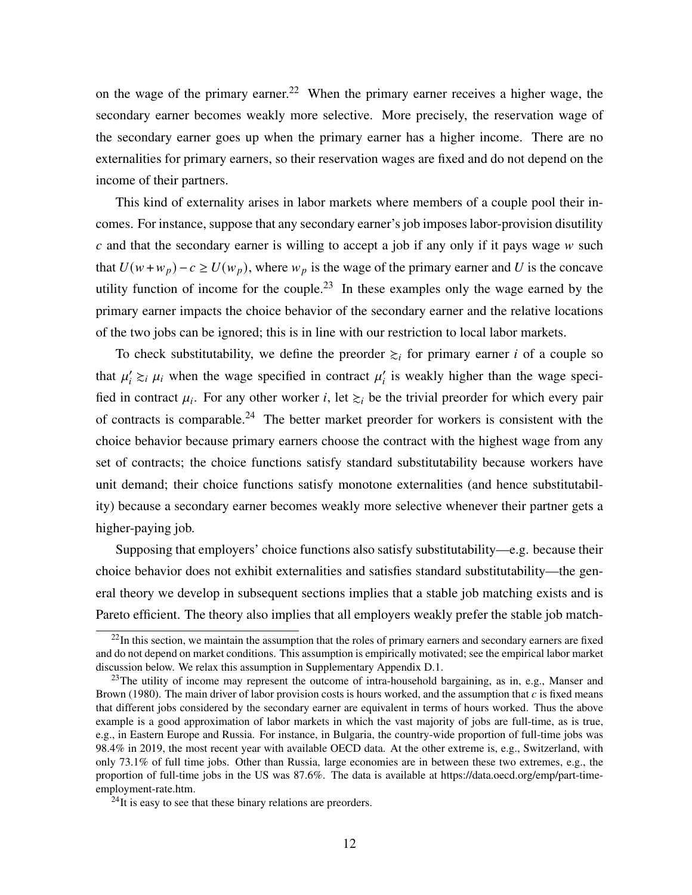on the wage of the primary earner.<sup>22</sup> When the primary earner receives a higher wage, the secondary earner becomes weakly more selective. More precisely, the reservation wage of the secondary earner goes up when the primary earner has a higher income. There are no externalities for primary earners, so their reservation wages are fixed and do not depend on the income of their partners.

This kind of externality arises in labor markets where members of a couple pool their incomes. For instance, suppose that any secondary earner's job imposes labor-provision disutility  $c$  and that the secondary earner is willing to accept a job if any only if it pays wage  $w$  such that  $U(w + w_p) - c \ge U(w_p)$ , where  $w_p$  is the wage of the primary earner and U is the concave utility function of income for the couple.<sup>23</sup> In these examples only the wage earned by the primary earner impacts the choice behavior of the secondary earner and the relative locations of the two jobs can be ignored; this is in line with our restriction to local labor markets.

To check substitutability, we define the preorder  $\geq_i$  for primary earner *i* of a couple so that  $\mu'_i \gtrsim_i \mu_i$  when the wage specified in contract  $\mu'_i$  is weakly higher than the wage specified in contract  $\mu_i$ . For any other worker i, let  $\geq_i$  be the trivial preorder for which every pair of contracts is comparable.<sup>24</sup> The better market preorder for workers is consistent with the choice behavior because primary earners choose the contract with the highest wage from any set of contracts; the choice functions satisfy standard substitutability because workers have unit demand; their choice functions satisfy monotone externalities (and hence substitutability) because a secondary earner becomes weakly more selective whenever their partner gets a higher-paying job.

Supposing that employers' choice functions also satisfy substitutability—e.g. because their choice behavior does not exhibit externalities and satisfies standard substitutability—the general theory we develop in subsequent sections implies that a stable job matching exists and is Pareto efficient. The theory also implies that all employers weakly prefer the stable job match-

 $22$ In this section, we maintain the assumption that the roles of primary earners and secondary earners are fixed and do not depend on market conditions. This assumption is empirically motivated; see the empirical labor market discussion below. We relax this assumption in Supplementary Appendix D.1.

 $23$ The utility of income may represent the outcome of intra-household bargaining, as in, e.g., [Manser and](#page-39-6) [Brown](#page-39-6) [\(1980\)](#page-39-6). The main driver of labor provision costs is hours worked, and the assumption that  $c$  is fixed means that different jobs considered by the secondary earner are equivalent in terms of hours worked. Thus the above example is a good approximation of labor markets in which the vast majority of jobs are full-time, as is true, e.g., in Eastern Europe and Russia. For instance, in Bulgaria, the country-wide proportion of full-time jobs was 98.4% in 2019, the most recent year with available OECD data. At the other extreme is, e.g., Switzerland, with only 73.1% of full time jobs. Other than Russia, large economies are in between these two extremes, e.g., the proportion of full-time jobs in the US was 87.6%. The data is available at https://data.oecd.org/emp/part-timeemployment-rate.htm.

 $^{24}$ It is easy to see that these binary relations are preorders.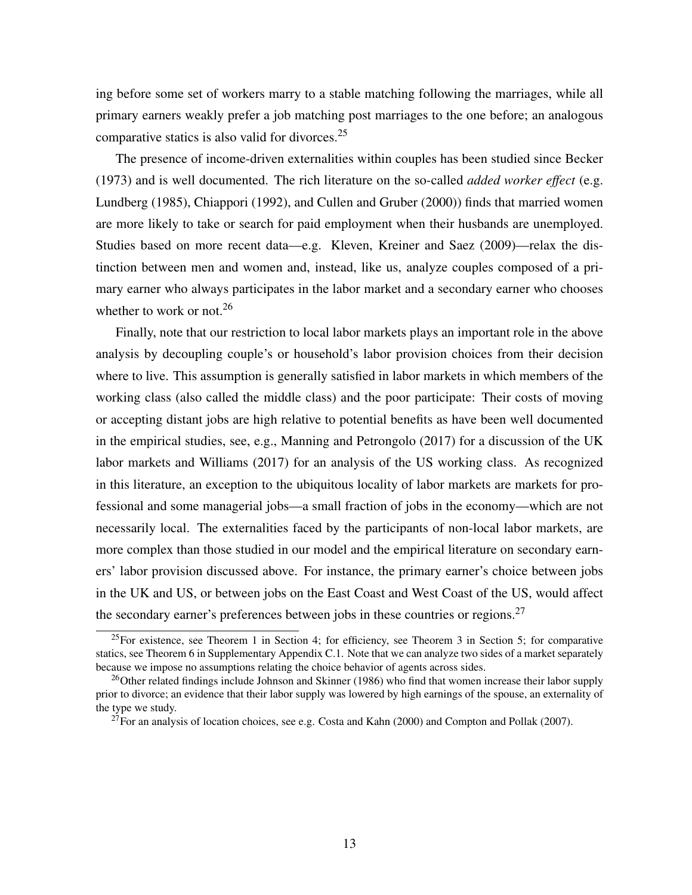ing before some set of workers marry to a stable matching following the marriages, while all primary earners weakly prefer a job matching post marriages to the one before; an analogous comparative statics is also valid for divorces.<sup>25</sup>

The presence of income-driven externalities within couples has been studied since [Becker](#page-35-8) [\(1973\)](#page-35-8) and is well documented. The rich literature on the so-called *added worker effect* (e.g. [Lundberg](#page-39-7) [\(1985\)](#page-39-7), [Chiappori](#page-36-3) [\(1992\)](#page-36-3), and [Cullen and Gruber](#page-36-4) [\(2000\)](#page-36-4)) finds that married women are more likely to take or search for paid employment when their husbands are unemployed. Studies based on more recent data—e.g. [Kleven, Kreiner and Saez](#page-38-9) [\(2009\)](#page-38-9)—relax the distinction between men and women and, instead, like us, analyze couples composed of a primary earner who always participates in the labor market and a secondary earner who chooses whether to work or not.<sup>26</sup>

Finally, note that our restriction to local labor markets plays an important role in the above analysis by decoupling couple's or household's labor provision choices from their decision where to live. This assumption is generally satisfied in labor markets in which members of the working class (also called the middle class) and the poor participate: Their costs of moving or accepting distant jobs are high relative to potential benefits as have been well documented in the empirical studies, see, e.g., [Manning and Petrongolo](#page-39-8) [\(2017\)](#page-39-8) for a discussion of the UK labor markets and [Williams](#page-41-0) [\(2017\)](#page-41-0) for an analysis of the US working class. As recognized in this literature, an exception to the ubiquitous locality of labor markets are markets for professional and some managerial jobs—a small fraction of jobs in the economy—which are not necessarily local. The externalities faced by the participants of non-local labor markets, are more complex than those studied in our model and the empirical literature on secondary earners' labor provision discussed above. For instance, the primary earner's choice between jobs in the UK and US, or between jobs on the East Coast and West Coast of the US, would affect the secondary earner's preferences between jobs in these countries or regions.<sup>27</sup>

<sup>&</sup>lt;sup>25</sup>For existence, see Theorem [1](#page-14-0) in Section [4;](#page-13-0) for efficiency, see Theorem [3](#page-21-0) in Section [5;](#page-21-2) for comparative statics, see Theorem 6 in Supplementary Appendix C.1. Note that we can analyze two sides of a market separately because we impose no assumptions relating the choice behavior of agents across sides.

<sup>&</sup>lt;sup>26</sup>Other related findings include [Johnson and Skinner](#page-38-10) [\(1986\)](#page-38-10) who find that women increase their labor supply prior to divorce; an evidence that their labor supply was lowered by high earnings of the spouse, an externality of the type we study.

 $27$ For an analysis of location choices, see e.g. [Costa and Kahn](#page-36-5) [\(2000\)](#page-36-5) and [Compton and Pollak](#page-36-6) [\(2007\)](#page-36-6).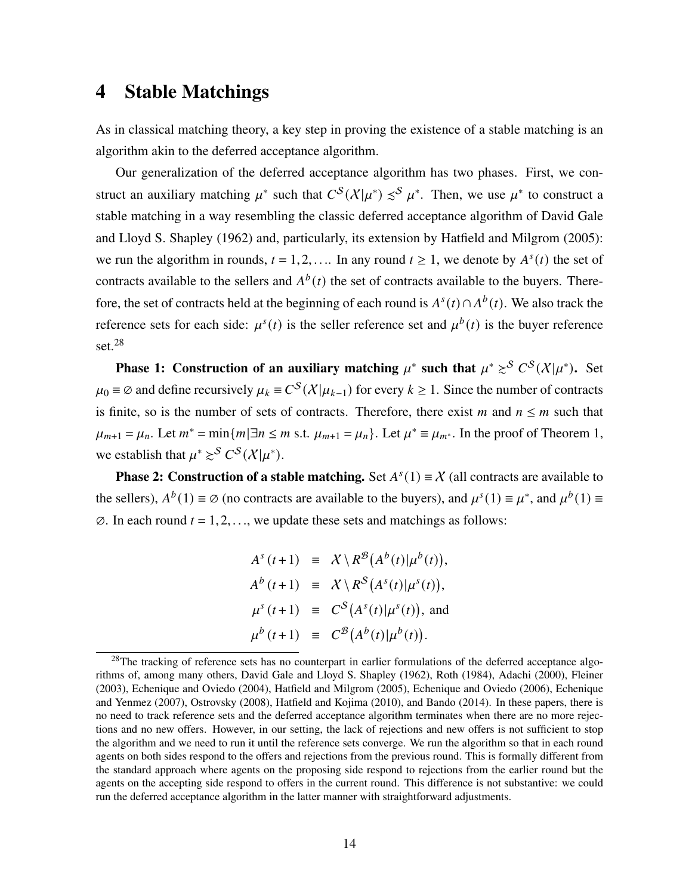### <span id="page-13-0"></span>4 Stable Matchings

As in classical matching theory, a key step in proving the existence of a stable matching is an algorithm akin to the deferred acceptance algorithm.

Our generalization of the deferred acceptance algorithm has two phases. First, we construct an auxiliary matching  $\mu^*$  such that  $C^S(\chi|\mu^*) \preceq^S \mu^*$ . Then, we use  $\mu^*$  to construct a stable matching in a way resembling the classic deferred acceptance algorithm of [David Gale](#page-37-0) [and Lloyd S. Shapley](#page-37-0) [\(1962\)](#page-37-0) and, particularly, its extension by [Hatfield and Milgrom](#page-38-1) [\(2005\)](#page-38-1): we run the algorithm in rounds,  $t = 1, 2, \dots$  In any round  $t \ge 1$ , we denote by  $A^{s}(t)$  the set of contracts available to the sellers and  $A^{b}(t)$  the set of contracts available to the buyers. Therefore, the set of contracts held at the beginning of each round is  $A^{s}(t) \cap A^{b}(t)$ . We also track the reference sets for each side:  $\mu^{s}(t)$  is the seller reference set and  $\mu^{b}(t)$  is the buyer reference set.<sup>28</sup>

Phase 1: Construction of an auxiliary matching  $\mu^*$  such that  $\mu^* \geq^S C^S(\mathcal{X}|\mu^*)$ . Set  $\mu_0 \equiv \emptyset$  and define recursively  $\mu_k \equiv C^S(\mathcal{X}|\mu_{k-1})$  for every  $k \geq 1$ . Since the number of contracts is finite, so is the number of sets of contracts. Therefore, there exist m and  $n \le m$  such that  $\mu_{m+1} = \mu_n$ . Let  $m^* = \min\{m | \exists n \le m \text{ s.t. } \mu_{m+1} = \mu_n\}$ . Let  $\mu^* \equiv \mu_{m^*}$ . In the proof of Theorem [1,](#page-14-0) we establish that  $\mu^* \gtrsim^S C^S(\mathcal{X}|\mu^*)$ .

**Phase 2: Construction of a stable matching.** Set  $A^{s}(1) \equiv X$  (all contracts are available to the sellers),  $A^{b}(1) \equiv \emptyset$  (no contracts are available to the buyers), and  $\mu^{s}(1) \equiv \mu^{*}$ , and  $\mu^{b}(1) \equiv$  $\emptyset$ . In each round  $t = 1, 2, \ldots$ , we update these sets and matchings as follows:

> $A^s(t+1) \equiv X \setminus R^{\mathcal{B}}(A^b(t)|\mu^b(t)),$  $A^{b}(t+1) \equiv X \setminus R^{S}(A^{s}(t)|\mu^{s}(t)),$  $\mu^s(t+1) \equiv C^S(A^s(t)|\mu^s(t)),$  and  $\mu^{b}(t+1) \equiv C^{\mathcal{B}}(A^{b}(t)|\mu^{b}(t)).$

<sup>&</sup>lt;sup>28</sup>The tracking of reference sets has no counterpart in earlier formulations of the deferred acceptance algorithms of, among many others, [David Gale and Lloyd S. Shapley](#page-37-0) [\(1962\)](#page-37-0), [Roth](#page-40-0) [\(1984\)](#page-40-0), [Adachi](#page-34-1) [\(2000\)](#page-34-1), [Fleiner](#page-37-1) [\(2003\)](#page-37-1), [Echenique and Oviedo](#page-37-7) [\(2004\)](#page-37-7), [Hatfield and Milgrom](#page-38-1) [\(2005\)](#page-38-1), [Echenique and Oviedo](#page-37-6) [\(2006\)](#page-37-6), [Echenique](#page-37-5) [and Yenmez](#page-37-5) [\(2007\)](#page-37-5), [Ostrovsky](#page-39-3) [\(2008\)](#page-39-3), [Hatfield and Kojima](#page-38-4) [\(2010\)](#page-38-4), and [Bando](#page-35-2) [\(2014\)](#page-35-2). In these papers, there is no need to track reference sets and the deferred acceptance algorithm terminates when there are no more rejections and no new offers. However, in our setting, the lack of rejections and new offers is not sufficient to stop the algorithm and we need to run it until the reference sets converge. We run the algorithm so that in each round agents on both sides respond to the offers and rejections from the previous round. This is formally different from the standard approach where agents on the proposing side respond to rejections from the earlier round but the agents on the accepting side respond to offers in the current round. This difference is not substantive: we could run the deferred acceptance algorithm in the latter manner with straightforward adjustments.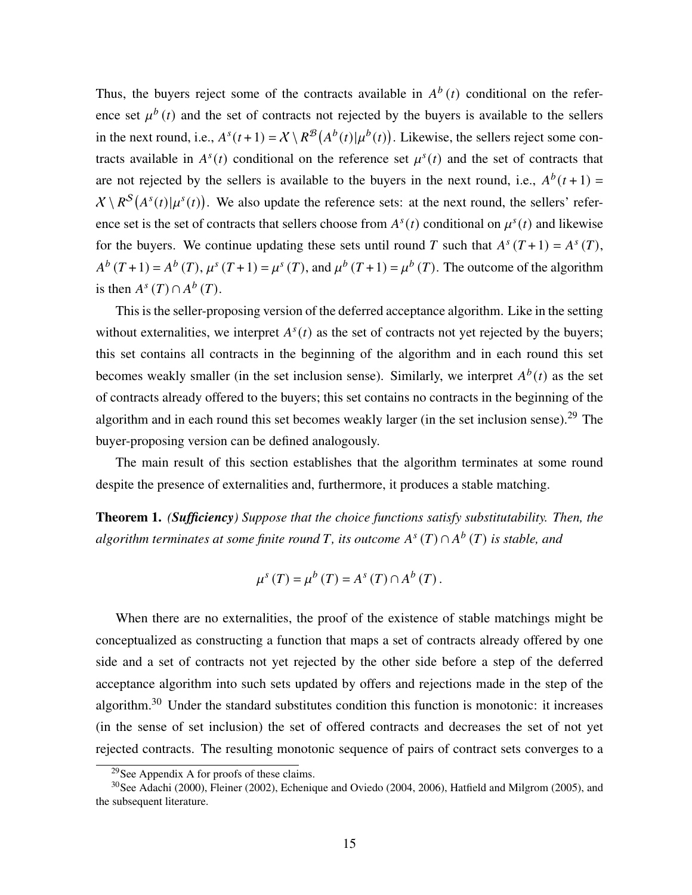Thus, the buyers reject some of the contracts available in  $A^b(t)$  conditional on the reference set  $\mu^{b}(t)$  and the set of contracts not rejected by the buyers is available to the sellers in the next round, i.e.,  $A^{s}(t+1) = X \setminus R^{\mathcal{B}}(A^{b}(t)|\mu^{b}(t))$ . Likewise, the sellers reject some contracts available in  $A^{s}(t)$  conditional on the reference set  $\mu^{s}(t)$  and the set of contracts that are not rejected by the sellers is available to the buyers in the next round, i.e.,  $A^{b}(t+1)$  =  $X \setminus R^S(A<sup>s</sup>(t)|\mu<sup>s</sup>(t))$ . We also update the reference sets: at the next round, the sellers' reference set is the set of contracts that sellers choose from  $A^{s}(t)$  conditional on  $\mu^{s}(t)$  and likewise for the buyers. We continue updating these sets until round T such that  $A^{s}(T+1) = A^{s}(T)$ ,  $A^{b}(T+1) = A^{b}(T), \mu^{s}(T+1) = \mu^{s}(T),$  and  $\mu^{b}(T+1) = \mu^{b}(T)$ . The outcome of the algorithm is then  $A^s(T) \cap A^b(T)$ .

This is the seller-proposing version of the deferred acceptance algorithm. Like in the setting without externalities, we interpret  $A<sup>s</sup>(t)$  as the set of contracts not yet rejected by the buyers; this set contains all contracts in the beginning of the algorithm and in each round this set becomes weakly smaller (in the set inclusion sense). Similarly, we interpret  $A^{b}(t)$  as the set of contracts already offered to the buyers; this set contains no contracts in the beginning of the algorithm and in each round this set becomes weakly larger (in the set inclusion sense).<sup>29</sup> The buyer-proposing version can be defined analogously.

The main result of this section establishes that the algorithm terminates at some round despite the presence of externalities and, furthermore, it produces a stable matching.

<span id="page-14-0"></span>Theorem 1. *(Sufficiency) Suppose that the choice functions satisfy substitutability. Then, the*  $algorithms$  *terminates at some finite round T*, *its outcome*  $A<sup>s</sup>(T) \cap A<sup>b</sup>(T)$  *is stable, and* 

$$
\mu^{s}(T) = \mu^{b}(T) = A^{s}(T) \cap A^{b}(T).
$$

When there are no externalities, the proof of the existence of stable matchings might be conceptualized as constructing a function that maps a set of contracts already offered by one side and a set of contracts not yet rejected by the other side before a step of the deferred acceptance algorithm into such sets updated by offers and rejections made in the step of the algorithm.<sup>30</sup> Under the standard substitutes condition this function is monotonic: it increases (in the sense of set inclusion) the set of offered contracts and decreases the set of not yet rejected contracts. The resulting monotonic sequence of pairs of contract sets converges to a

<sup>29</sup>See Appendix [A](#page-27-0) for proofs of these claims.

<sup>30</sup>See [Adachi](#page-34-1) [\(2000\)](#page-34-1), [Fleiner](#page-37-8) [\(2002\)](#page-37-8), [Echenique and Oviedo](#page-37-7) [\(2004,](#page-37-7) [2006\)](#page-37-6), [Hatfield and Milgrom](#page-38-1) [\(2005\)](#page-38-1), and the subsequent literature.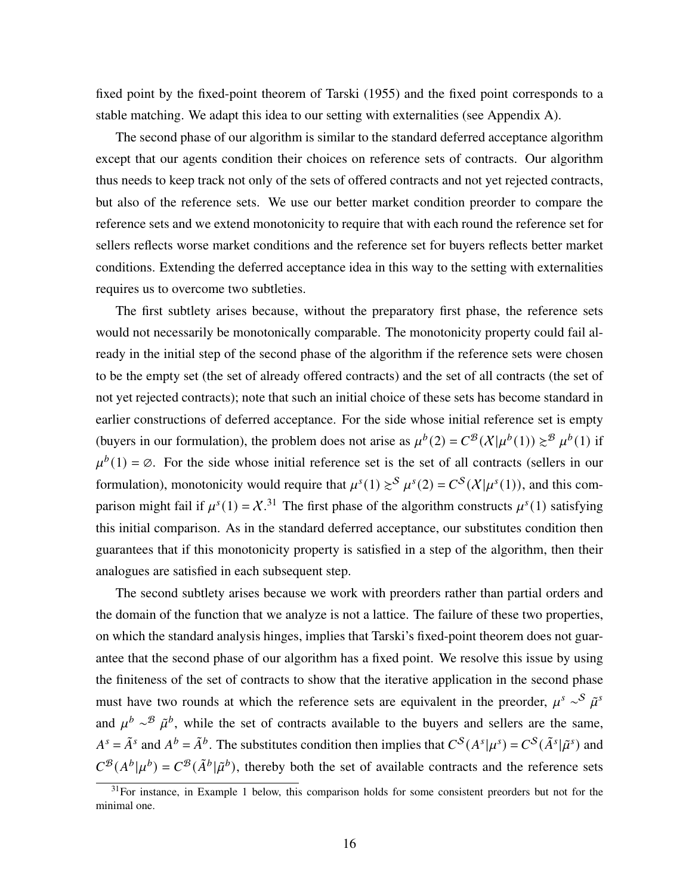fixed point by the fixed-point theorem of [Tarski](#page-40-8) [\(1955\)](#page-40-8) and the fixed point corresponds to a stable matching. We adapt this idea to our setting with externalities (see Appendix [A\)](#page-27-0).

The second phase of our algorithm is similar to the standard deferred acceptance algorithm except that our agents condition their choices on reference sets of contracts. Our algorithm thus needs to keep track not only of the sets of offered contracts and not yet rejected contracts, but also of the reference sets. We use our better market condition preorder to compare the reference sets and we extend monotonicity to require that with each round the reference set for sellers reflects worse market conditions and the reference set for buyers reflects better market conditions. Extending the deferred acceptance idea in this way to the setting with externalities requires us to overcome two subtleties.

The first subtlety arises because, without the preparatory first phase, the reference sets would not necessarily be monotonically comparable. The monotonicity property could fail already in the initial step of the second phase of the algorithm if the reference sets were chosen to be the empty set (the set of already offered contracts) and the set of all contracts (the set of not yet rejected contracts); note that such an initial choice of these sets has become standard in earlier constructions of deferred acceptance. For the side whose initial reference set is empty (buyers in our formulation), the problem does not arise as  $\mu^{b}(2) = C^{B}(\chi|\mu^{b}(1)) \geq^{B} \mu^{b}(1)$  if  $\mu^{b}(1) = \emptyset$ . For the side whose initial reference set is the set of all contracts (sellers in our formulation), monotonicity would require that  $\mu^{s}(1) \geq^{s} \mu^{s}(2) = C^{s}(\mathcal{X}|\mu^{s}(1))$ , and this comparison might fail if  $\mu^s(1) = \chi^{31}$ . The first phase of the algorithm constructs  $\mu^s(1)$  satisfying this initial comparison. As in the standard deferred acceptance, our substitutes condition then guarantees that if this monotonicity property is satisfied in a step of the algorithm, then their analogues are satisfied in each subsequent step.

The second subtlety arises because we work with preorders rather than partial orders and the domain of the function that we analyze is not a lattice. The failure of these two properties, on which the standard analysis hinges, implies that Tarski's fixed-point theorem does not guarantee that the second phase of our algorithm has a fixed point. We resolve this issue by using the finiteness of the set of contracts to show that the iterative application in the second phase must have two rounds at which the reference sets are equivalent in the preorder,  $\mu^s \sim^S \tilde{\mu}^s$ and  $\mu^b \sim^{\mathcal{B}} \tilde{\mu}^b$ , while the set of contracts available to the buyers and sellers are the same,  $A^s = \tilde{A}^s$  and  $A^b = \tilde{A}^b$ . The substitutes condition then implies that  $C^s(A^s|\mu^s) = C^s(\tilde{A}^s|\tilde{\mu}^s)$  and  $C^{\mathcal{B}}(A^{b}|\mu^{b}) = C^{\mathcal{B}}(\tilde{A}^{b}|\tilde{\mu}^{b})$ , thereby both the set of available contracts and the reference sets

<sup>&</sup>lt;sup>31</sup>For instance, in Example [1](#page-17-0) below, this comparison holds for some consistent preorders but not for the minimal one.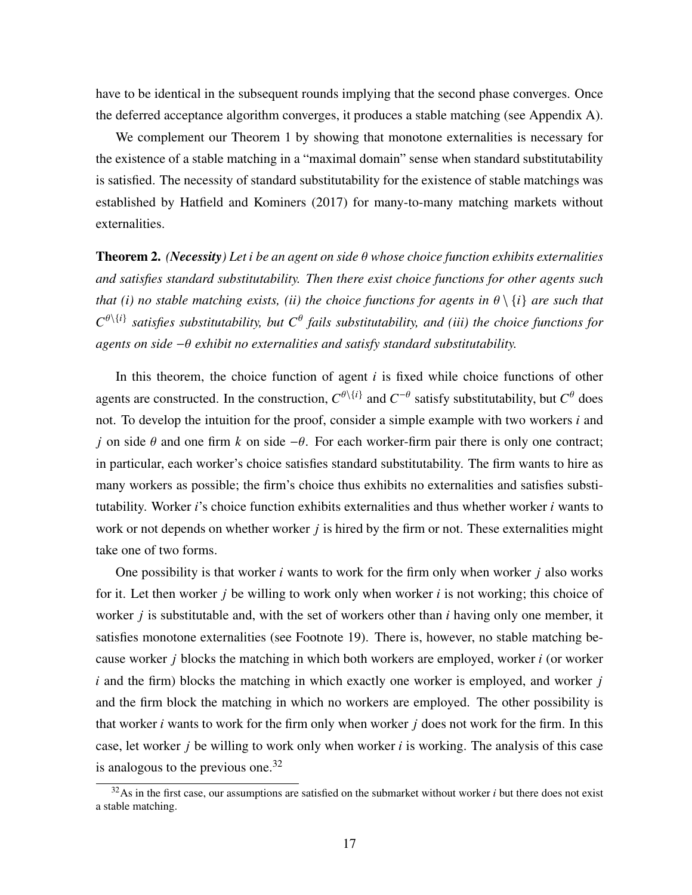have to be identical in the subsequent rounds implying that the second phase converges. Once the deferred acceptance algorithm converges, it produces a stable matching (see Appendix [A\)](#page-27-0).

We complement our Theorem [1](#page-14-0) by showing that monotone externalities is necessary for the existence of a stable matching in a "maximal domain" sense when standard substitutability is satisfied. The necessity of standard substitutability for the existence of stable matchings was established by [Hatfield and Kominers](#page-38-3) [\(2017\)](#page-38-3) for many-to-many matching markets without externalities.

<span id="page-16-0"></span>**Theorem 2.** *(Necessity)* Let *i* be an agent on side  $\theta$  whose choice function exhibits externalities *and satisfies standard substitutability. Then there exist choice functions for other agents such that (i) no stable matching exists, (ii) the choice functions for agents in*  $\theta \setminus \{i\}$  *are such that*  $C^{\theta\setminus\{i\}}$  satisfies substitutability, but  $C^{\theta}$  fails substitutability, and (iii) the choice functions for *agents on side* − *exhibit no externalities and satisfy standard substitutability.*

In this theorem, the choice function of agent  $i$  is fixed while choice functions of other agents are constructed. In the construction,  $C^{\theta \setminus \{i\}}$  and  $C^{-\theta}$  satisfy substitutability, but  $C^{\theta}$  does not. To develop the intuition for the proof, consider a simple example with two workers  $i$  and j on side  $\theta$  and one firm k on side − $\theta$ . For each worker-firm pair there is only one contract; in particular, each worker's choice satisfies standard substitutability. The firm wants to hire as many workers as possible; the firm's choice thus exhibits no externalities and satisfies substitutability. Worker  $i$ 's choice function exhibits externalities and thus whether worker  $i$  wants to work or not depends on whether worker  $j$  is hired by the firm or not. These externalities might take one of two forms.

One possibility is that worker  $i$  wants to work for the firm only when worker  $j$  also works for it. Let then worker  $i$  be willing to work only when worker  $i$  is not working; this choice of worker  $i$  is substitutable and, with the set of workers other than  $i$  having only one member, it satisfies monotone externalities (see Footnote [19\)](#page-9-0). There is, however, no stable matching because worker  $\dot{\rho}$  blocks the matching in which both workers are employed, worker  $\dot{\rho}$  (or worker  $i$  and the firm) blocks the matching in which exactly one worker is employed, and worker  $j$ and the firm block the matching in which no workers are employed. The other possibility is that worker  $i$  wants to work for the firm only when worker  $j$  does not work for the firm. In this case, let worker  $j$  be willing to work only when worker  $i$  is working. The analysis of this case is analogous to the previous one. $32$ 

 $32$ As in the first case, our assumptions are satisfied on the submarket without worker *i* but there does not exist a stable matching.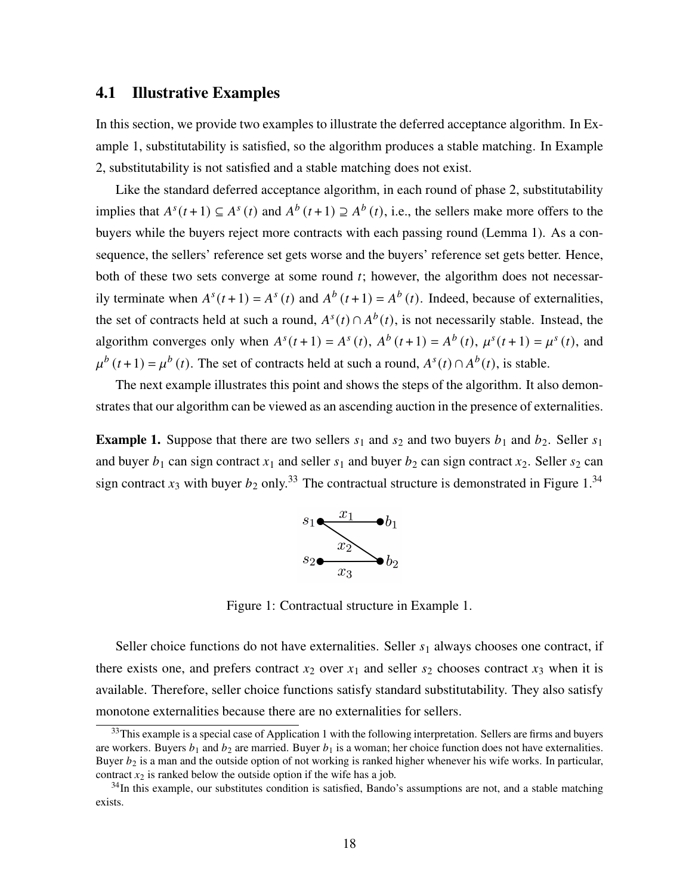#### <span id="page-17-1"></span>4.1 Illustrative Examples

In this section, we provide two examples to illustrate the deferred acceptance algorithm. In Example [1,](#page-17-0) substitutability is satisfied, so the algorithm produces a stable matching. In Example [2,](#page-19-0) substitutability is not satisfied and a stable matching does not exist.

Like the standard deferred acceptance algorithm, in each round of phase 2, substitutability implies that  $A^{s}(t+1) \subseteq A^{s}(t)$  and  $A^{b}(t+1) \supseteq A^{b}(t)$ , i.e., the sellers make more offers to the buyers while the buyers reject more contracts with each passing round (Lemma [1\)](#page-27-1). As a consequence, the sellers' reference set gets worse and the buyers' reference set gets better. Hence, both of these two sets converge at some round  $t$ ; however, the algorithm does not necessarily terminate when  $A^{s}(t+1) = A^{s}(t)$  and  $A^{b}(t+1) = A^{b}(t)$ . Indeed, because of externalities, the set of contracts held at such a round,  $A^{s}(t) \cap A^{b}(t)$ , is not necessarily stable. Instead, the algorithm converges only when  $A^{s}(t+1) = A^{s}(t)$ ,  $A^{b}(t+1) = A^{b}(t)$ ,  $\mu^{s}(t+1) = \mu^{s}(t)$ , and  $\mu^{b}(t+1) = \mu^{b}(t)$ . The set of contracts held at such a round,  $A^{s}(t) \cap A^{b}(t)$ , is stable.

The next example illustrates this point and shows the steps of the algorithm. It also demonstrates that our algorithm can be viewed as an ascending auction in the presence of externalities.

<span id="page-17-0"></span>**Example 1.** Suppose that there are two sellers  $s_1$  and  $s_2$  and two buyers  $b_1$  and  $b_2$ . Seller  $s_1$ and buyer  $b_1$  can sign contract  $x_1$  and seller  $s_1$  and buyer  $b_2$  can sign contract  $x_2$ . Seller  $s_2$  can sign contract  $x_3$  with buyer  $b_2$  only.<sup>33</sup> The contractual structure is demonstrated in Figure [1.](#page-17-2)<sup>34</sup>



<span id="page-17-2"></span>Figure 1: Contractual structure in Example [1.](#page-17-0)

Seller choice functions do not have externalities. Seller  $s_1$  always chooses one contract, if there exists one, and prefers contract  $x_2$  over  $x_1$  and seller  $s_2$  chooses contract  $x_3$  when it is available. Therefore, seller choice functions satisfy standard substitutability. They also satisfy monotone externalities because there are no externalities for sellers.

<sup>&</sup>lt;sup>33</sup>This example is a special case of Application 1 with the following interpretation. Sellers are firms and buyers are workers. Buyers  $b_1$  and  $b_2$  are married. Buyer  $b_1$  is a woman; her choice function does not have externalities. Buyer  $b_2$  is a man and the outside option of not working is ranked higher whenever his wife works. In particular, contract  $x_2$  is ranked below the outside option if the wife has a job.

<sup>&</sup>lt;sup>34</sup>In this example, our substitutes condition is satisfied, Bando's assumptions are not, and a stable matching exists.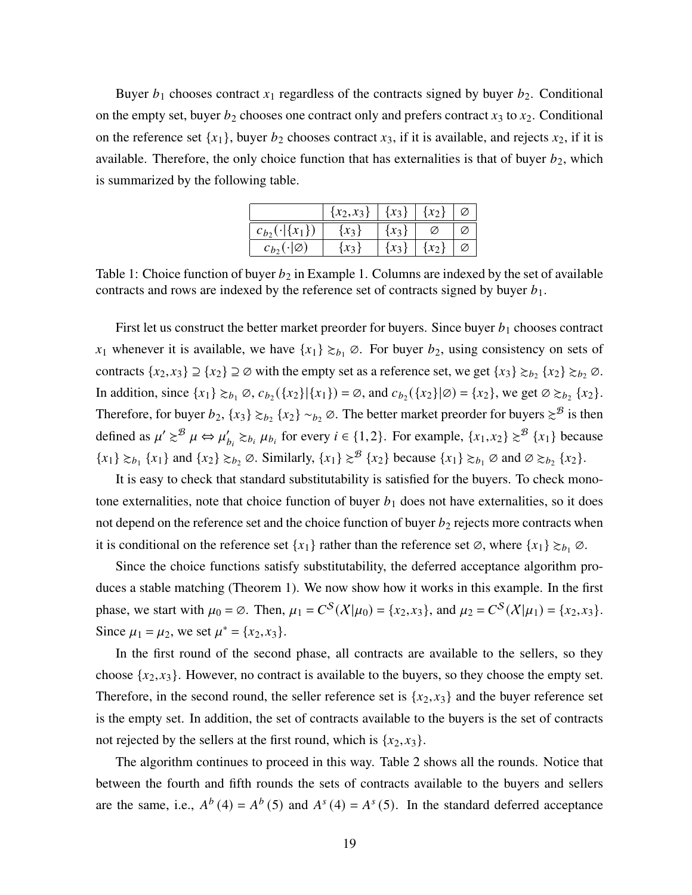Buyer  $b_1$  chooses contract  $x_1$  regardless of the contracts signed by buyer  $b_2$ . Conditional on the empty set, buyer  $b_2$  chooses one contract only and prefers contract  $x_3$  to  $x_2$ . Conditional on the reference set  $\{x_1\}$ , buyer  $b_2$  chooses contract  $x_3$ , if it is available, and rejects  $x_2$ , if it is available. Therefore, the only choice function that has externalities is that of buyer  $b_2$ , which is summarized by the following table.

|                            | ${x_2, x_3}$ ${x_3}$ |           | $\{x_2\}$ |  |
|----------------------------|----------------------|-----------|-----------|--|
| $c_{b_2}(\cdot   \{x_1\})$ | $\{x_3\}$            | $\{x_3\}$ |           |  |
| $c_{b}(\cdot \emptyset)$   | $\{x_3\}$            | $\{x_3\}$ | $\{x_2\}$ |  |

Table 1: Choice function of buyer  $b_2$  in Example [1.](#page-17-0) Columns are indexed by the set of available contracts and rows are indexed by the reference set of contracts signed by buyer  $b_1$ .

First let us construct the better market preorder for buyers. Since buyer  $b_1$  chooses contract  $x_1$  whenever it is available, we have  $\{x_1\} \gtrsim_{b_1} \emptyset$ . For buyer  $b_2$ , using consistency on sets of contracts  $\{x_2, x_3\} \supseteq \{x_2\} \supseteq \emptyset$  with the empty set as a reference set, we get  $\{x_3\} \succcurlyeq_{b_2} \{x_2\} \succcurlyeq_{b_2} \emptyset$ . In addition, since  $\{x_1\} \gtrsim_{b_1} \emptyset$ ,  $c_{b_2}(\{x_2\}|\{x_1\}) = \emptyset$ , and  $c_{b_2}(\{x_2\}|\emptyset) = \{x_2\}$ , we get  $\emptyset \gtrsim_{b_2} \{x_2\}$ . Therefore, for buyer  $b_2$ ,  $\{x_3\} \gtrsim_{b_2} \{x_2\} \sim_{b_2} \emptyset$ . The better market preorder for buyers  $\gtrsim^{\mathcal{B}}$  is then defined as  $\mu' \gtrsim^{\mathcal{B}} \mu \Leftrightarrow \mu'_{b_i} \gtrsim_{b_i} \mu_{b_i}$  for every  $i \in \{1, 2\}$ . For example,  $\{x_1, x_2\} \gtrsim^{\mathcal{B}} \{x_1\}$  because  ${x_1} \geq b_1$  { ${x_1}$ } and { ${x_2} \geq b_2 \varnothing$ . Similarly, { ${x_1} \geq \varnothing$  { ${x_2}$ } because { ${x_1} \geq b_1 \varnothing$  and  $\varnothing \geq b_2$  { ${x_2}$ }.

It is easy to check that standard substitutability is satisfied for the buyers. To check monotone externalities, note that choice function of buyer  $b_1$  does not have externalities, so it does not depend on the reference set and the choice function of buyer  $b_2$  rejects more contracts when it is conditional on the reference set  $\{x_1\}$  rather than the reference set  $\emptyset$ , where  $\{x_1\} \gtrsim_{b_1} \emptyset$ .

Since the choice functions satisfy substitutability, the deferred acceptance algorithm produces a stable matching (Theorem [1\)](#page-14-0). We now show how it works in this example. In the first phase, we start with  $\mu_0 = \emptyset$ . Then,  $\mu_1 = C^S(\mathcal{X}|\mu_0) = \{x_2, x_3\}$ , and  $\mu_2 = C^S(\mathcal{X}|\mu_1) = \{x_2, x_3\}$ . Since  $\mu_1 = \mu_2$ , we set  $\mu^* = \{x_2, x_3\}.$ 

In the first round of the second phase, all contracts are available to the sellers, so they choose  $\{x_2, x_3\}$ . However, no contract is available to the buyers, so they choose the empty set. Therefore, in the second round, the seller reference set is  $\{x_2, x_3\}$  and the buyer reference set is the empty set. In addition, the set of contracts available to the buyers is the set of contracts not rejected by the sellers at the first round, which is  $\{x_2, x_3\}$ .

The algorithm continues to proceed in this way. Table [2](#page-19-1) shows all the rounds. Notice that between the fourth and fifth rounds the sets of contracts available to the buyers and sellers are the same, i.e.,  $A^{b}(4) = A^{b}(5)$  and  $A^{s}(4) = A^{s}(5)$ . In the standard deferred acceptance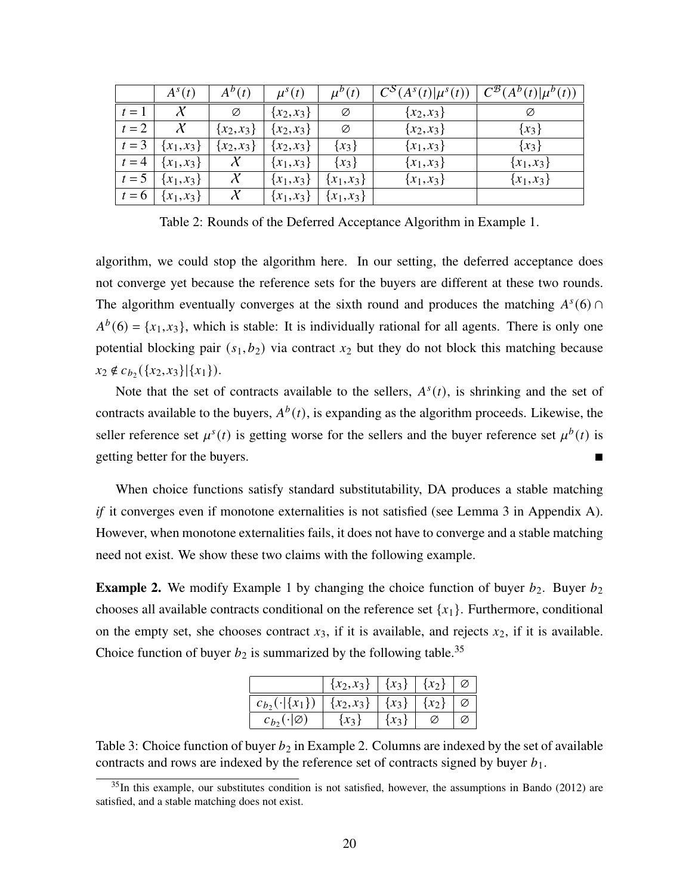|       | $A^{s}(t)$   | $A^{b}(t)$     | $\mu^{s}(t)$ | $\mu^{b}(t)$ | $C^{S}(A^{s}(t) \mu^{s}(t))$ | $C^{B}(A^{b}(t) \mu^{b}(t))$ |
|-------|--------------|----------------|--------------|--------------|------------------------------|------------------------------|
| $t=1$ | $\mathcal X$ | Ø              | ${x_2, x_3}$ | Ø            | ${x_2, x_3}$                 | Ø                            |
| $t=2$ | $\chi$       | $\{x_2, x_3\}$ | ${x_2, x_3}$ | Ø            | ${x_2, x_3}$                 | $\{x_3\}$                    |
| $t=3$ | ${x_1, x_3}$ | $\{x_2, x_3\}$ | ${x_2, x_3}$ | ${x_3}$      | ${x_1, x_3}$                 | ${x_3}$                      |
| $t=4$ | ${x_1, x_3}$ |                | ${x_1, x_3}$ | ${x_3}$      | ${x_1, x_3}$                 | ${x_1, x_3}$                 |
| $t=5$ | ${x_1, x_3}$ |                | ${x_1, x_3}$ | ${x_1, x_3}$ | ${x_1, x_3}$                 | ${x_1, x_3}$                 |
| $t=6$ | ${x_1, x_3}$ |                | ${x_1, x_3}$ | ${x_1, x_3}$ |                              |                              |

<span id="page-19-1"></span>Table 2: Rounds of the Deferred Acceptance Algorithm in Example [1.](#page-17-0)

algorithm, we could stop the algorithm here. In our setting, the deferred acceptance does not converge yet because the reference sets for the buyers are different at these two rounds. The algorithm eventually converges at the sixth round and produces the matching  $A<sup>s</sup>(6)$  ∩  $A^{b}(6) = \{x_1, x_3\}$ , which is stable: It is individually rational for all agents. There is only one potential blocking pair  $(s_1, b_2)$  via contract  $x_2$  but they do not block this matching because  $x_2 \notin c_{b_2}(\lbrace x_2, x_3 \rbrace | \lbrace x_1 \rbrace).$ 

Note that the set of contracts available to the sellers,  $A^{s}(t)$ , is shrinking and the set of contracts available to the buyers,  $A^b(t)$ , is expanding as the algorithm proceeds. Likewise, the seller reference set  $\mu^{s}(t)$  is getting worse for the sellers and the buyer reference set  $\mu^{b}(t)$  is getting better for the buyers.

When choice functions satisfy standard substitutability, DA produces a stable matching *if* it converges even if monotone externalities is not satisfied (see Lemma [3](#page-28-0) in Appendix [A\)](#page-27-0). However, when monotone externalities fails, it does not have to converge and a stable matching need not exist. We show these two claims with the following example.

<span id="page-19-0"></span>**Example 2.** We modify Example [1](#page-17-0) by changing the choice function of buyer  $b_2$ . Buyer  $b_2$ chooses all available contracts conditional on the reference set  $\{x_1\}$ . Furthermore, conditional on the empty set, she chooses contract  $x_3$ , if it is available, and rejects  $x_2$ , if it is available. Choice function of buyer  $b_2$  is summarized by the following table.<sup>35</sup>

|                                                   | ${x_2, x_3}   {x_3}  $ |       | $(x_2$ <sup>+</sup> |  |
|---------------------------------------------------|------------------------|-------|---------------------|--|
| $c_{b_2}(\cdot \{x_1\})   \{x_2, x_3\}   \{x_3\}$ |                        |       | $\{x_2\}$           |  |
| $c_{b_2}(\cdot   \varnothing)$                    | $\{x_3\}$              | $x_3$ |                     |  |

Table 3: Choice function of buyer  $b_2$  in Example [2.](#page-19-0) Columns are indexed by the set of available contracts and rows are indexed by the reference set of contracts signed by buyer  $b_1$ .

 $35$ In this example, our substitutes condition is not satisfied, however, the assumptions in [Bando](#page-35-1) [\(2012\)](#page-35-1) are satisfied, and a stable matching does not exist.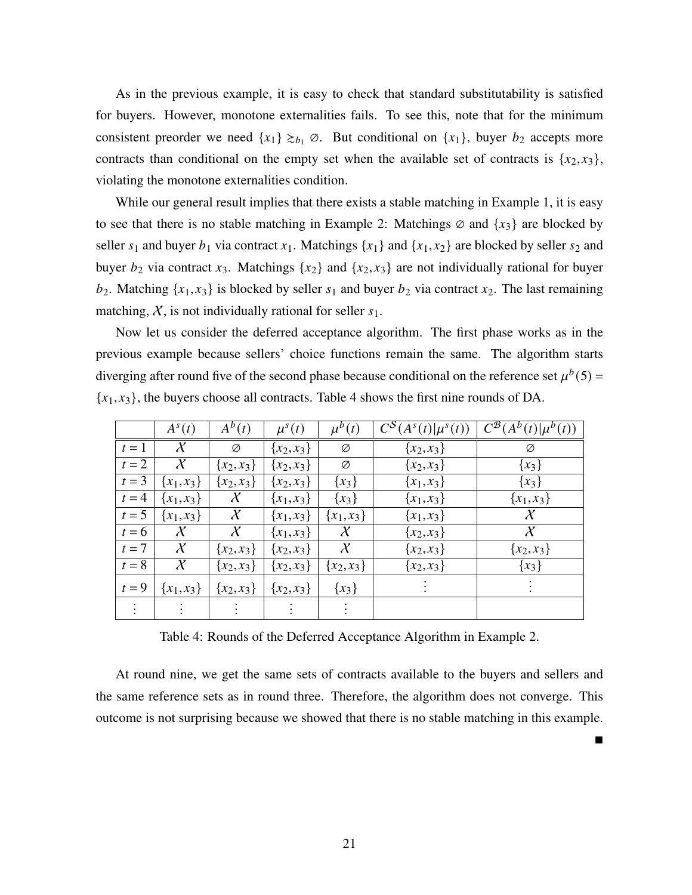As in the previous example, it is easy to check that standard substitutability is satisfied for buyers. However, monotone externalities fails. To see this, note that for the minimum consistent preorder we need  $\{x_1\} \gtrsim_{b_1} \emptyset$ . But conditional on  $\{x_1\}$ , buyer  $b_2$  accepts more contracts than conditional on the empty set when the available set of contracts is  $\{x_2, x_3\}$ , violating the monotone externalities condition.

While our general result implies that there exists a stable matching in Example [1,](#page-17-0) it is easy to see that there is no stable matching in Example [2:](#page-19-0) Matchings  $\emptyset$  and  $\{x_3\}$  are blocked by seller  $s_1$  and buyer  $b_1$  via contract  $x_1$ . Matchings  $\{x_1\}$  and  $\{x_1, x_2\}$  are blocked by seller  $s_2$  and buyer  $b_2$  via contract  $x_3$ . Matchings  $\{x_2\}$  and  $\{x_2, x_3\}$  are not individually rational for buyer  $b_2$ . Matching  $\{x_1, x_3\}$  is blocked by seller  $s_1$  and buyer  $b_2$  via contract  $x_2$ . The last remaining matching,  $X$ , is not individually rational for seller  $s_1$ .

Now let us consider the deferred acceptance algorithm. The first phase works as in the previous example because sellers' choice functions remain the same. The algorithm starts diverging after round five of the second phase because conditional on the reference set  $\mu^{b}(5)$  =  ${x_1, x_3}$ , the buyers choose all contracts. Table [4](#page-20-0) shows the first nine rounds of DA.

|       | $A^{s}(t)$   | $A^b(t)$       | $\mu^{s}(t)$ | $\mu^{b}(t)$   | $C^{S}(A^{s}(t) \mu^{s}(t))$ | $\overline{C^{\mathcal{B}}(A^b(t) \mu^b(t))}$ |
|-------|--------------|----------------|--------------|----------------|------------------------------|-----------------------------------------------|
| $t=1$ | $\mathcal X$ | Ø              | ${x_2, x_3}$ | Ø              | $\{x_2, x_3\}$               | Ø                                             |
| $t=2$ | $\chi$       | $\{x_2, x_3\}$ | ${x_2, x_3}$ | Ø              | $\{x_2, x_3\}$               | $\{x_3\}$                                     |
| $t=3$ | ${x_1, x_3}$ | $\{x_2, x_3\}$ | ${x_2, x_3}$ | ${x_3}$        | ${x_1, x_3}$                 | $\{x_3\}$                                     |
| $t=4$ | ${x_1, x_3}$ | $\chi$         | ${x_1, x_3}$ | ${x_3}$        | ${x_1, x_3}$                 | ${x_1, x_3}$                                  |
| $t=5$ | ${x_1, x_3}$ | $\chi$         | ${x_1, x_3}$ | ${x_1, x_3}$   | ${x_1, x_3}$                 | $\chi$                                        |
| $t=6$ | $\mathcal X$ | $\mathcal X$   | ${x_1, x_3}$ | $\mathcal X$   | $\{x_2, x_3\}$               | $\mathcal X$                                  |
| $t=7$ | $\chi$       | $\{x_2, x_3\}$ | ${x_2, x_3}$ | $\chi$         | ${x_2, x_3}$                 | $\{x_2, x_3\}$                                |
| $t=8$ | $\chi$       | ${x_2, x_3}$   | ${x_2, x_3}$ | $\{x_2, x_3\}$ | $\{x_2, x_3\}$               | $\{x_3\}$                                     |
| $t=9$ | ${x_1, x_3}$ | ${x_2, x_3}$   | ${x_2, x_3}$ | ${x_3}$        |                              |                                               |
|       |              |                |              |                |                              |                                               |

<span id="page-20-0"></span>Table 4: Rounds of the Deferred Acceptance Algorithm in Example [2.](#page-19-0)

At round nine, we get the same sets of contracts available to the buyers and sellers and the same reference sets as in round three. Therefore, the algorithm does not converge. This outcome is not surprising because we showed that there is no stable matching in this example.

 $\blacksquare$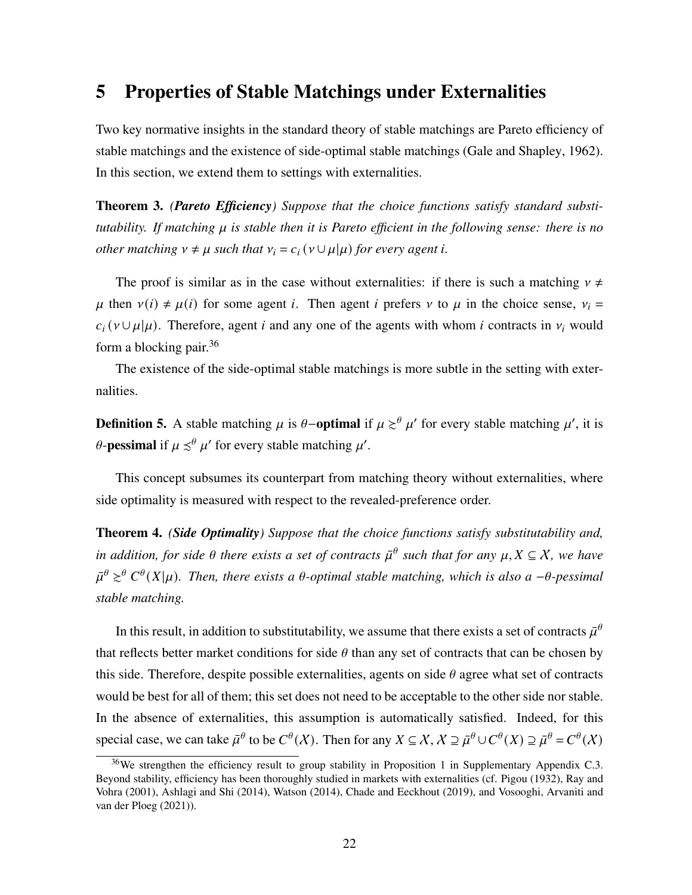### <span id="page-21-2"></span>5 Properties of Stable Matchings under Externalities

Two key normative insights in the standard theory of stable matchings are Pareto efficiency of stable matchings and the existence of side-optimal stable matchings [\(Gale and Shapley, 1962\)](#page-37-0). In this section, we extend them to settings with externalities.

<span id="page-21-0"></span>Theorem 3. *(Pareto Efficiency) Suppose that the choice functions satisfy standard substitutability. If matching is stable then it is Pareto efficient in the following sense: there is no other matching*  $v \neq \mu$  *such that*  $v_i = c_i (v \cup \mu | \mu)$  *for every agent i.* 

The proof is similar as in the case without externalities: if there is such a matching  $v \neq$  $\mu$  then  $v(i) \neq \mu(i)$  for some agent *i*. Then agent *i* prefers  $v$  to  $\mu$  in the choice sense,  $v_i =$  $c_i$  ( $v \cup \mu | \mu$ ). Therefore, agent *i* and any one of the agents with whom *i* contracts in  $v_i$  would form a blocking pair. $36$ 

The existence of the side-optimal stable matchings is more subtle in the setting with externalities.

**Definition 5.** A stable matching  $\mu$  is  $\theta$ -optimal if  $\mu \geq^{\theta} \mu'$  for every stable matching  $\mu'$ , it is  $\theta$ -pessimal if  $\mu \preceq^{\theta} \mu'$  for every stable matching  $\mu'$ .

This concept subsumes its counterpart from matching theory without externalities, where side optimality is measured with respect to the revealed-preference order.

<span id="page-21-1"></span>Theorem 4. *(Side Optimality) Suppose that the choice functions satisfy substitutability and, in addition, for side*  $\theta$  there exists a set of contracts  $\bar{\mu}^{\theta}$  such that for any  $\mu, X \subseteq X$ , we have  $\bar{\mu}^{\theta} \gtrsim^{\theta} C^{\theta}(X|\mu)$ . Then, there exists a  $\theta$ -optimal stable matching, which is also a - $\theta$ -pessimal *stable matching.*

In this result, in addition to substitutability, we assume that there exists a set of contracts  $\bar{\mu}^{\theta}$ that reflects better market conditions for side  $\theta$  than any set of contracts that can be chosen by this side. Therefore, despite possible externalities, agents on side  $\theta$  agree what set of contracts would be best for all of them; this set does not need to be acceptable to the other side nor stable. In the absence of externalities, this assumption is automatically satisfied. Indeed, for this special case, we can take  $\bar{\mu}^{\theta}$  to be  $C^{\theta}(\mathcal{X})$ . Then for any  $X \subseteq \mathcal{X}, \mathcal{X} \supseteq \bar{\mu}^{\theta} \cup C^{\theta}(X) \supseteq \bar{\mu}^{\theta} = C^{\theta}(\mathcal{X})$ 

<sup>&</sup>lt;sup>36</sup>We strengthen the efficiency result to group stability in Proposition 1 in Supplementary Appendix C.3. Beyond stability, efficiency has been thoroughly studied in markets with externalities (cf. [Pigou](#page-39-9) [\(1932\)](#page-39-9), [Ray and](#page-39-10) [Vohra](#page-39-10) [\(2001\)](#page-39-10), [Ashlagi and Shi](#page-35-9) [\(2014\)](#page-35-9), [Watson](#page-41-1) [\(2014\)](#page-41-1), [Chade and Eeckhout](#page-36-7) [\(2019\)](#page-36-7), and [Vosooghi, Arvaniti and](#page-41-2) [van der Ploeg](#page-41-2) [\(2021\)](#page-41-2)).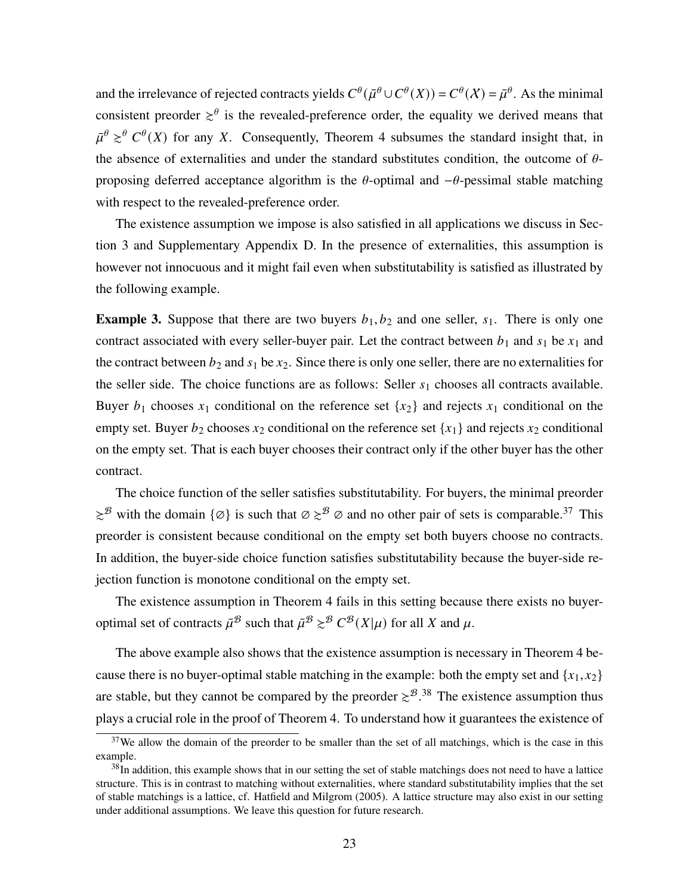and the irrelevance of rejected contracts yields  $C^{\theta}(\bar{\mu}^{\theta} \cup C^{\theta}(X)) = C^{\theta}(X) = \bar{\mu}^{\theta}$ . As the minimal consistent preorder  $\geq^{\theta}$  is the revealed-preference order, the equality we derived means that  $\bar{\mu}^{\theta} \geq^{\theta} C^{\theta}(X)$  for any X. Consequently, Theorem [4](#page-21-1) subsumes the standard insight that, in the absence of externalities and under the standard substitutes condition, the outcome of  $\theta$ proposing deferred acceptance algorithm is the  $\theta$ -optimal and  $-\theta$ -pessimal stable matching with respect to the revealed-preference order.

The existence assumption we impose is also satisfied in all applications we discuss in Section [3](#page-10-0) and Supplementary Appendix D. In the presence of externalities, this assumption is however not innocuous and it might fail even when substitutability is satisfied as illustrated by the following example.

**Example 3.** Suppose that there are two buyers  $b_1, b_2$  and one seller,  $s_1$ . There is only one contract associated with every seller-buyer pair. Let the contract between  $b_1$  and  $s_1$  be  $x_1$  and the contract between  $b_2$  and  $s_1$  be  $x_2$ . Since there is only one seller, there are no externalities for the seller side. The choice functions are as follows: Seller  $s_1$  chooses all contracts available. Buyer  $b_1$  chooses  $x_1$  conditional on the reference set  $\{x_2\}$  and rejects  $x_1$  conditional on the empty set. Buyer  $b_2$  chooses  $x_2$  conditional on the reference set  $\{x_1\}$  and rejects  $x_2$  conditional on the empty set. That is each buyer chooses their contract only if the other buyer has the other contract.

The choice function of the seller satisfies substitutability. For buyers, the minimal preorder  $\gtrsim$ <sup>B</sup> with the domain { $\varnothing$ } is such that  $\varnothing \gtrsim$ <sup>B</sup>  $\varnothing$  and no other pair of sets is comparable.<sup>37</sup> This preorder is consistent because conditional on the empty set both buyers choose no contracts. In addition, the buyer-side choice function satisfies substitutability because the buyer-side rejection function is monotone conditional on the empty set.

The existence assumption in Theorem [4](#page-21-1) fails in this setting because there exists no buyeroptimal set of contracts  $\bar{\mu}^{\mathcal{B}}$  such that  $\bar{\mu}^{\mathcal{B}} \gtrsim^{\mathcal{B}} C^{\mathcal{B}}(X|\mu)$  for all X and  $\mu$ .

The above example also shows that the existence assumption is necessary in Theorem [4](#page-21-1) because there is no buyer-optimal stable matching in the example: both the empty set and  $\{x_1, x_2\}$ are stable, but they cannot be compared by the preorder  $\geq^{8}$ .<sup>38</sup> The existence assumption thus plays a crucial role in the proof of Theorem [4.](#page-21-1) To understand how it guarantees the existence of

 $37$ We allow the domain of the preorder to be smaller than the set of all matchings, which is the case in this example.

<sup>&</sup>lt;sup>38</sup>In addition, this example shows that in our setting the set of stable matchings does not need to have a lattice structure. This is in contrast to matching without externalities, where standard substitutability implies that the set of stable matchings is a lattice, cf. [Hatfield and Milgrom](#page-38-1) [\(2005\)](#page-38-1). A lattice structure may also exist in our setting under additional assumptions. We leave this question for future research.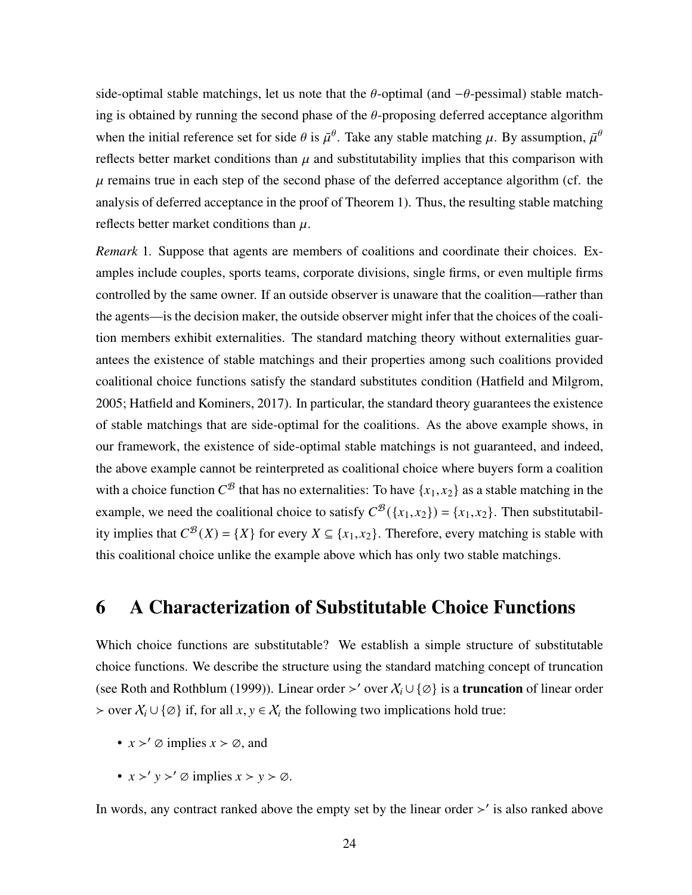side-optimal stable matchings, let us note that the  $\theta$ -optimal (and  $-\theta$ -pessimal) stable matching is obtained by running the second phase of the  $\theta$ -proposing deferred acceptance algorithm when the initial reference set for side  $\theta$  is  $\bar{\mu}^{\theta}$ . Take any stable matching  $\mu$ . By assumption,  $\bar{\mu}^{\theta}$ reflects better market conditions than  $\mu$  and substitutability implies that this comparison with  $\mu$  remains true in each step of the second phase of the deferred acceptance algorithm (cf. the analysis of deferred acceptance in the proof of Theorem [1\)](#page-14-0). Thus, the resulting stable matching reflects better market conditions than  $\mu$ .

*Remark* 1*.* Suppose that agents are members of coalitions and coordinate their choices. Examples include couples, sports teams, corporate divisions, single firms, or even multiple firms controlled by the same owner. If an outside observer is unaware that the coalition—rather than the agents—is the decision maker, the outside observer might infer that the choices of the coalition members exhibit externalities. The standard matching theory without externalities guarantees the existence of stable matchings and their properties among such coalitions provided coalitional choice functions satisfy the standard substitutes condition [\(Hatfield and Milgrom,](#page-38-1) [2005;](#page-38-1) [Hatfield and Kominers, 2017\)](#page-38-3). In particular, the standard theory guarantees the existence of stable matchings that are side-optimal for the coalitions. As the above example shows, in our framework, the existence of side-optimal stable matchings is not guaranteed, and indeed, the above example cannot be reinterpreted as coalitional choice where buyers form a coalition with a choice function  $C^{\mathcal{B}}$  that has no externalities: To have  $\{x_1, x_2\}$  as a stable matching in the example, we need the coalitional choice to satisfy  $C^{B}(\lbrace x_1,x_2 \rbrace) = \lbrace x_1,x_2 \rbrace$ . Then substitutability implies that  $C^{\mathcal{B}}(X) = \{X\}$  for every  $X \subseteq \{x_1, x_2\}$ . Therefore, every matching is stable with this coalitional choice unlike the example above which has only two stable matchings.

### <span id="page-23-0"></span>6 A Characterization of Substitutable Choice Functions

Which choice functions are substitutable? We establish a simple structure of substitutable choice functions. We describe the structure using the standard matching concept of truncation (see [Roth and Rothblum](#page-40-9) [\(1999\)](#page-40-9)). Linear order >' over  $X_i \cup \{\emptyset\}$  is a **truncation** of linear order > over  $X_i \cup \{\emptyset\}$  if, for all  $x, y \in X_i$  the following two implications hold true:

- $x >' \emptyset$  implies  $x > \emptyset$ , and
- $x >' y >' \varnothing$  implies  $x > y > \varnothing$ .

In words, any contract ranked above the empty set by the linear order  $\geq'$  is also ranked above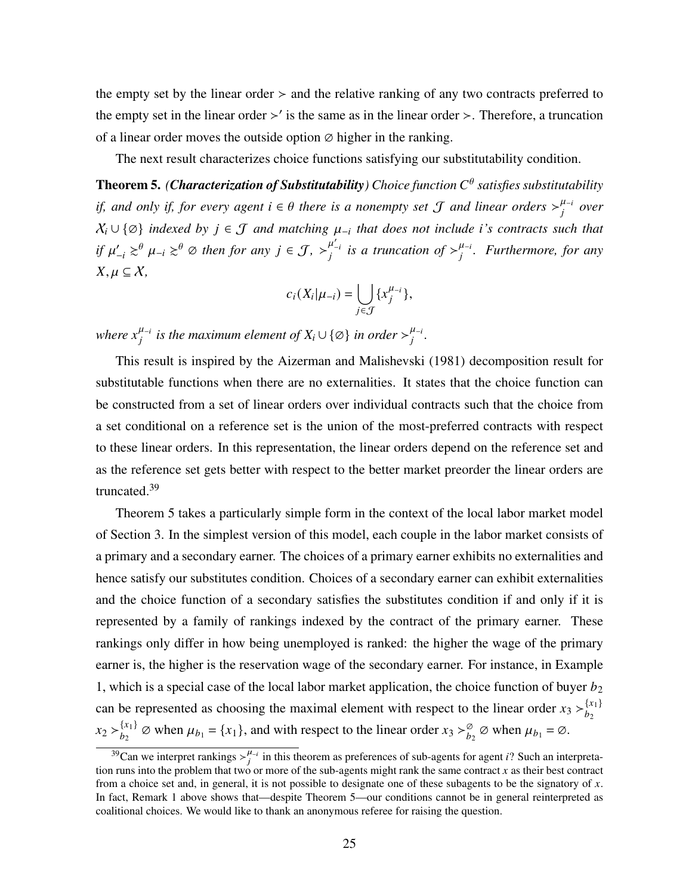the empty set by the linear order  $>$  and the relative ranking of any two contracts preferred to the empty set in the linear order  $\geq$  is the same as in the linear order  $\geq$ . Therefore, a truncation of a linear order moves the outside option  $\varnothing$  higher in the ranking.

The next result characterizes choice functions satisfying our substitutability condition.

<span id="page-24-0"></span>Theorem 5. *(Characterization of Substitutability) Choice function satisfies substitutability if, and only if, for every agent*  $i \in \theta$  there is a nonempty set  $\mathcal J$  and linear orders  $\gt_i^{\mu_{-i}}$  over  $X_i$   $\cup$  { $\emptyset$ } *indexed by*  $j \in J$  *and matching*  $\mu_{-i}$  *that does not include <i>i*'s *contracts such that if*  $\mu'_{-i} \gtrsim^{\theta} \mu_{-i} \gtrsim^{\theta} \varnothing$  then for any  $j \in \mathcal{J}$ ,  $\succ_j^{\mu'_{-i}}$  is a truncation of  $\succ_j^{\mu_{-i}}$ . Furthermore, for any  $X, \mu \subseteq X$ ,

$$
c_i(X_i|\mu_{-i}) = \bigcup_{j \in \mathcal{J}} \{x_j^{\mu_{-i}}\},\,
$$

*where*  $x_i^{\mu_{-i}}$  *is the maximum element of*  $X_i \cup \{\emptyset\}$  *in order*  $>\_i^{\mu_{-i}}$ *.* 

This result is inspired by the [Aizerman and Malishevski](#page-34-0) [\(1981\)](#page-34-0) decomposition result for substitutable functions when there are no externalities. It states that the choice function can be constructed from a set of linear orders over individual contracts such that the choice from a set conditional on a reference set is the union of the most-preferred contracts with respect to these linear orders. In this representation, the linear orders depend on the reference set and as the reference set gets better with respect to the better market preorder the linear orders are truncated.<sup>39</sup>

Theorem [5](#page-24-0) takes a particularly simple form in the context of the local labor market model of Section [3.](#page-10-0) In the simplest version of this model, each couple in the labor market consists of a primary and a secondary earner. The choices of a primary earner exhibits no externalities and hence satisfy our substitutes condition. Choices of a secondary earner can exhibit externalities and the choice function of a secondary satisfies the substitutes condition if and only if it is represented by a family of rankings indexed by the contract of the primary earner. These rankings only differ in how being unemployed is ranked: the higher the wage of the primary earner is, the higher is the reservation wage of the secondary earner. For instance, in Example 1, which is a special case of the local labor market application, the choice function of buyer  $b_2$ can be represented as choosing the maximal element with respect to the linear order  $x_3 >_{b_2}^{\{x_1\}}$  $\overline{b}_2$  $x_2 > b_2^{\{x_1\}}$  ${x_1 \brace b_2}$   $\varnothing$  when  $\mu_{b_1} = \{x_1\}$ , and with respect to the linear order  $x_3 > \frac{\varnothing}{b_2}$   $\varnothing$  when  $\mu_{b_1} = \varnothing$ .

<sup>&</sup>lt;sup>39</sup>Can we interpret rankings  $\frac{\mu}{i}$  in this theorem as preferences of sub-agents for agent *i*? Such an interpretation runs into the problem that two or more of the sub-agents might rank the same contract  $x$  as their best contract from a choice set and, in general, it is not possible to designate one of these subagents to be the signatory of  $x$ . In fact, Remark 1 above shows that—despite Theorem 5—our conditions cannot be in general reinterpreted as coalitional choices. We would like to thank an anonymous referee for raising the question.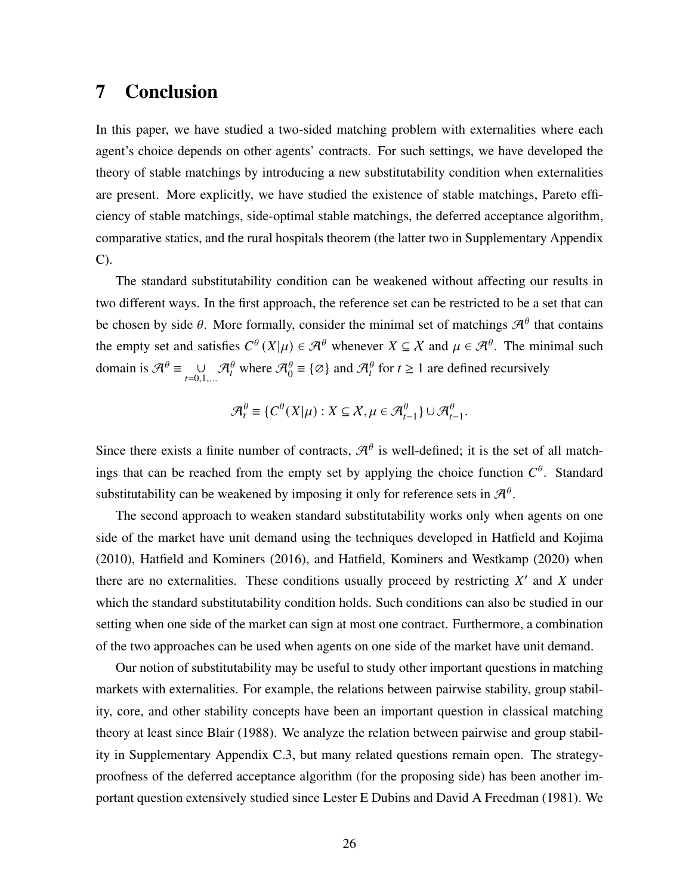### 7 Conclusion

In this paper, we have studied a two-sided matching problem with externalities where each agent's choice depends on other agents' contracts. For such settings, we have developed the theory of stable matchings by introducing a new substitutability condition when externalities are present. More explicitly, we have studied the existence of stable matchings, Pareto efficiency of stable matchings, side-optimal stable matchings, the deferred acceptance algorithm, comparative statics, and the rural hospitals theorem (the latter two in Supplementary Appendix C).

The standard substitutability condition can be weakened without affecting our results in two different ways. In the first approach, the reference set can be restricted to be a set that can be chosen by side  $\theta$ . More formally, consider the minimal set of matchings  $\mathcal{A}^{\theta}$  that contains the empty set and satisfies  $C^{\theta}(X|\mu) \in \mathcal{A}^{\theta}$  whenever  $X \subseteq \mathcal{X}$  and  $\mu \in \mathcal{A}^{\theta}$ . The minimal such domain is  $\mathcal{A}^{\theta} \equiv \bigcup_{t=0,1,...} \mathcal{A}_t^{\theta}$  where  $\mathcal{A}_0^{\theta} \equiv \{\emptyset\}$  and  $\mathcal{A}_t^{\theta}$  for  $t \ge 1$  are defined recursively

$$
\mathcal{A}_t^{\theta} \equiv \{ C^{\theta}(X|\mu) : X \subseteq \mathcal{X}, \mu \in \mathcal{A}_{t-1}^{\theta} \} \cup \mathcal{A}_{t-1}^{\theta}.
$$

Since there exists a finite number of contracts,  $\mathcal{A}^{\theta}$  is well-defined; it is the set of all matchings that can be reached from the empty set by applying the choice function  $C^{\theta}$ . Standard substitutability can be weakened by imposing it only for reference sets in  $\mathcal{A}^{\theta}$ .

The second approach to weaken standard substitutability works only when agents on one side of the market have unit demand using the techniques developed in [Hatfield and Kojima](#page-38-4) [\(2010\)](#page-38-4), [Hatfield and Kominers](#page-38-11) [\(2016\)](#page-38-11), and [Hatfield, Kominers and Westkamp](#page-38-12) [\(2020\)](#page-38-12) when there are no externalities. These conditions usually proceed by restricting  $X'$  and  $X$  under which the standard substitutability condition holds. Such conditions can also be studied in our setting when one side of the market can sign at most one contract. Furthermore, a combination of the two approaches can be used when agents on one side of the market have unit demand.

Our notion of substitutability may be useful to study other important questions in matching markets with externalities. For example, the relations between pairwise stability, group stability, core, and other stability concepts have been an important question in classical matching theory at least since [Blair](#page-35-0) [\(1988\)](#page-35-0). We analyze the relation between pairwise and group stability in Supplementary Appendix C.3, but many related questions remain open. The strategyproofness of the deferred acceptance algorithm (for the proposing side) has been another important question extensively studied since [Lester E Dubins and David A Freedman](#page-36-8) [\(1981\)](#page-36-8). We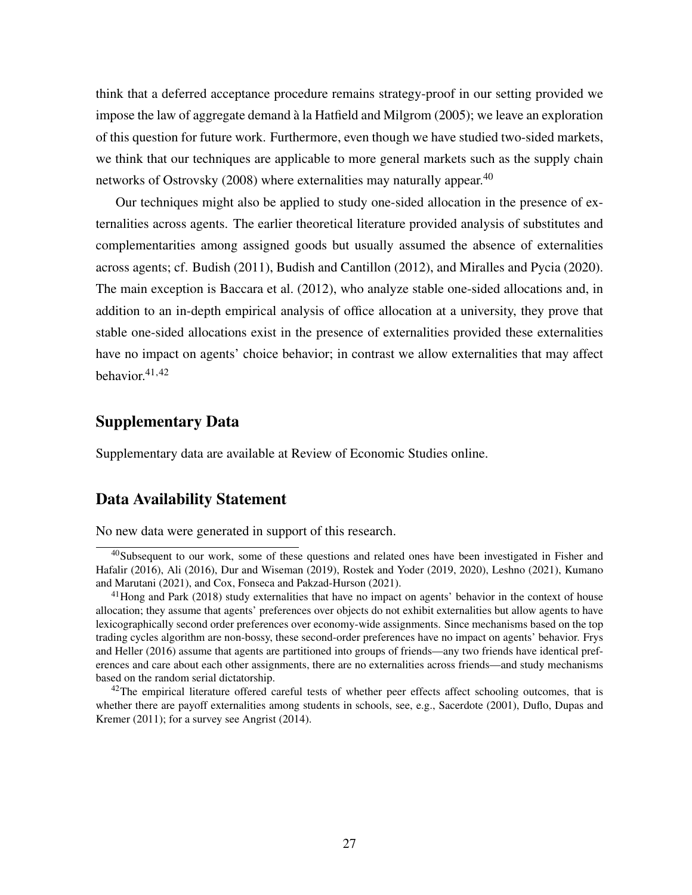think that a deferred acceptance procedure remains strategy-proof in our setting provided we impose the law of aggregate demand à la [Hatfield and Milgrom](#page-38-1) [\(2005\)](#page-38-1); we leave an exploration of this question for future work. Furthermore, even though we have studied two-sided markets, we think that our techniques are applicable to more general markets such as the supply chain networks of [Ostrovsky](#page-39-3) [\(2008\)](#page-39-3) where externalities may naturally appear.<sup>40</sup>

Our techniques might also be applied to study one-sided allocation in the presence of externalities across agents. The earlier theoretical literature provided analysis of substitutes and complementarities among assigned goods but usually assumed the absence of externalities across agents; cf. [Budish](#page-36-9) [\(2011\)](#page-36-9), [Budish and Cantillon](#page-36-10) [\(2012\)](#page-36-10), and [Miralles and Pycia](#page-39-11) [\(2020\)](#page-39-11). The main exception is [Baccara et al.](#page-35-10) [\(2012\)](#page-35-10), who analyze stable one-sided allocations and, in addition to an in-depth empirical analysis of office allocation at a university, they prove that stable one-sided allocations exist in the presence of externalities provided these externalities have no impact on agents' choice behavior; in contrast we allow externalities that may affect behavior. $41,42$ 

#### Supplementary Data

Supplementary data are available at Review of Economic Studies online.

#### Data Availability Statement

No new data were generated in support of this research.

<sup>40</sup>Subsequent to our work, some of these questions and related ones have been investigated in [Fisher and](#page-37-9) [Hafalir](#page-37-9) [\(2016\)](#page-37-9), [Ali](#page-34-2) [\(2016\)](#page-34-2), [Dur and Wiseman](#page-37-10) [\(2019\)](#page-37-10), [Rostek and Yoder](#page-40-10) [\(2019,](#page-40-10) [2020\)](#page-40-11), [Leshno](#page-39-12) [\(2021\)](#page-39-12), [Kumano](#page-39-13) [and Marutani](#page-39-13) [\(2021\)](#page-39-13), and [Cox, Fonseca and Pakzad-Hurson](#page-36-11) [\(2021\)](#page-36-11).

<sup>&</sup>lt;sup>41</sup>[Hong and Park](#page-38-13) [\(2018\)](#page-38-13) study externalities that have no impact on agents' behavior in the context of house allocation; they assume that agents' preferences over objects do not exhibit externalities but allow agents to have lexicographically second order preferences over economy-wide assignments. Since mechanisms based on the top trading cycles algorithm are non-bossy, these second-order preferences have no impact on agents' behavior. [Frys](#page-37-11) [and Heller](#page-37-11) [\(2016\)](#page-37-11) assume that agents are partitioned into groups of friends—any two friends have identical preferences and care about each other assignments, there are no externalities across friends—and study mechanisms based on the random serial dictatorship.

<sup>&</sup>lt;sup>42</sup>The empirical literature offered careful tests of whether peer effects affect schooling outcomes, that is whether there are payoff externalities among students in schools, see, e.g., [Sacerdote](#page-40-12) [\(2001\)](#page-40-12), [Duflo, Dupas and](#page-37-12) [Kremer](#page-37-12) [\(2011\)](#page-37-12); for a survey see [Angrist](#page-35-11) [\(2014\)](#page-35-11).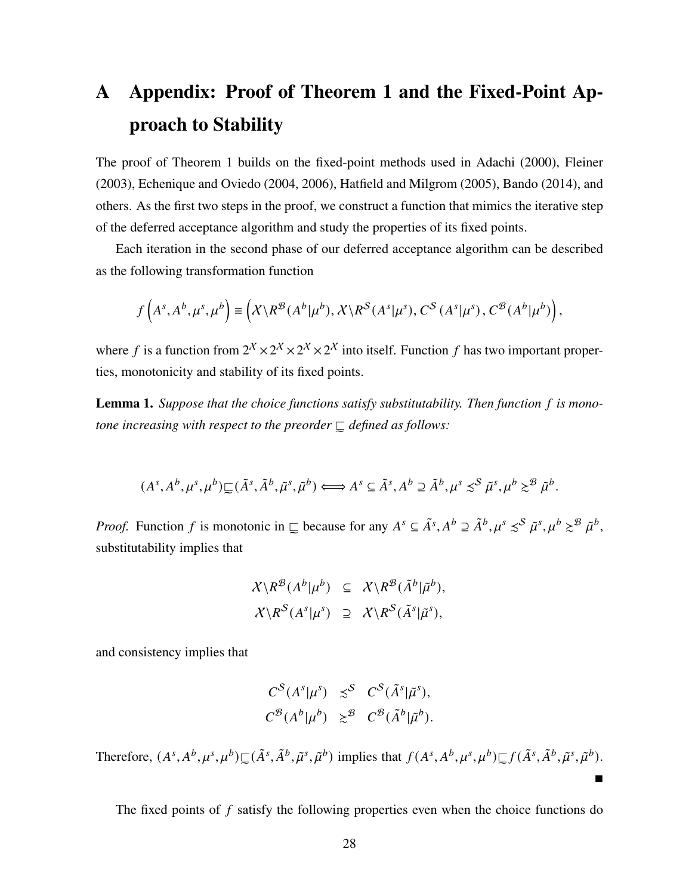# <span id="page-27-0"></span>A Appendix: Proof of Theorem [1](#page-14-0) and the Fixed-Point Approach to Stability

The proof of Theorem [1](#page-14-0) builds on the fixed-point methods used in [Adachi](#page-34-1) [\(2000\)](#page-34-1), [Fleiner](#page-37-1) [\(2003\)](#page-37-1), [Echenique and Oviedo](#page-37-7) [\(2004,](#page-37-7) [2006\)](#page-37-6), [Hatfield and Milgrom](#page-38-1) [\(2005\)](#page-38-1), [Bando](#page-35-2) [\(2014\)](#page-35-2), and others. As the first two steps in the proof, we construct a function that mimics the iterative step of the deferred acceptance algorithm and study the properties of its fixed points.

Each iteration in the second phase of our deferred acceptance algorithm can be described as the following transformation function

$$
f\left(A^{s}, A^{b}, \mu^{s}, \mu^{b}\right) \equiv \left(X\backslash R^{\mathcal{B}}(A^{b}|\mu^{b}), X\backslash R^{\mathcal{S}}(A^{s}|\mu^{s}), C^{\mathcal{S}}(A^{s}|\mu^{s}), C^{\mathcal{B}}(A^{b}|\mu^{b})\right),
$$

where f is a function from  $2^X \times 2^X \times 2^X \times 2^X$  into itself. Function f has two important properties, monotonicity and stability of its fixed points.

<span id="page-27-1"></span>Lemma 1. Suppose that the choice functions satisfy substitutability. Then function f is monotone increasing with respect to the preorder  $\Box$  defined as follows:

$$
(As, Ab, \mus, \mub) \sqsubseteq (\tilde{A}s, \tilde{A}b, \tilde{\mu}s, \tilde{\mu}b) \Longleftrightarrow As \subseteq \tilde{A}s, Ab \supseteq \tilde{A}b, \mus \lesssim^S \tilde{\mu}s, \mub \gtrsim^B \tilde{\mu}b.
$$

*Proof.* Function f is monotonic in  $\subseteq$  because for any  $A^s \subseteq \tilde{A}^s, A^b \supseteq \tilde{A}^b, \mu^s \precsim^S \tilde{\mu}^s, \mu^b \succ^B \tilde{\mu}^b$ , substitutability implies that

$$
\mathcal{X} \backslash R^{\mathcal{B}}(A^b | \mu^b) \subseteq \mathcal{X} \backslash R^{\mathcal{B}}(\tilde{A}^b | \tilde{\mu}^b),
$$
  

$$
\mathcal{X} \backslash R^S(A^s | \mu^s) \supseteq \mathcal{X} \backslash R^S(\tilde{A}^s | \tilde{\mu}^s),
$$

and consistency implies that

$$
C^{S}(A^{s}|\mu^{s}) \preceq^{S} C^{S}(\tilde{A}^{s}|\tilde{\mu}^{s}),
$$
  

$$
C^{B}(A^{b}|\mu^{b}) \succeq^{B} C^{B}(\tilde{A}^{b}|\tilde{\mu}^{b}).
$$

Therefore,  $(A^s, A^b, \mu^s, \mu^b) \subseteq (\tilde{A}^s, \tilde{A}^b, \tilde{\mu}^s, \tilde{\mu}^b)$  implies that  $f(A^s, A^b, \mu^s, \mu^b) \subseteq f(\tilde{A}^s, \tilde{A}^b, \tilde{\mu}^s, \tilde{\mu}^b)$ .

The fixed points of  $f$  satisfy the following properties even when the choice functions do

 $\blacksquare$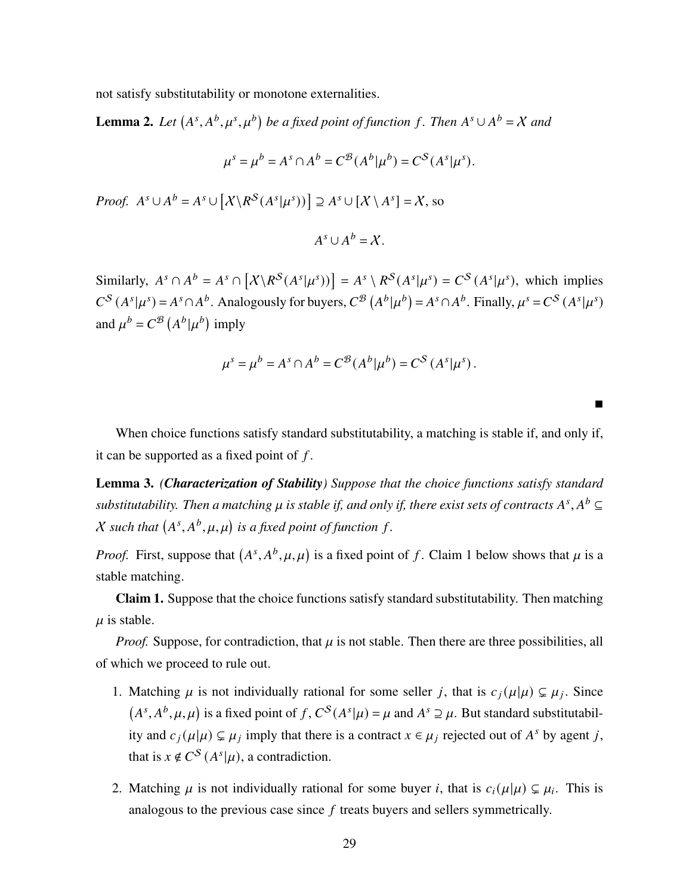not satisfy substitutability or monotone externalities.

<span id="page-28-1"></span>**Lemma 2.** Let  $(A^s, A^b, \mu^s, \mu^b)$  be a fixed point of function f. Then  $A^s \cup A^b = X$  and

$$
\mu^s = \mu^b = A^s \cap A^b = C^B(A^b | \mu^b) = C^S(A^s | \mu^s).
$$

*Proof.*  $A^s \cup A^b = A^s \cup [\mathcal{X} \backslash R^S(A^s | \mu^s))] \supseteq A^s \cup [\mathcal{X} \backslash A^s] = \mathcal{X}$ , so

$$
A^s \cup A^b = \mathcal{X}.
$$

Similarly,  $A^s \cap A^b = A^s \cap [\chi \backslash R^S(A^s | \mu^s))] = A^s \backslash R^S(A^s | \mu^s) = C^S(A^s | \mu^s)$ , which implies  $C^{S}(A^{s}|\mu^{s}) = A^{s} \cap A^{b}$ . Analogously for buyers,  $C^{B}(A^{b}|\mu^{b}) = A^{s} \cap A^{b}$ . Finally,  $\mu^{s} = C^{S}(A^{s}|\mu^{s})$ and  $\mu^{b} = C^{B} (A^{b} | \mu^{b})$  imply

$$
\mu^{s} = \mu^{b} = A^{s} \cap A^{b} = C^{\mathcal{B}}(A^{b} | \mu^{b}) = C^{S} (A^{s} | \mu^{s}).
$$

 $\blacksquare$ 

When choice functions satisfy standard substitutability, a matching is stable if, and only if, it can be supported as a fixed point of  $f$ .

<span id="page-28-0"></span>Lemma 3. *(Characterization of Stability) Suppose that the choice functions satisfy standard* substitutability. Then a matching  $\mu$  is stable if, and only if, there exist sets of contracts  $A^s, A^b$   $\subseteq$ *X* such that  $(A^s, A^b, \mu, \mu)$  is a fixed point of function f.

*Proof.* First, suppose that  $(A^s, A^b, \mu, \mu)$  is a fixed point of f. Claim 1 below shows that  $\mu$  is a stable matching.

Claim 1. Suppose that the choice functions satisfy standard substitutability. Then matching  $\mu$  is stable.

*Proof.* Suppose, for contradiction, that  $\mu$  is not stable. Then there are three possibilities, all of which we proceed to rule out.

- 1. Matching  $\mu$  is not individually rational for some seller j, that is  $c_j(\mu|\mu) \subsetneq \mu_j$ . Since  $(A^s, A^b, \mu, \mu)$  is a fixed point of f,  $C^S(A^s|\mu) = \mu$  and  $A^s \supseteq \mu$ . But standard substitutability and  $c_j(\mu|\mu) \subsetneq \mu_j$  imply that there is a contract  $x \in \mu_j$  rejected out of  $A^s$  by agent j, that is  $x \notin C^{S}(A^{s}|\mu)$ , a contradiction.
- 2. Matching  $\mu$  is not individually rational for some buyer *i*, that is  $c_i(\mu|\mu) \subsetneq \mu_i$ . This is analogous to the previous case since  $f$  treats buyers and sellers symmetrically.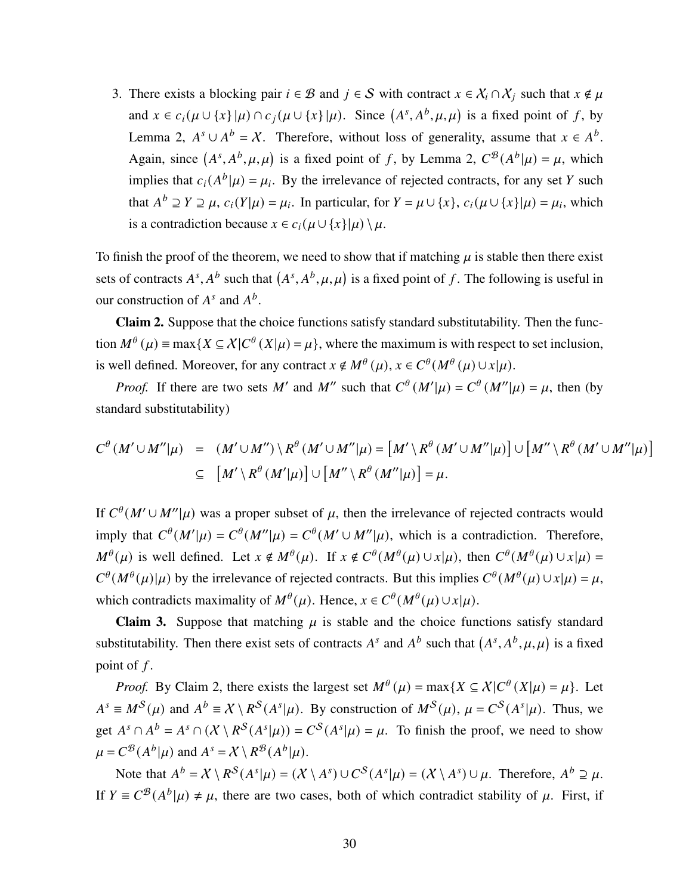3. There exists a blocking pair  $i \in \mathcal{B}$  and  $j \in \mathcal{S}$  with contract  $x \in \mathcal{X}_i \cap \mathcal{X}_j$  such that  $x \notin \mu$ and  $x \in c_i(\mu \cup \{x\} | \mu) \cap c_j(\mu \cup \{x\} | \mu)$ . Since  $(A^s, A^b, \mu, \mu)$  is a fixed point of f, by Lemma [2,](#page-28-1)  $A^s \cup A^b = X$ . Therefore, without loss of generality, assume that  $x \in A^b$ . Again, since  $(A^s, A^b, \mu, \mu)$  is a fixed point of f, by Lemma [2,](#page-28-1)  $C^{\mathcal{B}}(A^b|\mu) = \mu$ , which implies that  $c_i(A^b|\mu) = \mu_i$ . By the irrelevance of rejected contracts, for any set Y such that  $A^b \supseteq Y \supseteq \mu$ ,  $c_i(Y|\mu) = \mu_i$ . In particular, for  $Y = \mu \cup \{x\}$ ,  $c_i(\mu \cup \{x\}|\mu) = \mu_i$ , which is a contradiction because  $x \in c_i(\mu \cup \{x\}|\mu) \setminus \mu$ .

To finish the proof of the theorem, we need to show that if matching  $\mu$  is stable then there exist sets of contracts  $A^s$ ,  $A^b$  such that  $(A^s, A^b, \mu, \mu)$  is a fixed point of f. The following is useful in our construction of  $A^s$  and  $A^b$ .

Claim 2. Suppose that the choice functions satisfy standard substitutability. Then the function  $M^{\theta}(\mu) \equiv \max\{X \subseteq \chi | C^{\theta}(X|\mu) = \mu\}$ , where the maximum is with respect to set inclusion, is well defined. Moreover, for any contract  $x \notin M^{\theta}(\mu)$ ,  $x \in C^{\theta}(M^{\theta}(\mu) \cup x|\mu)$ .

*Proof.* If there are two sets M' and M'' such that  $C^{\theta}(M'|\mu) = C^{\theta}(M''|\mu) = \mu$ , then (by standard substitutability)

$$
C^{\theta}(M' \cup M''|\mu) = (M' \cup M'') \setminus R^{\theta}(M' \cup M''|\mu) = [M' \setminus R^{\theta}(M' \cup M''|\mu)] \cup [M'' \setminus R^{\theta}(M' \cup M''|\mu)]
$$
  
\n
$$
\subseteq [M' \setminus R^{\theta}(M'|\mu)] \cup [M'' \setminus R^{\theta}(M''|\mu)] = \mu.
$$

If  $C^{\theta}(M' \cup M''|\mu)$  was a proper subset of  $\mu$ , then the irrelevance of rejected contracts would imply that  $C^{\theta}(M'|\mu) = C^{\theta}(M''|\mu) = C^{\theta}(M' \cup M''|\mu)$ , which is a contradiction. Therefore,  $M^{\theta}(\mu)$  is well defined. Let  $x \notin M^{\theta}(\mu)$ . If  $x \notin C^{\theta}(M^{\theta}(\mu) \cup x | \mu)$ , then  $C^{\theta}(M^{\theta}(\mu) \cup x | \mu)$  $C^{\theta}(M^{\theta}(\mu)|\mu)$  by the irrelevance of rejected contracts. But this implies  $C^{\theta}(M^{\theta}(\mu) \cup x|\mu) = \mu$ , which contradicts maximality of  $M^{\theta}(\mu)$ . Hence,  $x \in C^{\theta}(M^{\theta}(\mu) \cup x | \mu)$ .

**Claim 3.** Suppose that matching  $\mu$  is stable and the choice functions satisfy standard substitutability. Then there exist sets of contracts  $A^s$  and  $A^b$  such that  $(A^s, A^b, \mu, \mu)$  is a fixed point of  $f$ .

*Proof.* By Claim 2, there exists the largest set  $M^{\theta}(\mu) = \max\{X \subseteq X | C^{\theta}(X|\mu) = \mu\}$ . Let  $A^s \equiv M^S(\mu)$  and  $A^b \equiv X \setminus R^S(A^s|\mu)$ . By construction of  $M^S(\mu)$ ,  $\mu = C^S(A^s|\mu)$ . Thus, we get  $A^s \cap A^b = A^s \cap (\mathcal{X} \setminus R^S(A^s | \mu)) = C^S(A^s | \mu) = \mu$ . To finish the proof, we need to show  $\mu = C^{\mathcal{B}}(A^b|\mu)$  and  $A^s = X \setminus R^{\mathcal{B}}(A^b|\mu)$ .

Note that  $A^b = X \setminus R^S(A^s | \mu) = (X \setminus A^s) \cup C^S(A^s | \mu) = (X \setminus A^s) \cup \mu$ . Therefore,  $A^b \supseteq \mu$ . If  $Y = C^{B}(A^{b}|\mu) \neq \mu$ , there are two cases, both of which contradict stability of  $\mu$ . First, if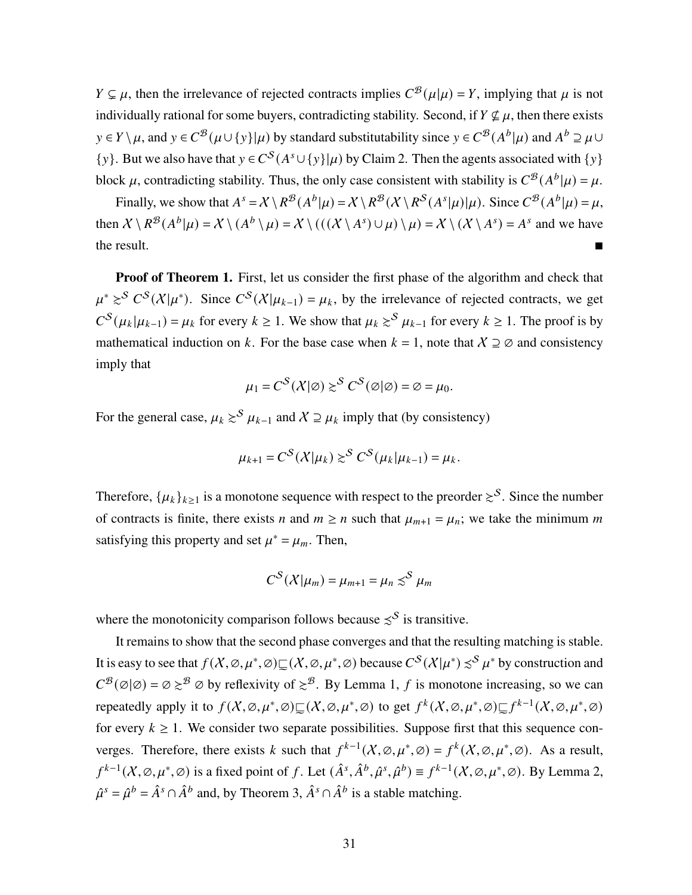$Y \subsetneq \mu$ , then the irrelevance of rejected contracts implies  $C^{\mathcal{B}}(\mu|\mu) = Y$ , implying that  $\mu$  is not individually rational for some buyers, contradicting stability. Second, if  $Y \nsubseteq \mu$ , then there exists  $y \in Y \setminus \mu$ , and  $y \in C^{\mathcal{B}}(\mu \cup \{y\}|\mu)$  by standard substitutability since  $y \in C^{\mathcal{B}}(A^b|\mu)$  and  $A^b \supseteq \mu \cup$ {y}. But we also have that  $y \in C^{S}(A^{s} \cup \{y\}|\mu)$  by Claim 2. Then the agents associated with  $\{y\}$ block  $\mu$ , contradicting stability. Thus, the only case consistent with stability is  $C^{B}(A^{b}|\mu) = \mu$ .

Finally, we show that  $A^s = \mathcal{X} \setminus R^{\mathcal{B}}(A^b | \mu) = \mathcal{X} \setminus R^{\mathcal{B}}(\mathcal{X} \setminus R^{\mathcal{S}}(A^s | \mu) | \mu)$ . Since  $C^{\mathcal{B}}(A^b | \mu) = \mu$ , then  $X \setminus R^{\mathcal{B}}(A^b|\mu) = X \setminus (A^b \setminus \mu) = X \setminus (((X \setminus A^s) \cup \mu) \setminus \mu) = X \setminus (X \setminus A^s) = A^s$  and we have the result.

Proof of Theorem [1.](#page-14-0) First, let us consider the first phase of the algorithm and check that  $\mu^* \geq^S C^S(\mathcal{X}|\mu^*)$ . Since  $C^S(\mathcal{X}|\mu_{k-1}) = \mu_k$ , by the irrelevance of rejected contracts, we get  $C^{S}(\mu_{k}|\mu_{k-1}) = \mu_{k}$  for every  $k \geq 1$ . We show that  $\mu_{k} \geq S \mu_{k-1}$  for every  $k \geq 1$ . The proof is by mathematical induction on k. For the base case when  $k = 1$ , note that  $\chi \supseteq \emptyset$  and consistency imply that

$$
\mu_1 = C^S(\mathcal{X}|\varnothing) \succsim^S C^S(\varnothing|\varnothing) = \varnothing = \mu_0.
$$

For the general case,  $\mu_k \geq^{S} \mu_{k-1}$  and  $X \supseteq \mu_k$  imply that (by consistency)

$$
\mu_{k+1} = C^S(\mathcal{X}|\mu_k) \gtrsim^S C^S(\mu_k|\mu_{k-1}) = \mu_k.
$$

Therefore,  $\{\mu_k\}_{k\geq 1}$  is a monotone sequence with respect to the preorder  $\gtrsim^{\mathcal{S}}$ . Since the number of contracts is finite, there exists *n* and  $m \ge n$  such that  $\mu_{m+1} = \mu_n$ ; we take the minimum *m* satisfying this property and set  $\mu^* = \mu_m$ . Then,

$$
C^{S}(\mathcal{X}|\mu_{m})=\mu_{m+1}=\mu_{n}\lesssim^{S}\mu_{m}
$$

where the monotonicity comparison follows because  $\leq^S$  is transitive.

It remains to show that the second phase converges and that the resulting matching is stable. It is easy to see that  $f(X,\varnothing,\mu^*,\varnothing) \sqsubseteq (X,\varnothing,\mu^*,\varnothing)$  because  $C^{\mathcal{S}}(X|\mu^*) \precsim^{\mathcal{S}} \mu^*$  by construction and  $C^{\mathcal{B}}(\emptyset|\emptyset) = \emptyset \geq^{\mathcal{B}} \emptyset$  by reflexivity of  $\geq^{\mathcal{B}}$ . By Lemma [1,](#page-27-1) f is monotone increasing, so we can repeatedly apply it to  $f(X, \emptyset, \mu^*, \emptyset) \subseteq (X, \emptyset, \mu^*, \emptyset)$  to get  $f^k(X, \emptyset, \mu^*, \emptyset) \subseteq f^{k-1}(X, \emptyset, \mu^*, \emptyset)$ for every  $k \geq 1$ . We consider two separate possibilities. Suppose first that this sequence converges. Therefore, there exists k such that  $f^{k-1}(X, \emptyset, \mu^*, \emptyset) = f^k(X, \emptyset, \mu^*, \emptyset)$ . As a result,  $f^{k-1}(X, \emptyset, \mu^*, \emptyset)$  is a fixed point of f. Let  $(\hat{A}^s, \hat{A}^b, \hat{\mu}^s, \hat{\mu}^b) \equiv f^{k-1}(X, \emptyset, \mu^*, \emptyset)$ . By Lemma [2,](#page-28-1)  $\hat{\mu}^s = \hat{\mu}^b = \hat{A}^s \cap \hat{A}^b$  and, by Theorem [3,](#page-28-0)  $\hat{A}^s \cap \hat{A}^b$  is a stable matching.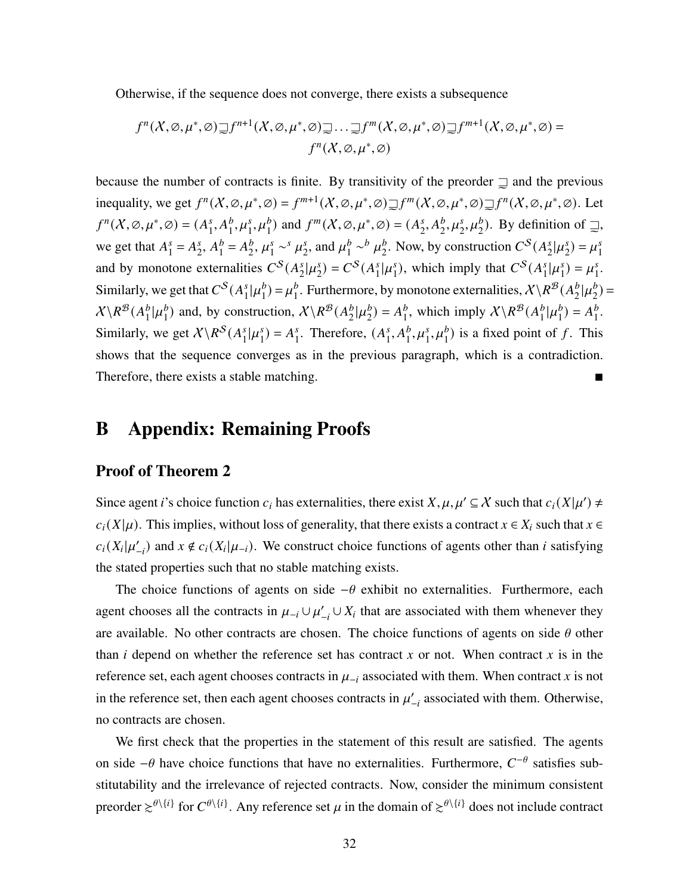Otherwise, if the sequence does not converge, there exists a subsequence

$$
f^{n}(X,\varnothing,\mu^{*},\varnothing)\supseteq f^{n+1}(X,\varnothing,\mu^{*},\varnothing)\supseteq\ldots\supseteq f^{m}(X,\varnothing,\mu^{*},\varnothing)\supseteq f^{m+1}(X,\varnothing,\mu^{*},\varnothing)=
$$

$$
f^{n}(X,\varnothing,\mu^{*},\varnothing)
$$

because the number of contracts is finite. By transitivity of the preorder  $\supseteq$  and the previous inequality, we get  $f^n(X, \emptyset, \mu^*, \emptyset) = f^{m+1}(X, \emptyset, \mu^*, \emptyset) \supseteq f^m(X, \emptyset, \mu^*, \emptyset) \supseteq f^n(X, \emptyset, \mu^*, \emptyset)$ . Let  $f^{n}(X, \emptyset, \mu^*, \emptyset) = (A_1^s, A_1^b, \mu_1^s, \mu_1^b)$  and  $f^{m}(X, \emptyset, \mu^*, \emptyset) = (A_2^s, A_2^b, \mu_2^s, \mu_2^b)$ .  $_1^s$ ,  $A_1^b$ ,  $\mu_1^s$ ,  $\mu_1^b$ ) and  $f^m$ ( $X$ ,  $\varnothing$ ,  $\mu^*$ , $\varnothing$ ) = ( $A_2^s$  $E_2^s, A_2^b, \mu_2^s, \mu_2^b$ . By definition of  $\supsetneq$ , we get that  $A_1^s = A_2^s$ ,  $A_1^b = A_2^b$ ,  $\mu_1^s \sim^s \mu_2^s$ , and  $\mu_1^b \sim^b \mu_2^b$ . Now, by construction  $C^s(A_2^s | \mu_2^s) = \mu^s$  $I_1^s = A_2^s$  $\frac{s}{2}$ ,  $A_1^b$  $_{1}^{b} = A_{2}^{b}$  $\frac{b}{2}, \mu_1^s$  $\frac{s}{1} \sim s \mu_2^s$  $\frac{s}{2}$ , and  $\mu_1^b$  $\frac{b}{1}$  ~ $\frac{b}{4}$   $\mu_2^b$  $_2^b$ . Now, by construction  $C^S(A_2^s)$  $\frac{s}{2}$ | $\mu_2^s$  $_{2}^{s}) = \mu_{1}^{s}$ 1 and by monotone externalities  $C^{S}(A_{2}^{s})$  $\frac{s}{2}$ | $\mu_2^s$  $_{2}^{s}$ ) =  $C^{S}(A_{1}^{s})$  $\int_1^s \vert \mu_1^s$  $I_1^s$ ), which imply that  $C^S(A_1^s)$  $\int_1^s |\mu_1^s|$  $j_1^s$ ) =  $\mu_1^s$  $\frac{s}{1}$ . Similarly, we get that  $C^{S}(A_1^s)$  $\int_1^s |\mu_1^b$  $_{1}^{b}$ ) =  $\mu_{1}^{b}$  $_1^b$ . Furthermore, by monotone externalities,  $\mathcal{X} \backslash \mathbb{R}^{\mathcal{B}}(A_2^b)$  $\frac{b}{2}$ | $\mu_2^b$  $_{2}^{b})=$  $X\backslash R^{\mathcal{B}}(A_1^b)$  $\frac{b}{1}$ | $\mu_1^b$  $_1^b$ ) and, by construction,  $X \setminus R^{\mathcal{B}}(A_2^b)$  $\frac{b}{2}$ | $\mu_2^b$  $_{2}^{b}$ ) =  $A_{1}^{b}$  $_1^b$ , which imply  $X \backslash R^{\mathcal{B}}(A_1^b)$  $\frac{b}{1}$ | $\mu_1^b$  $_{1}^{b}$ ) =  $A_{1}^{b}$  $\frac{b}{1}$ . Similarly, we get  $X \backslash R^S(A_1^s)$  $\int_1^s |\mu_1^s|$  $_{1}^{s}$ ) =  $A_{1}^{s}$  $i<sub>1</sub>$ . Therefore,  $(A<sub>1</sub><sup>s</sup>)$  $S_1^s, A_1^b, \mu_1^s, \mu_1^b)$  is a fixed point of f. This shows that the sequence converges as in the previous paragraph, which is a contradiction. Therefore, there exists a stable matching.

#### B Appendix: Remaining Proofs

#### Proof of Theorem [2](#page-16-0)

Since agent *i*'s choice function  $c_i$  has externalities, there exist  $X, \mu, \mu' \subseteq X$  such that  $c_i(X|\mu') \neq$  $c_i(X|\mu)$ . This implies, without loss of generality, that there exists a contract  $x \in X_i$  such that  $x \in$  $c_i(X_i|\mu'_{-i})$  and  $x \notin c_i(X_i|\mu_{-i})$ . We construct choice functions of agents other than *i* satisfying the stated properties such that no stable matching exists.

The choice functions of agents on side  $-\theta$  exhibit no externalities. Furthermore, each agent chooses all the contracts in  $\mu_{-i} \cup \mu'_{-i} \cup X_i$  that are associated with them whenever they are available. No other contracts are chosen. The choice functions of agents on side  $\theta$  other than *i* depend on whether the reference set has contract x or not. When contract x is in the reference set, each agent chooses contracts in  $\mu_{-i}$  associated with them. When contract x is not in the reference set, then each agent chooses contracts in  $\mu'_{-i}$  associated with them. Otherwise, no contracts are chosen.

We first check that the properties in the statement of this result are satisfied. The agents on side  $-\theta$  have choice functions that have no externalities. Furthermore,  $C^{-\theta}$  satisfies substitutability and the irrelevance of rejected contracts. Now, consider the minimum consistent preorder  $\gtrsim^{\theta\setminus\{i\}}$  for  $C^{\theta\setminus\{i\}}$ . Any reference set  $\mu$  in the domain of  $\gtrsim^{\theta\setminus\{i\}}$  does not include contract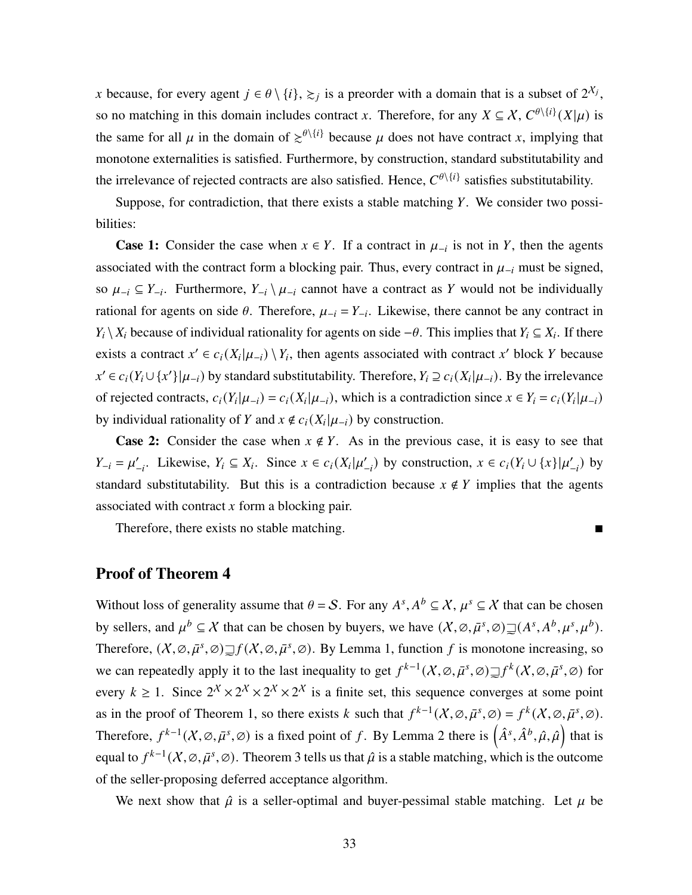x because, for every agent  $j \in \theta \setminus \{i\}, \geq j$  is a preorder with a domain that is a subset of  $2^{\lambda_j}$ , so no matching in this domain includes contract x. Therefore, for any  $X \subseteq X$ ,  $C^{\theta \setminus \{i\}}(X|\mu)$  is the same for all  $\mu$  in the domain of  $\epsilon^{(\ell)}$  because  $\mu$  does not have contract x, implying that monotone externalities is satisfied. Furthermore, by construction, standard substitutability and the irrelevance of rejected contracts are also satisfied. Hence,  $C^{\theta \setminus \{i\}}$  satisfies substitutability.

Suppose, for contradiction, that there exists a stable matching  $Y$ . We consider two possibilities:

**Case 1:** Consider the case when  $x \in Y$ . If a contract in  $\mu_{-i}$  is not in Y, then the agents associated with the contract form a blocking pair. Thus, every contract in  $\mu_{-i}$  must be signed, so  $\mu_{-i} \subseteq Y_{-i}$ . Furthermore,  $Y_{-i} \setminus \mu_{-i}$  cannot have a contract as Y would not be individually rational for agents on side  $\theta$ . Therefore,  $\mu_{-i} = Y_{-i}$ . Likewise, there cannot be any contract in  $Y_i \setminus X_i$  because of individual rationality for agents on side  $-\theta$ . This implies that  $Y_i \subseteq X_i$ . If there exists a contract  $x' \in c_i(X_i|\mu_{-i}) \setminus Y_i$ , then agents associated with contract x' block Y because  $x' \in c_i(Y_i \cup \{x'\} | \mu_{-i})$  by standard substitutability. Therefore,  $Y_i \supseteq c_i(X_i | \mu_{-i})$ . By the irrelevance of rejected contracts,  $c_i(Y_i|\mu_{-i}) = c_i(X_i|\mu_{-i})$ , which is a contradiction since  $x \in Y_i = c_i(Y_i|\mu_{-i})$ by individual rationality of Y and  $x \notin c_i(X_i | \mu_{-i})$  by construction.

**Case 2:** Consider the case when  $x \notin Y$ . As in the previous case, it is easy to see that  $Y_{-i} = \mu'_{-i}$ . Likewise,  $Y_i \subseteq X_i$ . Since  $x \in c_i(X_i | \mu'_{-i})$  by construction,  $x \in c_i(Y_i \cup \{x\} | \mu'_{-i})$  by standard substitutability. But this is a contradiction because  $x \notin Y$  implies that the agents associated with contract  $x$  form a blocking pair.

Therefore, there exists no stable matching.

#### Proof of Theorem [4](#page-21-1)

Without loss of generality assume that  $\theta = S$ . For any  $A^s, A^b \subseteq X, \mu^s \subseteq X$  that can be chosen by sellers, and  $\mu^b \subseteq \mathcal{X}$  that can be chosen by buyers, we have  $(\mathcal{X}, \varnothing, \bar{\mu}^s, \varnothing) \supseteq(A^s, A^b, \mu^s, \mu^b)$ . Therefore,  $(X, \emptyset, \bar{\mu}^s, \emptyset) \supseteq f(X, \emptyset, \bar{\mu}^s, \emptyset)$ . By Lemma [1,](#page-27-1) function f is monotone increasing, so we can repeatedly apply it to the last inequality to get  $f^{k-1}(X,\varnothing,\bar{\mu}^s,\varnothing) \supseteq f^k(X,\varnothing,\bar{\mu}^s,\varnothing)$  for every  $k \geq 1$ . Since  $2^{\chi} \times 2^{\chi} \times 2^{\chi} \times 2^{\chi}$  is a finite set, this sequence converges at some point as in the proof of Theorem [1,](#page-14-0) so there exists k such that  $f^{k-1}(X, \emptyset, \bar{\mu}^s, \emptyset) = f^k(X, \emptyset, \bar{\mu}^s, \emptyset)$ . Therefore,  $f^{k-1}(X,\varnothing,\bar{\mu}^s,\varnothing)$  is a fixed point of f. By Lemma [2](#page-28-1) there is  $(\hat{A}^s,\hat{A}^b,\hat{\mu},\hat{\mu})$  that is equal to  $f^{k-1}(X,\emptyset,\bar{\mu}^s,\emptyset)$ . Theorem [3](#page-28-0) tells us that  $\hat{\mu}$  is a stable matching, which is the outcome of the seller-proposing deferred acceptance algorithm.

We next show that  $\hat{\mu}$  is a seller-optimal and buyer-pessimal stable matching. Let  $\mu$  be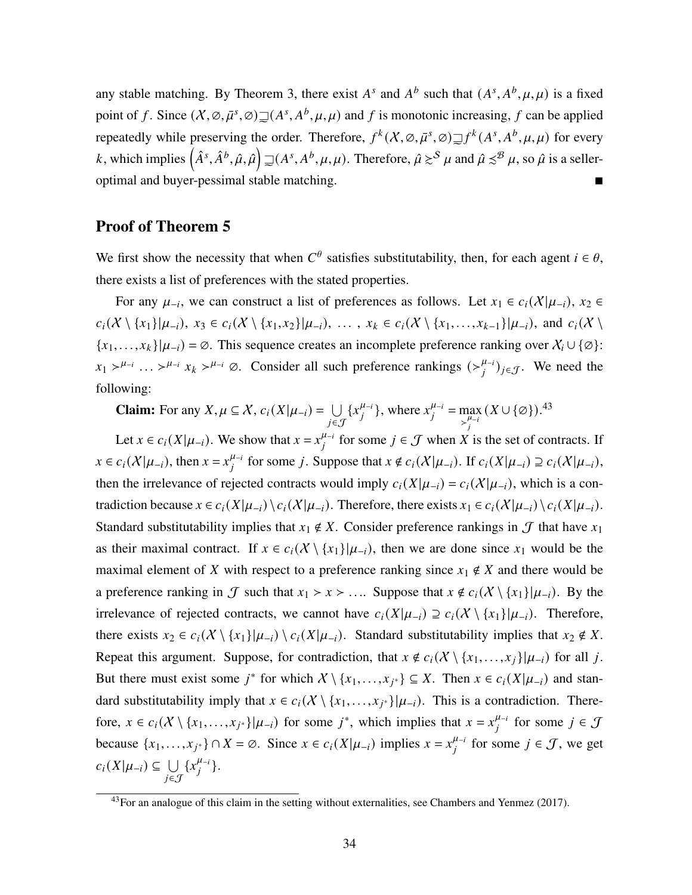any stable matching. By Theorem [3,](#page-28-0) there exist  $A^s$  and  $A^b$  such that  $(A^s, A^b, \mu, \mu)$  is a fixed point of f. Since  $(X, \emptyset, \bar{\mu}^s, \emptyset) \supseteq (A^s, A^b, \mu, \mu)$  and f is monotonic increasing, f can be applied repeatedly while preserving the order. Therefore,  $f^k(X, \emptyset, \bar{\mu}^s, \emptyset) \supseteq f^k(A^s, A^b, \mu, \mu)$  for every k, which implies  $(\hat{A}^s, \hat{A}^b, \hat{\mu}, \hat{\mu}) \sqsupseteq (A^s, A^b, \mu, \mu)$ . Therefore,  $\hat{\mu} \gtrsim^S \mu$  and  $\hat{\mu} \preceq^B \mu$ , so  $\hat{\mu}$  is a sellere optimal and buyer-pessimal stable matching.

#### Proof of Theorem [5](#page-24-0)

We first show the necessity that when  $C^{\theta}$  satisfies substitutability, then, for each agent  $i \in \theta$ , there exists a list of preferences with the stated properties.

For any  $\mu_{-i}$ , we can construct a list of preferences as follows. Let  $x_1 \in c_i(X|\mu_{-i})$ ,  $x_2 \in$  $c_i(X \setminus \{x_1\}|\mu_{-i}), x_3 \in c_i(X \setminus \{x_1, x_2\}|\mu_{-i}), \ldots, x_k \in c_i(X \setminus \{x_1, \ldots, x_{k-1}\}|\mu_{-i}),$  and  $c_i(X \setminus \{x_1, \ldots, x_{k-1}\}|\mu_{-i})$  ${x_1, \ldots, x_k}|\mu_{-i}| = \emptyset$ . This sequence creates an incomplete preference ranking over  $X_i \cup \{\emptyset\}$ :  $x_1 > \mu_{-i}$  ...  $> \mu_{-i}$   $x_k > \mu_{-i}$   $\varnothing$ . Consider all such preference rankings  $(\mu_{-i}^{\mu_{-i}})_{j \in \mathcal{J}}$ . We need the following:

**Claim:** For any 
$$
X, \mu \subseteq X
$$
,  $c_i(X|\mu_{-i}) = \bigcup_{j \in \mathcal{J}} \{x_j^{\mu_{-i}}\}\$ , where  $x_j^{\mu_{-i}} = \max_{\substack{\mu_{-i} \ j' = j}} (X \cup \{\emptyset\})$ .<sup>43</sup>

Let  $x \in c_i(X|\mu_{-i})$ . We show that  $x = x_i^{\mu_{-i}}$  for some  $j \in \mathcal{J}$  when X is the set of contracts. If  $x \in c_i(X|\mu_{-i})$ , then  $x = x_i^{\mu_{-i}}$  for some j. Suppose that  $x \notin c_i(X|\mu_{-i})$ . If  $c_i(X|\mu_{-i}) \supseteq c_i(X|\mu_{-i})$ , then the irrelevance of rejected contracts would imply  $c_i(X|\mu_{-i}) = c_i(X|\mu_{-i})$ , which is a contradiction because  $x \in c_i(X|\mu_{-i}) \setminus c_i(X|\mu_{-i})$ . Therefore, there exists  $x_1 \in c_i(X|\mu_{-i}) \setminus c_i(X|\mu_{-i})$ . Standard substitutability implies that  $x_1 \notin X$ . Consider preference rankings in  $\mathcal J$  that have  $x_1$ as their maximal contract. If  $x \in c_i(X \setminus \{x_1\} | \mu_{-i})$ , then we are done since  $x_1$  would be the maximal element of X with respect to a preference ranking since  $x_1 \notin X$  and there would be a preference ranking in  $\mathcal J$  such that  $x_1 > x > ...$  Suppose that  $x \notin c_i(\mathcal X \setminus \{x_1\}|\mu_{-i})$ . By the irrelevance of rejected contracts, we cannot have  $c_i(X|\mu_{-i}) \supseteq c_i(X \setminus \{x_1\}|\mu_{-i})$ . Therefore, there exists  $x_2 \in c_i(X \setminus \{x_1\} | \mu_{-i}) \setminus c_i(X | \mu_{-i})$ . Standard substitutability implies that  $x_2 \notin X$ . Repeat this argument. Suppose, for contradiction, that  $x \notin c_i(X \setminus \{x_1, \ldots, x_j\} | \mu_{-i})$  for all j. But there must exist some  $j^*$  for which  $X \setminus \{x_1, ..., x_{j^*}\} \subseteq X$ . Then  $x \in c_i(X|\mu_{-i})$  and standard substitutability imply that  $x \in c_i(X \setminus \{x_1, \ldots, x_{j^*}\} | \mu_{-i})$ . This is a contradiction. Therefore,  $x \in c_i(X \setminus \{x_1, \ldots, x_{j^*}\} | \mu_{-i})$  for some  $j^*$ , which implies that  $x = x_j^{\mu_{-i}}$  for some  $j \in \mathcal{J}$ because  $\{x_1, \ldots, x_{j^*}\} \cap X = \emptyset$ . Since  $x \in c_i(X|\mu_{-i})$  implies  $x = x_j^{\mu_{-i}}$  for some  $j \in \mathcal{J}$ , we get  $c_i(X|\mu_{-i}) \subseteq \bigcup$ ∈J  ${x_i^{\mu_{-i}}}.$ 

<sup>&</sup>lt;sup>43</sup>For an analogue of this claim in the setting without externalities, see [Chambers and Yenmez](#page-36-0) [\(2017\)](#page-36-0).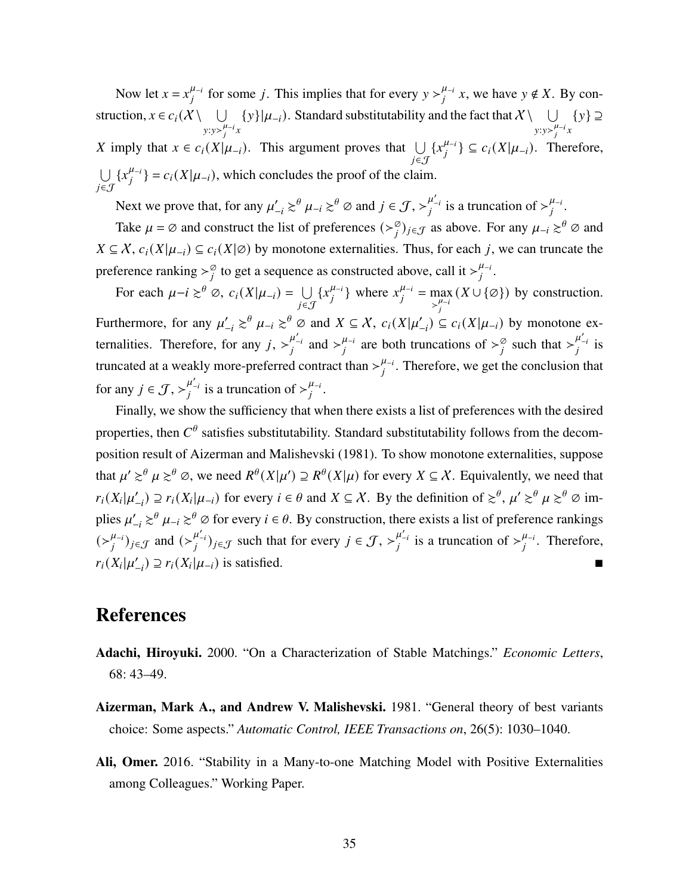Now let  $x = x_i^{\mu_{-i}}$  for some j. This implies that for every  $y >_{i}^{\mu_{-i}} x$ , we have  $y \notin X$ . By construction,  $x \in c_i(X \setminus \bigcup$  $y: y \rightarrow_i^{\mu_{-i}} x$  ${y}|\mu_{-i}$ ). Standard substitutability and the fact that  $X \setminus \cup$  $y: y > \frac{\mu}{i} i x$  ${y} \supseteq$ X imply that  $x \in c_i(X|\mu_{-i})$ . This argument proves that  $\bigcup$ ∈J  $\{x_i^{\mu_{-i}}\} \subseteq c_i(X|\mu_{-i})$ . Therefore, Ð ∈J  ${x_i^{\mu_{-i}}=c_i(X|\mu_{-i})}$ , which concludes the proof of the claim.

Next we prove that, for any  $\mu'_{-i} \gtrsim^{\theta} \mu_{-i} \gtrsim^{\theta} \varnothing$  and  $j \in \mathcal{J}, \gtrsim^{\mu'_{-i}}_{j}$  is a truncation of  $\gtrsim^{\mu_{-i}}_{j}$ .

Take  $\mu = \emptyset$  and construct the list of preferences  $(\succ_i^{\emptyset})_{i \in \mathcal{J}}$  as above. For any  $\mu_{-i} \geq^{\theta} \emptyset$  and  $X \subseteq \mathcal{X}$ ,  $c_i(X|\mu_{-i}) \subseteq c_i(X|\emptyset)$  by monotone externalities. Thus, for each j, we can truncate the preference ranking  $\gt_i^{\emptyset}$  to get a sequence as constructed above, call it  $\gt_i^{\mu_{-i}}$ .

For each  $\mu - i \gtrsim^{\theta} \emptyset$ ,  $c_i(X|\mu_{-i}) = \bigcup$ ∈J  $\{x_i^{\mu_{-i}}\}$  where  $x_i^{\mu_{-i}} = \max_i$  $\sum_{i}^{\mu-i}$  $(X \cup \{\emptyset\})$  by construction. Furthermore, for any  $\mu'_{-i} \gtrsim^{\theta} \mu_{-i} \gtrsim^{\theta} \varnothing$  and  $X \subseteq \chi$ ,  $c_i(X|\mu'_{-i}) \subseteq c_i(X|\mu_{-i})$  by monotone externalities. Therefore, for any  $j, \succ_j^{\mu'_{-i}}$  and  $\succ_j^{\mu_{-i}}$  are both truncations of  $\succ_j^{\emptyset}$  such that  $\succ_j^{\mu'_{-i}}$  is truncated at a weakly more-preferred contract than  $>\frac{\mu_{-i}}{i}$ . Therefore, we get the conclusion that for any  $j \in \mathcal{J}, \succ_i^{\mu'_{-i}}$  is a truncation of  $\succ_i^{\mu_{-i}}$ .

Finally, we show the sufficiency that when there exists a list of preferences with the desired properties, then  $C^{\theta}$  satisfies substitutability. Standard substitutability follows from the decomposition result of [Aizerman and Malishevski](#page-34-0) [\(1981\)](#page-34-0). To show monotone externalities, suppose that  $\mu' \gtrsim^{\theta} \mu \gtrsim^{\theta} \varnothing$ , we need  $R^{\theta}(X|\mu') \supseteq R^{\theta}(X|\mu)$  for every  $X \subseteq \mathcal{X}$ . Equivalently, we need that  $r_i(X_i|\mu'_{-i}) \supseteq r_i(X_i|\mu_{-i})$  for every  $i \in \theta$  and  $X \subseteq \mathcal{X}$ . By the definition of  $\gtrsim^{\theta}$ ,  $\mu' \gtrsim^{\theta} \mu \gtrsim^{\theta} \emptyset$  implies  $\mu'_{-i} \gtrsim^{\theta} \mu_{-i} \gtrsim^{\theta} \varnothing$  for every  $i \in \theta$ . By construction, there exists a list of preference rankings  $(\succ_i^{\mu_{-i}})_{j \in \mathcal{J}}$  and  $(\succ_i^{\mu'_{-i}})_{j \in \mathcal{J}}$  such that for every  $j \in \mathcal{J}, \succ_i^{\mu'_{-i}}$  is a truncation of  $\succ_i^{\mu_{-i}}$ . Therefore,  $r_i(X_i|\mu'_{-i}) \supseteq r_i(X_i|\mu_{-i})$  is satisfied.

### References

- <span id="page-34-1"></span>Adachi, Hiroyuki. 2000. "On a Characterization of Stable Matchings." *Economic Letters*, 68: 43–49.
- <span id="page-34-0"></span>Aizerman, Mark A., and Andrew V. Malishevski. 1981. "General theory of best variants choice: Some aspects." *Automatic Control, IEEE Transactions on*, 26(5): 1030–1040.
- <span id="page-34-2"></span>Ali, Omer. 2016. "Stability in a Many-to-one Matching Model with Positive Externalities among Colleagues." Working Paper.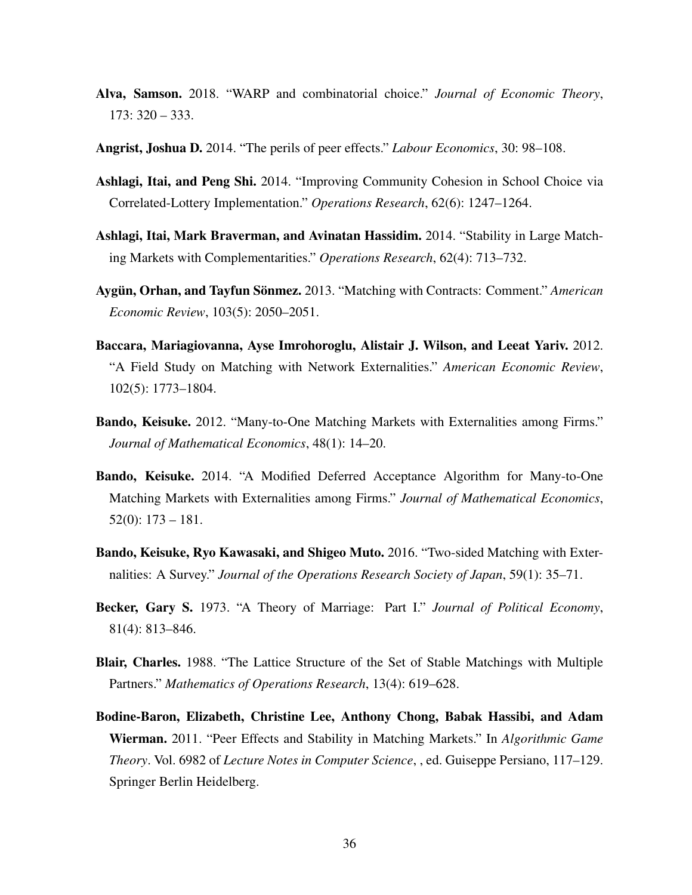- <span id="page-35-6"></span>Alva, Samson. 2018. "WARP and combinatorial choice." *Journal of Economic Theory*, 173: 320 – 333.
- <span id="page-35-11"></span>Angrist, Joshua D. 2014. "The perils of peer effects." *Labour Economics*, 30: 98–108.
- <span id="page-35-9"></span>Ashlagi, Itai, and Peng Shi. 2014. "Improving Community Cohesion in School Choice via Correlated-Lottery Implementation." *Operations Research*, 62(6): 1247–1264.
- <span id="page-35-5"></span>Ashlagi, Itai, Mark Braverman, and Avinatan Hassidim. 2014. "Stability in Large Matching Markets with Complementarities." *Operations Research*, 62(4): 713–732.
- <span id="page-35-7"></span>Aygün, Orhan, and Tayfun Sönmez. 2013. "Matching with Contracts: Comment." *American Economic Review*, 103(5): 2050–2051.
- <span id="page-35-10"></span>Baccara, Mariagiovanna, Ayse Imrohoroglu, Alistair J. Wilson, and Leeat Yariv. 2012. "A Field Study on Matching with Network Externalities." *American Economic Review*, 102(5): 1773–1804.
- <span id="page-35-1"></span>Bando, Keisuke. 2012. "Many-to-One Matching Markets with Externalities among Firms." *Journal of Mathematical Economics*, 48(1): 14–20.
- <span id="page-35-2"></span>Bando, Keisuke. 2014. "A Modified Deferred Acceptance Algorithm for Many-to-One Matching Markets with Externalities among Firms." *Journal of Mathematical Economics*, 52(0): 173 – 181.
- <span id="page-35-3"></span>Bando, Keisuke, Ryo Kawasaki, and Shigeo Muto. 2016. "Two-sided Matching with Externalities: A Survey." *Journal of the Operations Research Society of Japan*, 59(1): 35–71.
- <span id="page-35-8"></span>Becker, Gary S. 1973. "A Theory of Marriage: Part I." *Journal of Political Economy*, 81(4): 813–846.
- <span id="page-35-0"></span>Blair, Charles. 1988. "The Lattice Structure of the Set of Stable Matchings with Multiple Partners." *Mathematics of Operations Research*, 13(4): 619–628.
- <span id="page-35-4"></span>Bodine-Baron, Elizabeth, Christine Lee, Anthony Chong, Babak Hassibi, and Adam Wierman. 2011. "Peer Effects and Stability in Matching Markets." In *Algorithmic Game Theory*. Vol. 6982 of *Lecture Notes in Computer Science*, , ed. Guiseppe Persiano, 117–129. Springer Berlin Heidelberg.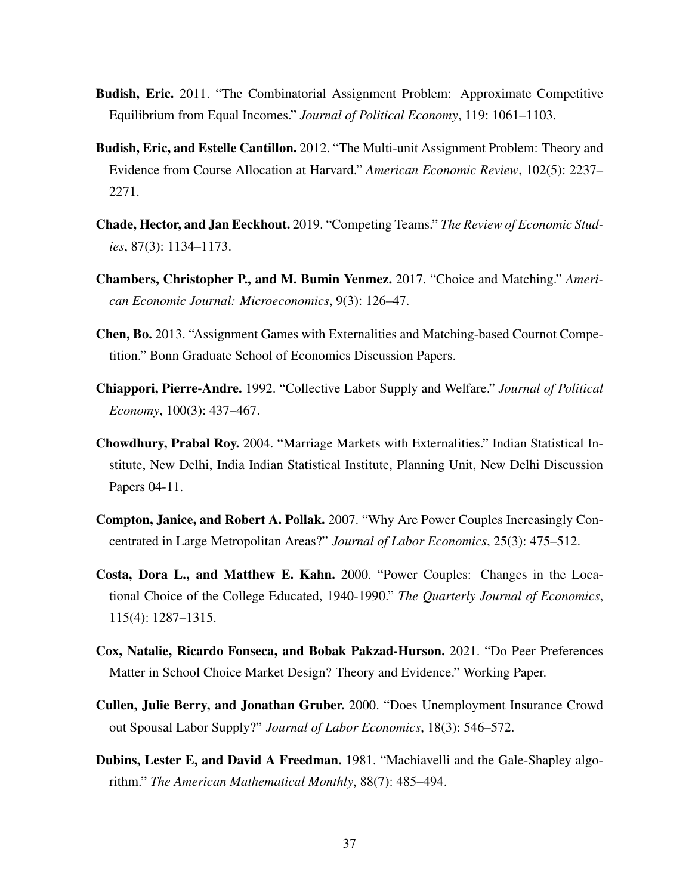- <span id="page-36-9"></span>Budish, Eric. 2011. "The Combinatorial Assignment Problem: Approximate Competitive Equilibrium from Equal Incomes." *Journal of Political Economy*, 119: 1061–1103.
- <span id="page-36-10"></span>Budish, Eric, and Estelle Cantillon. 2012. "The Multi-unit Assignment Problem: Theory and Evidence from Course Allocation at Harvard." *American Economic Review*, 102(5): 2237– 2271.
- <span id="page-36-7"></span>Chade, Hector, and Jan Eeckhout. 2019. "Competing Teams." *The Review of Economic Studies*, 87(3): 1134–1173.
- <span id="page-36-0"></span>Chambers, Christopher P., and M. Bumin Yenmez. 2017. "Choice and Matching." *American Economic Journal: Microeconomics*, 9(3): 126–47.
- <span id="page-36-2"></span>Chen, Bo. 2013. "Assignment Games with Externalities and Matching-based Cournot Competition." Bonn Graduate School of Economics Discussion Papers.
- <span id="page-36-3"></span>Chiappori, Pierre-Andre. 1992. "Collective Labor Supply and Welfare." *Journal of Political Economy*, 100(3): 437–467.
- <span id="page-36-1"></span>Chowdhury, Prabal Roy. 2004. "Marriage Markets with Externalities." Indian Statistical Institute, New Delhi, India Indian Statistical Institute, Planning Unit, New Delhi Discussion Papers 04-11.
- <span id="page-36-6"></span>Compton, Janice, and Robert A. Pollak. 2007. "Why Are Power Couples Increasingly Concentrated in Large Metropolitan Areas?" *Journal of Labor Economics*, 25(3): 475–512.
- <span id="page-36-5"></span>Costa, Dora L., and Matthew E. Kahn. 2000. "Power Couples: Changes in the Locational Choice of the College Educated, 1940-1990." *The Quarterly Journal of Economics*, 115(4): 1287–1315.
- <span id="page-36-11"></span>Cox, Natalie, Ricardo Fonseca, and Bobak Pakzad-Hurson. 2021. "Do Peer Preferences Matter in School Choice Market Design? Theory and Evidence." Working Paper.
- <span id="page-36-4"></span>Cullen, Julie Berry, and Jonathan Gruber. 2000. "Does Unemployment Insurance Crowd out Spousal Labor Supply?" *Journal of Labor Economics*, 18(3): 546–572.
- <span id="page-36-8"></span>Dubins, Lester E, and David A Freedman. 1981. "Machiavelli and the Gale-Shapley algorithm." *The American Mathematical Monthly*, 88(7): 485–494.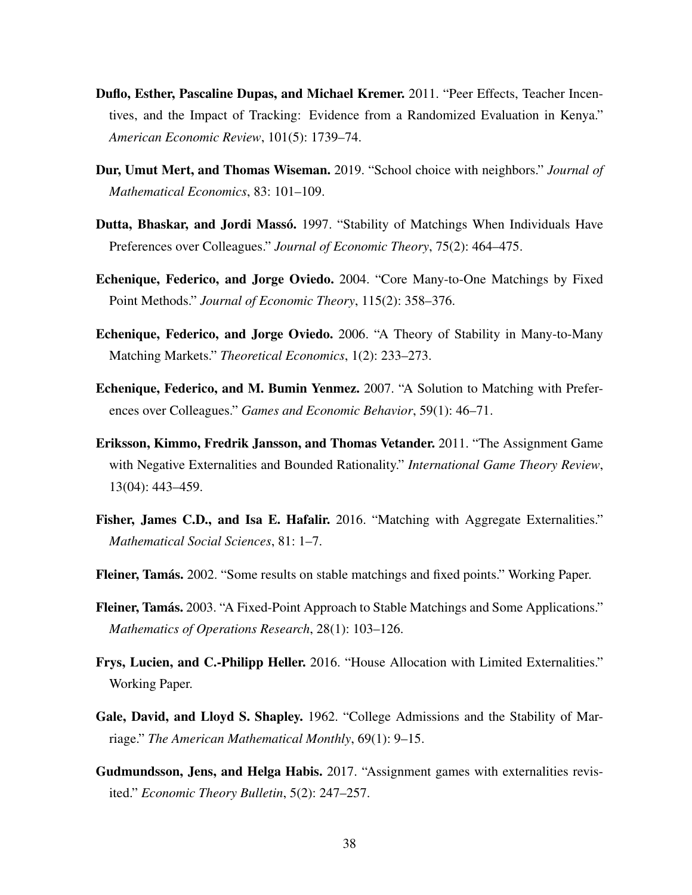- <span id="page-37-12"></span>Duflo, Esther, Pascaline Dupas, and Michael Kremer. 2011. "Peer Effects, Teacher Incentives, and the Impact of Tracking: Evidence from a Randomized Evaluation in Kenya." *American Economic Review*, 101(5): 1739–74.
- <span id="page-37-10"></span>Dur, Umut Mert, and Thomas Wiseman. 2019. "School choice with neighbors." *Journal of Mathematical Economics*, 83: 101–109.
- <span id="page-37-4"></span>Dutta, Bhaskar, and Jordi Massó. 1997. "Stability of Matchings When Individuals Have Preferences over Colleagues." *Journal of Economic Theory*, 75(2): 464–475.
- <span id="page-37-7"></span>Echenique, Federico, and Jorge Oviedo. 2004. "Core Many-to-One Matchings by Fixed Point Methods." *Journal of Economic Theory*, 115(2): 358–376.
- <span id="page-37-6"></span>Echenique, Federico, and Jorge Oviedo. 2006. "A Theory of Stability in Many-to-Many Matching Markets." *Theoretical Economics*, 1(2): 233–273.
- <span id="page-37-5"></span>Echenique, Federico, and M. Bumin Yenmez. 2007. "A Solution to Matching with Preferences over Colleagues." *Games and Economic Behavior*, 59(1): 46–71.
- <span id="page-37-2"></span>Eriksson, Kimmo, Fredrik Jansson, and Thomas Vetander. 2011. "The Assignment Game with Negative Externalities and Bounded Rationality." *International Game Theory Review*, 13(04): 443–459.
- <span id="page-37-9"></span>Fisher, James C.D., and Isa E. Hafalir. 2016. "Matching with Aggregate Externalities." *Mathematical Social Sciences*, 81: 1–7.
- <span id="page-37-8"></span>Fleiner, Tamás. 2002. "Some results on stable matchings and fixed points." Working Paper.
- <span id="page-37-1"></span>Fleiner, Tamás. 2003. "A Fixed-Point Approach to Stable Matchings and Some Applications." *Mathematics of Operations Research*, 28(1): 103–126.
- <span id="page-37-11"></span>Frys, Lucien, and C.-Philipp Heller. 2016. "House Allocation with Limited Externalities." Working Paper.
- <span id="page-37-0"></span>Gale, David, and Lloyd S. Shapley. 1962. "College Admissions and the Stability of Marriage." *The American Mathematical Monthly*, 69(1): 9–15.
- <span id="page-37-3"></span>Gudmundsson, Jens, and Helga Habis. 2017. "Assignment games with externalities revisited." *Economic Theory Bulletin*, 5(2): 247–257.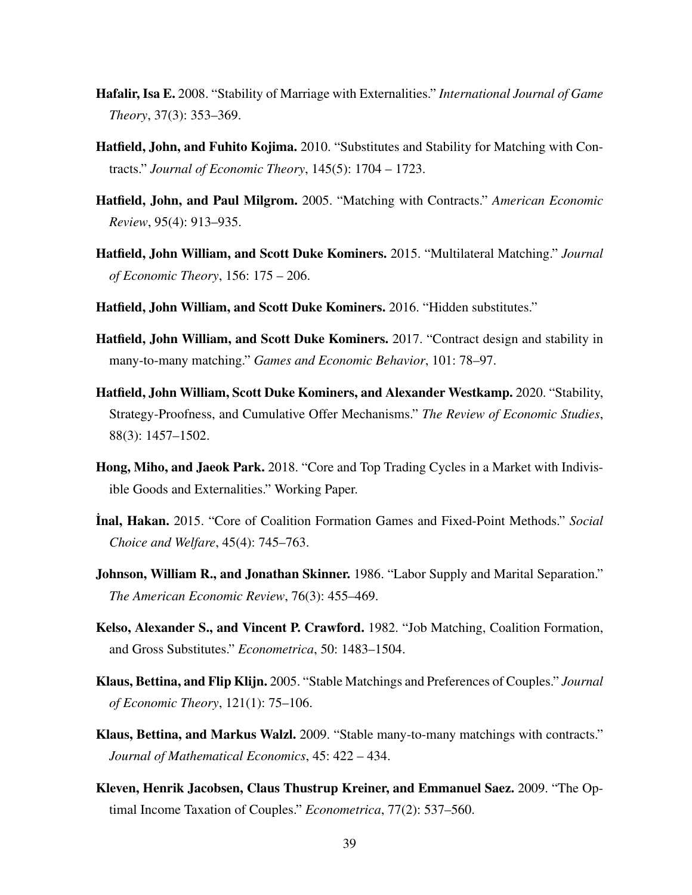- <span id="page-38-5"></span>Hafalir, Isa E. 2008. "Stability of Marriage with Externalities." *International Journal of Game Theory*, 37(3): 353–369.
- <span id="page-38-4"></span>Hatfield, John, and Fuhito Kojima. 2010. "Substitutes and Stability for Matching with Contracts." *Journal of Economic Theory*, 145(5): 1704 – 1723.
- <span id="page-38-1"></span>Hatfield, John, and Paul Milgrom. 2005. "Matching with Contracts." *American Economic Review*, 95(4): 913–935.
- <span id="page-38-7"></span>Hatfield, John William, and Scott Duke Kominers. 2015. "Multilateral Matching." *Journal of Economic Theory*, 156: 175 – 206.
- <span id="page-38-11"></span>Hatfield, John William, and Scott Duke Kominers. 2016. "Hidden substitutes."
- <span id="page-38-3"></span>Hatfield, John William, and Scott Duke Kominers. 2017. "Contract design and stability in many-to-many matching." *Games and Economic Behavior*, 101: 78–97.
- <span id="page-38-12"></span>Hatfield, John William, Scott Duke Kominers, and Alexander Westkamp. 2020. "Stability, Strategy-Proofness, and Cumulative Offer Mechanisms." *The Review of Economic Studies*, 88(3): 1457–1502.
- <span id="page-38-13"></span>Hong, Miho, and Jaeok Park. 2018. "Core and Top Trading Cycles in a Market with Indivisible Goods and Externalities." Working Paper.
- <span id="page-38-8"></span>˙Inal, Hakan. 2015. "Core of Coalition Formation Games and Fixed-Point Methods." *Social Choice and Welfare*, 45(4): 745–763.
- <span id="page-38-10"></span>Johnson, William R., and Jonathan Skinner. 1986. "Labor Supply and Marital Separation." *The American Economic Review*, 76(3): 455–469.
- <span id="page-38-0"></span>Kelso, Alexander S., and Vincent P. Crawford. 1982. "Job Matching, Coalition Formation, and Gross Substitutes." *Econometrica*, 50: 1483–1504.
- <span id="page-38-6"></span>Klaus, Bettina, and Flip Klijn. 2005. "Stable Matchings and Preferences of Couples." *Journal of Economic Theory*, 121(1): 75–106.
- <span id="page-38-2"></span>Klaus, Bettina, and Markus Walzl. 2009. "Stable many-to-many matchings with contracts." *Journal of Mathematical Economics*, 45: 422 – 434.
- <span id="page-38-9"></span>Kleven, Henrik Jacobsen, Claus Thustrup Kreiner, and Emmanuel Saez. 2009. "The Optimal Income Taxation of Couples." *Econometrica*, 77(2): 537–560.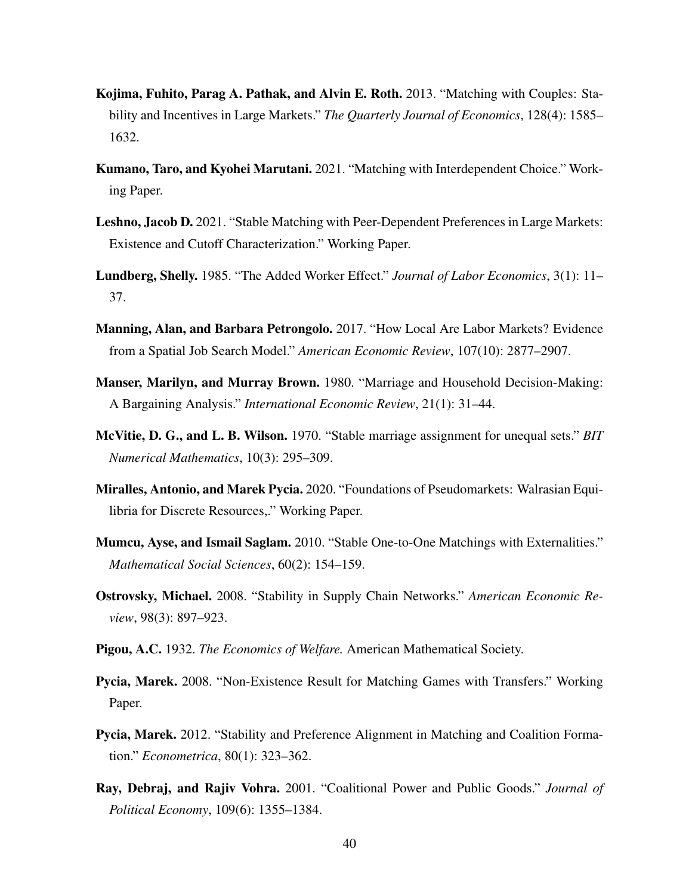- <span id="page-39-1"></span>Kojima, Fuhito, Parag A. Pathak, and Alvin E. Roth. 2013. "Matching with Couples: Stability and Incentives in Large Markets." *The Quarterly Journal of Economics*, 128(4): 1585– 1632.
- <span id="page-39-13"></span>Kumano, Taro, and Kyohei Marutani. 2021. "Matching with Interdependent Choice." Working Paper.
- <span id="page-39-12"></span>Leshno, Jacob D. 2021. "Stable Matching with Peer-Dependent Preferences in Large Markets: Existence and Cutoff Characterization." Working Paper.
- <span id="page-39-7"></span>Lundberg, Shelly. 1985. "The Added Worker Effect." *Journal of Labor Economics*, 3(1): 11– 37.
- <span id="page-39-8"></span>Manning, Alan, and Barbara Petrongolo. 2017. "How Local Are Labor Markets? Evidence from a Spatial Job Search Model." *American Economic Review*, 107(10): 2877–2907.
- <span id="page-39-6"></span>Manser, Marilyn, and Murray Brown. 1980. "Marriage and Household Decision-Making: A Bargaining Analysis." *International Economic Review*, 21(1): 31–44.
- <span id="page-39-0"></span>McVitie, D. G., and L. B. Wilson. 1970. "Stable marriage assignment for unequal sets." *BIT Numerical Mathematics*, 10(3): 295–309.
- <span id="page-39-11"></span>Miralles, Antonio, and Marek Pycia. 2020. "Foundations of Pseudomarkets: Walrasian Equilibria for Discrete Resources,." Working Paper.
- <span id="page-39-5"></span>Mumcu, Ayse, and Ismail Saglam. 2010. "Stable One-to-One Matchings with Externalities." *Mathematical Social Sciences*, 60(2): 154–159.
- <span id="page-39-3"></span>Ostrovsky, Michael. 2008. "Stability in Supply Chain Networks." *American Economic Review*, 98(3): 897–923.
- <span id="page-39-9"></span>Pigou, A.C. 1932. *The Economics of Welfare.* American Mathematical Society.
- <span id="page-39-4"></span>Pycia, Marek. 2008. "Non-Existence Result for Matching Games with Transfers." Working Paper.
- <span id="page-39-2"></span>Pycia, Marek. 2012. "Stability and Preference Alignment in Matching and Coalition Formation." *Econometrica*, 80(1): 323–362.
- <span id="page-39-10"></span>Ray, Debraj, and Rajiv Vohra. 2001. "Coalitional Power and Public Goods." *Journal of Political Economy*, 109(6): 1355–1384.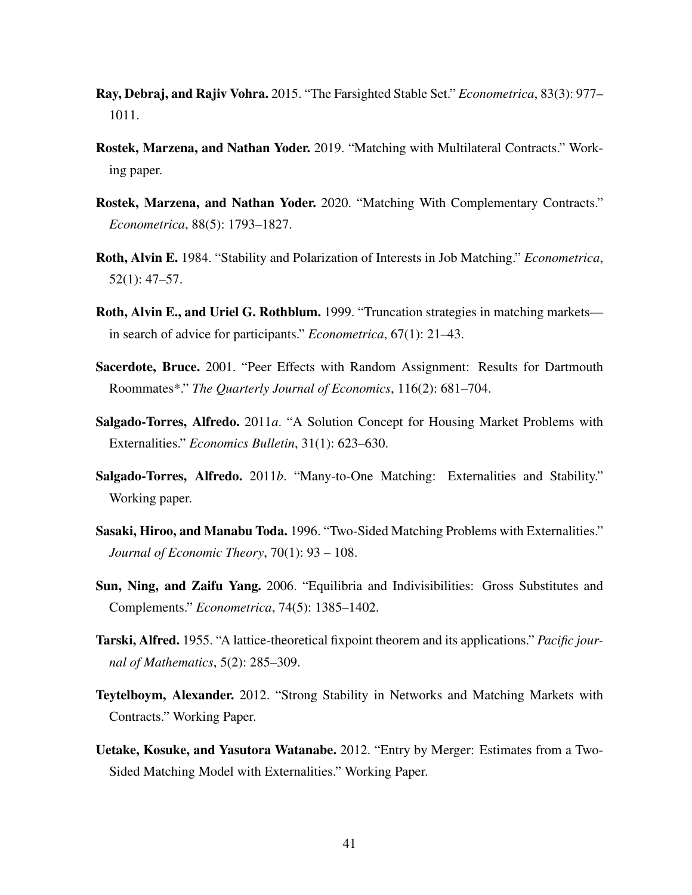- <span id="page-40-4"></span>Ray, Debraj, and Rajiv Vohra. 2015. "The Farsighted Stable Set." *Econometrica*, 83(3): 977– 1011.
- <span id="page-40-10"></span>Rostek, Marzena, and Nathan Yoder. 2019. "Matching with Multilateral Contracts." Working paper.
- <span id="page-40-11"></span>Rostek, Marzena, and Nathan Yoder. 2020. "Matching With Complementary Contracts." *Econometrica*, 88(5): 1793–1827.
- <span id="page-40-0"></span>Roth, Alvin E. 1984. "Stability and Polarization of Interests in Job Matching." *Econometrica*, 52(1): 47–57.
- <span id="page-40-9"></span>Roth, Alvin E., and Uriel G. Rothblum. 1999. "Truncation strategies in matching markets in search of advice for participants." *Econometrica*, 67(1): 21–43.
- <span id="page-40-12"></span>Sacerdote, Bruce. 2001. "Peer Effects with Random Assignment: Results for Dartmouth Roommates\*." *The Quarterly Journal of Economics*, 116(2): 681–704.
- <span id="page-40-2"></span>Salgado-Torres, Alfredo. 2011*a*. "A Solution Concept for Housing Market Problems with Externalities." *Economics Bulletin*, 31(1): 623–630.
- <span id="page-40-3"></span>Salgado-Torres, Alfredo. 2011*b*. "Many-to-One Matching: Externalities and Stability." Working paper.
- <span id="page-40-1"></span>Sasaki, Hiroo, and Manabu Toda. 1996. "Two-Sided Matching Problems with Externalities." *Journal of Economic Theory*, 70(1): 93 – 108.
- <span id="page-40-6"></span>Sun, Ning, and Zaifu Yang. 2006. "Equilibria and Indivisibilities: Gross Substitutes and Complements." *Econometrica*, 74(5): 1385–1402.
- <span id="page-40-8"></span>Tarski, Alfred. 1955. "A lattice-theoretical fixpoint theorem and its applications." *Pacific journal of Mathematics*, 5(2): 285–309.
- <span id="page-40-7"></span>Teytelboym, Alexander. 2012. "Strong Stability in Networks and Matching Markets with Contracts." Working Paper.
- <span id="page-40-5"></span>Uetake, Kosuke, and Yasutora Watanabe. 2012. "Entry by Merger: Estimates from a Two-Sided Matching Model with Externalities." Working Paper.